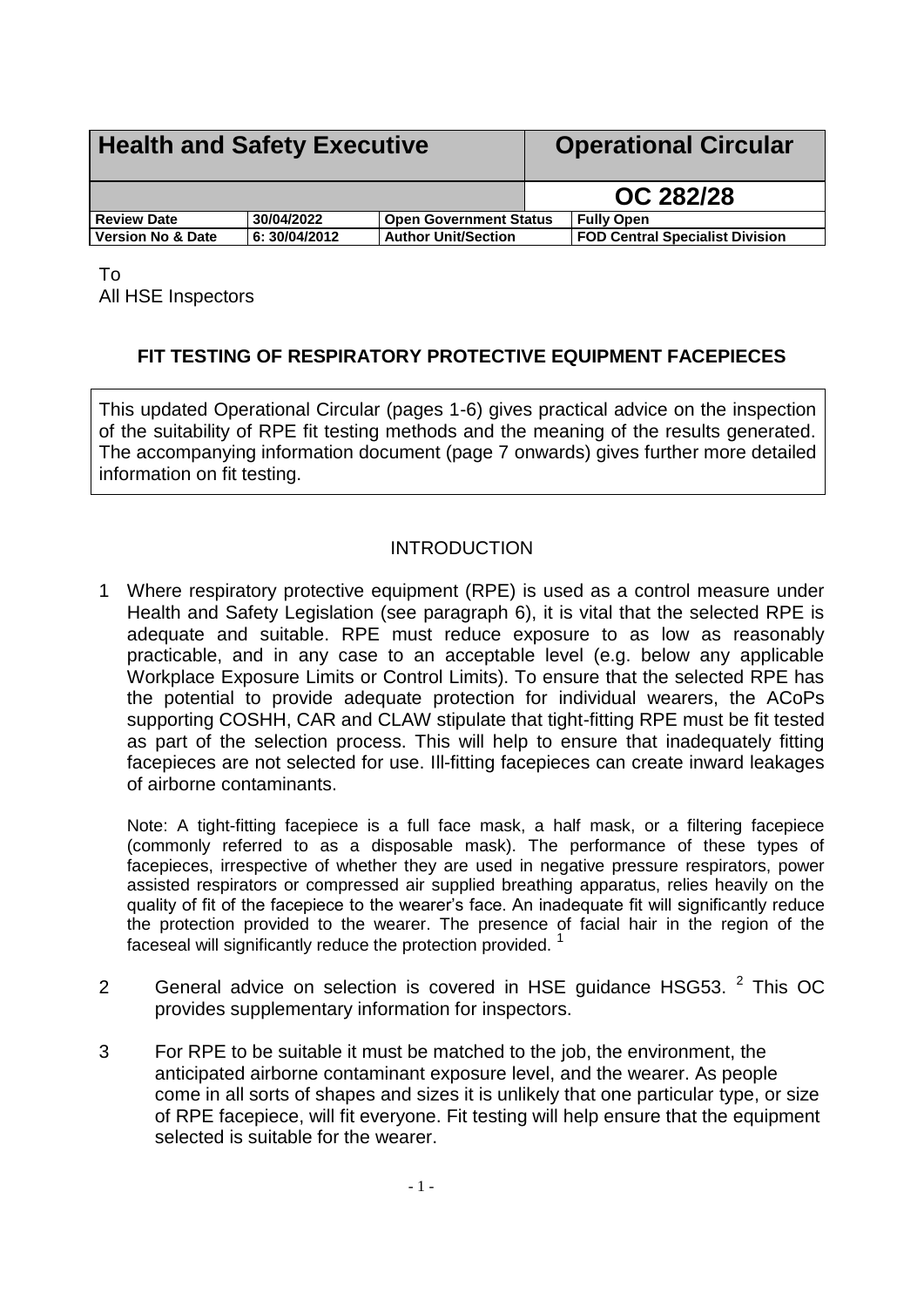<span id="page-0-0"></span>

| <b>Health and Safety Executive</b> |               |                               | <b>Operational Circular</b> |                                        |
|------------------------------------|---------------|-------------------------------|-----------------------------|----------------------------------------|
|                                    |               |                               |                             | OC 282/28                              |
| <b>Review Date</b>                 | 30/04/2022    | <b>Open Government Status</b> |                             | <b>Fully Open</b>                      |
| <b>Version No &amp; Date</b>       | 6: 30/04/2012 | <b>Author Unit/Section</b>    |                             | <b>FOD Central Specialist Division</b> |

To All HSE Inspectors

# **FIT TESTING OF RESPIRATORY PROTECTIVE EQUIPMENT FACEPIECES**

This updated Operational Circular (pages 1-6) gives practical advice on the inspection of the suitability of RPE fit testing methods and the meaning of the results generated. The accompanying information document (page 7 onwards) gives further more detailed information on fit testing.

### **INTRODUCTION**

1 Where respiratory protective equipment (RPE) is used as a control measure under Health and Safety Legislation (see paragraph 6), it is vital that the selected RPE is adequate and suitable. RPE must reduce exposure to as low as reasonably practicable, and in any case to an acceptable level (e.g. below any applicable Workplace Exposure Limits or Control Limits). To ensure that the selected RPE has the potential to provide adequate protection for individual wearers, the ACoPs supporting COSHH, CAR and CLAW stipulate that tight-fitting RPE must be fit tested as part of the selection process. This will help to ensure that inadequately fitting facepieces are not selected for use. Ill-fitting facepieces can create inward leakages of airborne contaminants.

Note: A tight-fitting facepiece is a full face mask, a half mask, or a filtering facepiece (commonly referred to as a disposable mask). The performance of these types of facepieces, irrespective of whether they are used in negative pressure respirators, power assisted respirators or compressed air supplied breathing apparatus, relies heavily on the quality of fit of the facepiece to the wearer's face. An inadequate fit will significantly reduce the protection provided to the wearer. The presence of facial hair in the region of the faceseal will significantly reduce the protection provided.  $1$ 

- 2 General advice on selection is covered in HSE guidance HSG53.  $^2$  This OC provides supplementary information for inspectors.
- 3 For RPE to be suitable it must be matched to the job, the environment, the anticipated airborne contaminant exposure level, and the wearer. As people come in all sorts of shapes and sizes it is unlikely that one particular type, or size of RPE facepiece, will fit everyone. Fit testing will help ensure that the equipment selected is suitable for the wearer.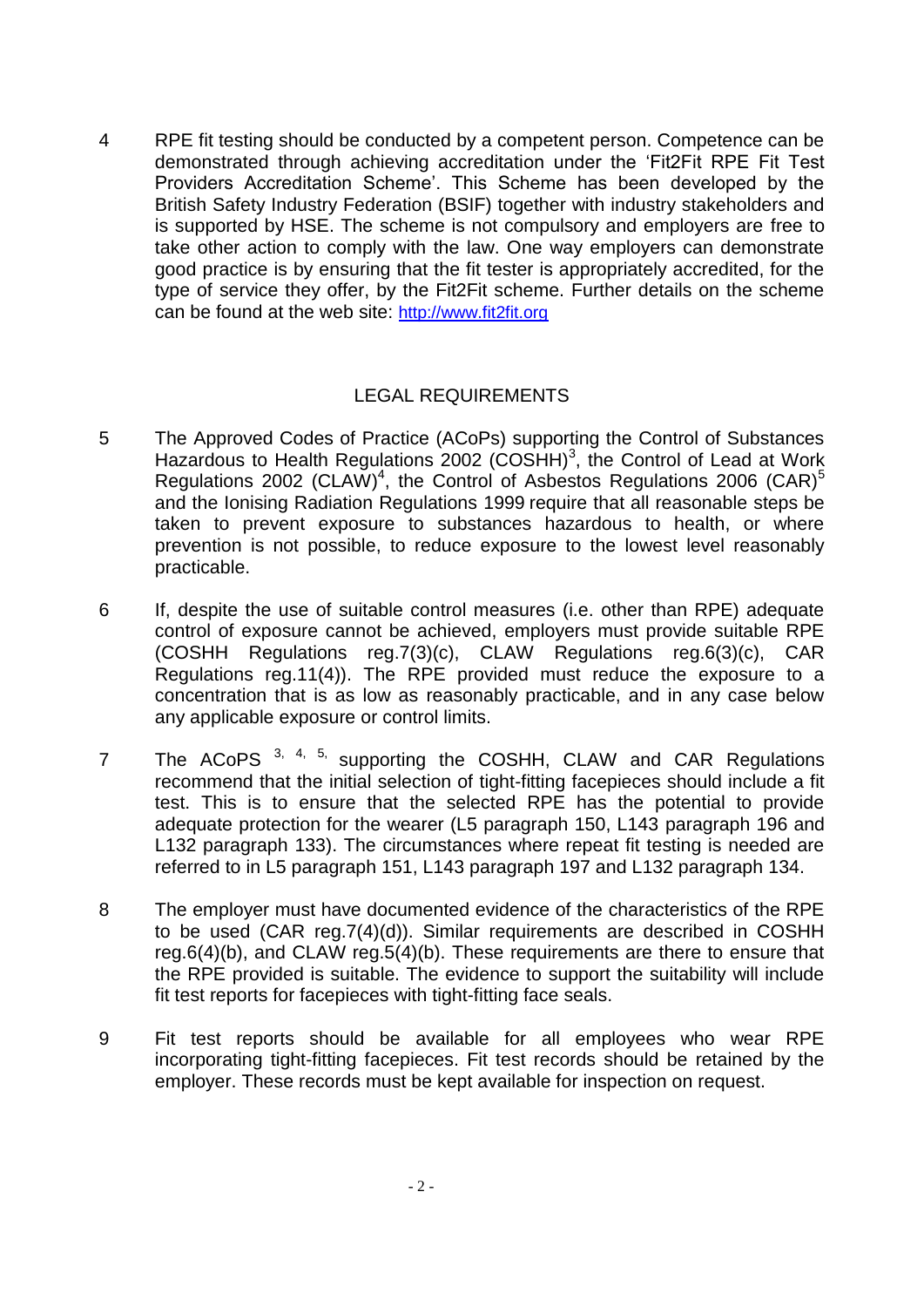4 RPE fit testing should be conducted by a competent person. Competence can be demonstrated through achieving accreditation under the 'Fit2Fit RPE Fit Test Providers Accreditation Scheme'. This Scheme has been developed by the British Safety Industry Federation (BSIF) together with industry stakeholders and is supported by HSE. The scheme is not compulsory and employers are free to take other action to comply with the law. One way employers can demonstrate good practice is by ensuring that the fit tester is appropriately accredited, for the type of service they offer, by the Fit2Fit scheme. Further details on the scheme can be found at the web site: [http://www.fit2fit.org](http://www.fit2fit.org/)

## LEGAL REQUIREMENTS

- 5 The Approved Codes of Practice (ACoPs) supporting the Control of Substances Hazardous to Health Regulations 2002 (COSHH)<sup>3</sup>, the Control of Lead at Work Regulations 2002 (CLAW)<sup>4</sup>, the Control of Asbestos Regulations 2006 (CAR)<sup>5</sup> and the Ionising Radiation Regulations 1999 require that all reasonable steps be taken to prevent exposure to substances hazardous to health, or where prevention is not possible, to reduce exposure to the lowest level reasonably practicable.
- 6 If, despite the use of suitable control measures (i.e. other than RPE) adequate control of exposure cannot be achieved, employers must provide suitable RPE (COSHH Regulations reg.7(3)(c), CLAW Regulations reg.6(3)(c), CAR Regulations reg.11(4)). The RPE provided must reduce the exposure to a concentration that is as low as reasonably practicable, and in any case below any applicable exposure or control limits.
- 7 The ACoPS <sup>3, 4, 5,</sup> supporting the COSHH, CLAW and CAR Regulations recommend that the initial selection of tight-fitting facepieces should include a fit test. This is to ensure that the selected RPE has the potential to provide adequate protection for the wearer (L5 paragraph 150, L143 paragraph 196 and L132 paragraph 133). The circumstances where repeat fit testing is needed are referred to in L5 paragraph 151, L143 paragraph 197 and L132 paragraph 134.
- 8 The employer must have documented evidence of the characteristics of the RPE to be used (CAR reg.7(4)(d)). Similar requirements are described in COSHH reg.6(4)(b), and CLAW reg.5(4)(b). These requirements are there to ensure that the RPE provided is suitable. The evidence to support the suitability will include fit test reports for facepieces with tight-fitting face seals.
- 9 Fit test reports should be available for all employees who wear RPE incorporating tight-fitting facepieces. Fit test records should be retained by the employer. These records must be kept available for inspection on request.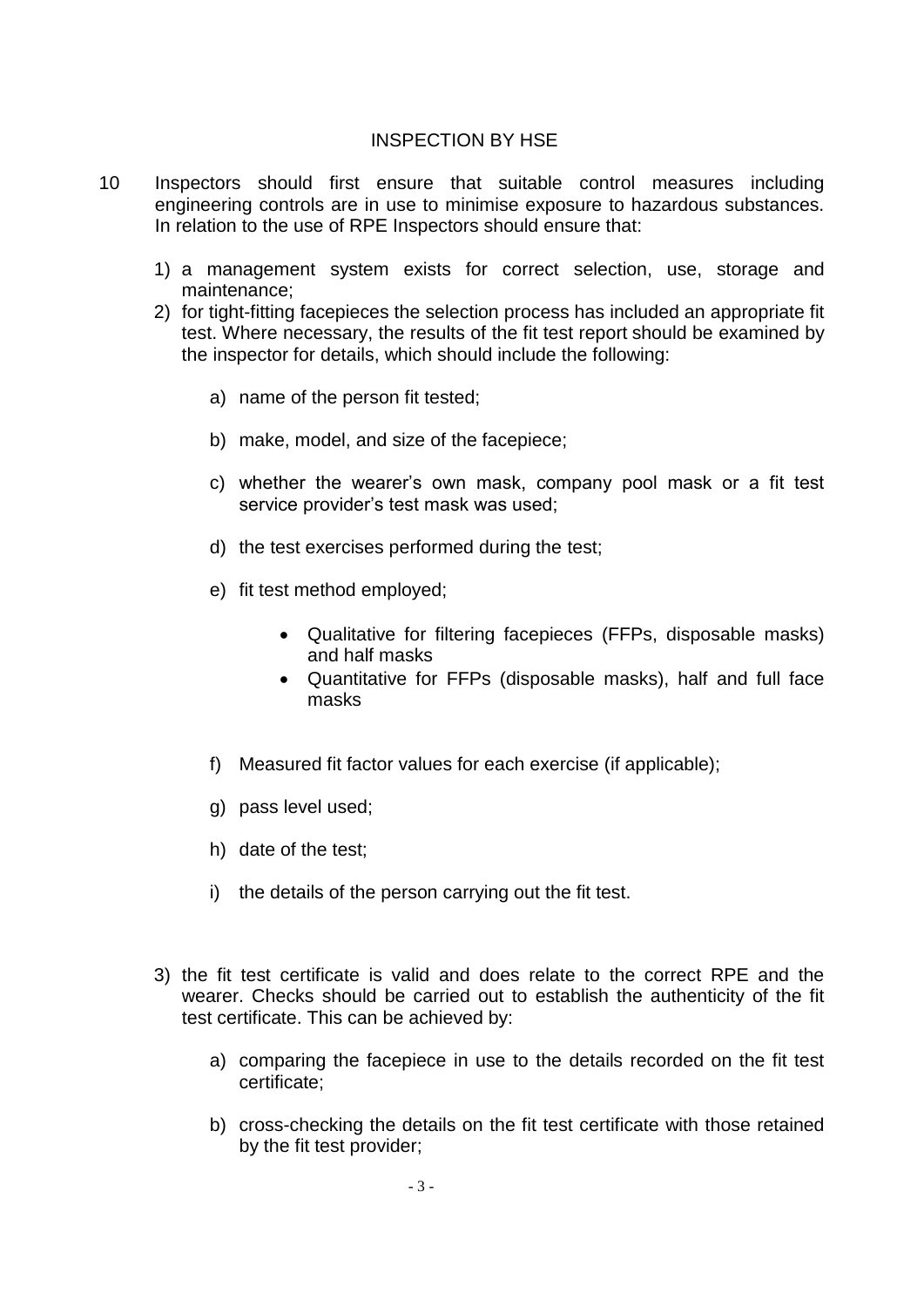#### INSPECTION BY HSE

- 10 Inspectors should first ensure that suitable control measures including engineering controls are in use to minimise exposure to hazardous substances. In relation to the use of RPE Inspectors should ensure that:
	- 1) a management system exists for correct selection, use, storage and maintenance;
	- 2) for tight-fitting facepieces the selection process has included an appropriate fit test. Where necessary, the results of the fit test report should be examined by the inspector for details, which should include the following:
		- a) name of the person fit tested;
		- b) make, model, and size of the facepiece;
		- c) whether the wearer's own mask, company pool mask or a fit test service provider's test mask was used;
		- d) the test exercises performed during the test;
		- e) fit test method employed;
			- Qualitative for filtering facepieces (FFPs, disposable masks) and half masks
			- Quantitative for FFPs (disposable masks), half and full face masks
		- f) Measured fit factor values for each exercise (if applicable);
		- g) pass level used;
		- h) date of the test;
		- i) the details of the person carrying out the fit test.
	- 3) the fit test certificate is valid and does relate to the correct RPE and the wearer. Checks should be carried out to establish the authenticity of the fit test certificate. This can be achieved by:
		- a) comparing the facepiece in use to the details recorded on the fit test certificate;
		- b) cross-checking the details on the fit test certificate with those retained by the fit test provider;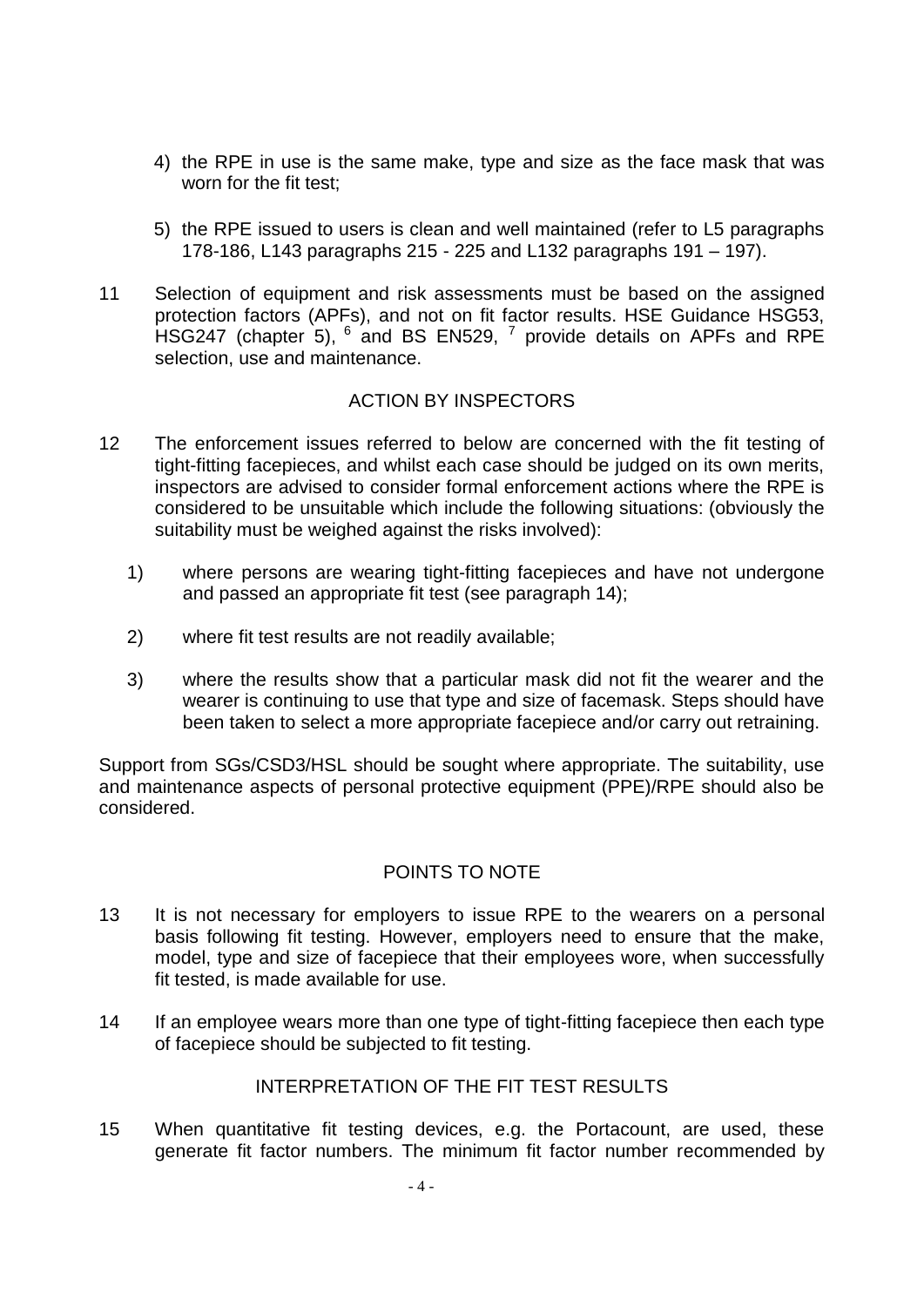- 4) the RPE in use is the same make, type and size as the face mask that was worn for the fit test;
- 5) the RPE issued to users is clean and well maintained (refer to L5 paragraphs 178-186, L143 paragraphs 215 - 225 and L132 paragraphs 191 – 197).
- 11 Selection of equipment and risk assessments must be based on the assigned protection factors (APFs), and not on fit factor results. HSE Guidance HSG53, HSG247 (chapter 5),  $^6$  and BS EN529,  $^7$  provide details on APFs and RPE selection, use and maintenance.

### ACTION BY INSPECTORS

- 12 The enforcement issues referred to below are concerned with the fit testing of tight-fitting facepieces, and whilst each case should be judged on its own merits, inspectors are advised to consider formal enforcement actions where the RPE is considered to be unsuitable which include the following situations: (obviously the suitability must be weighed against the risks involved):
	- 1) where persons are wearing tight-fitting facepieces and have not undergone and passed an appropriate fit test (see paragraph 14);
	- 2) where fit test results are not readily available;
	- 3) where the results show that a particular mask did not fit the wearer and the wearer is continuing to use that type and size of facemask. Steps should have been taken to select a more appropriate facepiece and/or carry out retraining.

Support from SGs/CSD3/HSL should be sought where appropriate. The suitability, use and maintenance aspects of personal protective equipment (PPE)/RPE should also be considered.

#### POINTS TO NOTE

- 13 It is not necessary for employers to issue RPE to the wearers on a personal basis following fit testing. However, employers need to ensure that the make, model, type and size of facepiece that their employees wore, when successfully fit tested, is made available for use.
- 14 If an employee wears more than one type of tight-fitting facepiece then each type of facepiece should be subjected to fit testing.

#### INTERPRETATION OF THE FIT TEST RESULTS.

15 When quantitative fit testing devices, e.g. the Portacount, are used, these generate fit factor numbers. The minimum fit factor number recommended by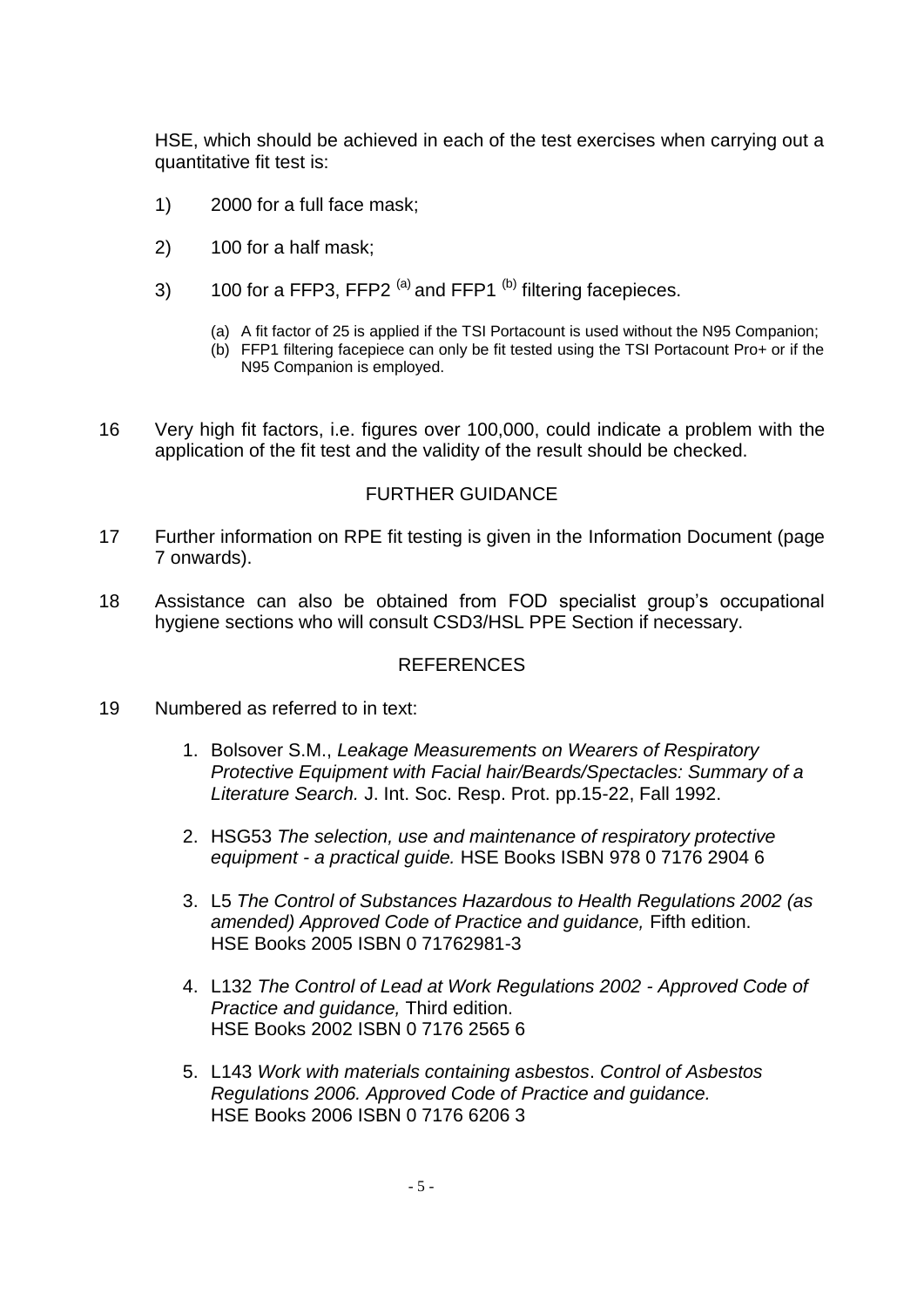HSE, which should be achieved in each of the test exercises when carrying out a quantitative fit test is:

- 1) 2000 for a full face mask;
- 2) 100 for a half mask;
- 3) 100 for a FFP3, FFP2  $(a)$  and FFP1  $(b)$  filtering facepieces.
	- (a) A fit factor of 25 is applied if the TSI Portacount is used without the N95 Companion;
	- (b) FFP1 filtering facepiece can only be fit tested using the TSI Portacount Pro+ or if the N95 Companion is employed.
- 16 Very high fit factors, i.e. figures over 100,000, could indicate a problem with the application of the fit test and the validity of the result should be checked.

#### FURTHER GUIDANCE

- 17 Further information on RPE fit testing is given in the [Information Do](../../../../../Reactive/Support/Active_jobs/JN0003129_PPE_Advice%202007-8/RPE_advice_2005-8/282_28%20Update%202008/282_28id.htm)cument (page 7 onwards).
- 18 Assistance can also be obtained from FOD specialist group's occupational hygiene sections who will consult CSD3/HSL PPE Section if necessary.

#### REFERENCES

- 19 Numbered as referred to in text:
	- 1. Bolsover S.M., *Leakage Measurements on Wearers of Respiratory Protective Equipment with Facial hair/Beards/Spectacles: Summary of a Literature Search.* J. Int. Soc. Resp. Prot. pp.15-22, Fall 1992.
	- 2. HSG53 *The selection, use and maintenance of respiratory protective equipment - a practical guide.* HSE Books ISBN 978 0 7176 2904 6
	- 3. L5 *The Control of Substances Hazardous to Health Regulations 2002 (as amended) Approved Code of Practice and guidance,* Fifth edition. HSE Books 2005 ISBN 0 71762981-3
	- 4. L132 *The Control of Lead at Work Regulations 2002 - Approved Code of Practice and guidance,* Third edition. HSE Books 2002 ISBN 0 7176 2565 6
	- 5. L143 *Work with materials containing asbestos*. *Control of Asbestos Regulations 2006. Approved Code of Practice and guidance.* HSE Books 2006 ISBN 0 7176 6206 3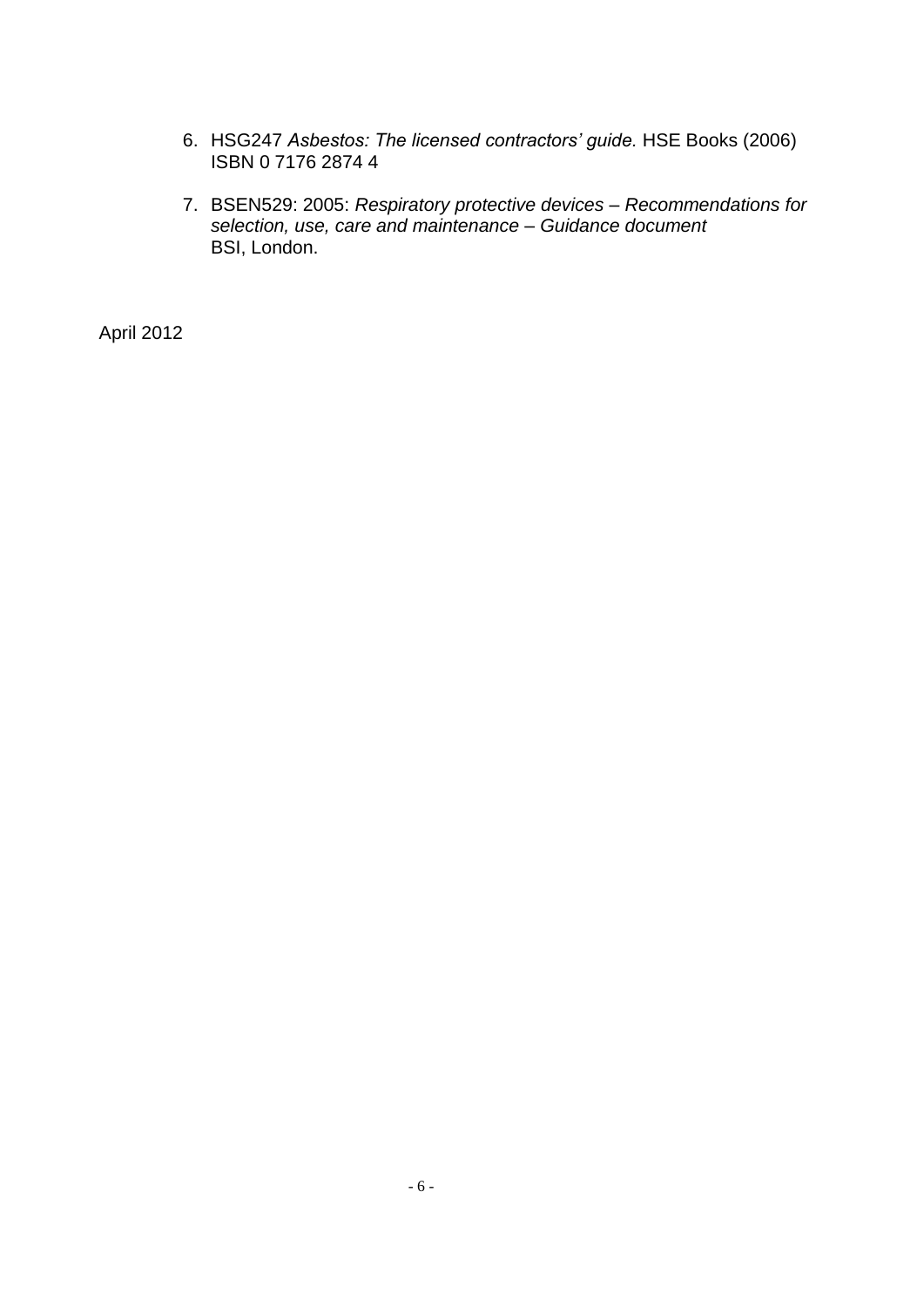- 6. HSG247 *Asbestos: The licensed contractors' guide.* HSE Books (2006) ISBN 0 7176 2874 4
- 7. BSEN529: 2005: *Respiratory protective devices – Recommendations for selection, use, care and maintenance – Guidance document* BSI, London.

April 2012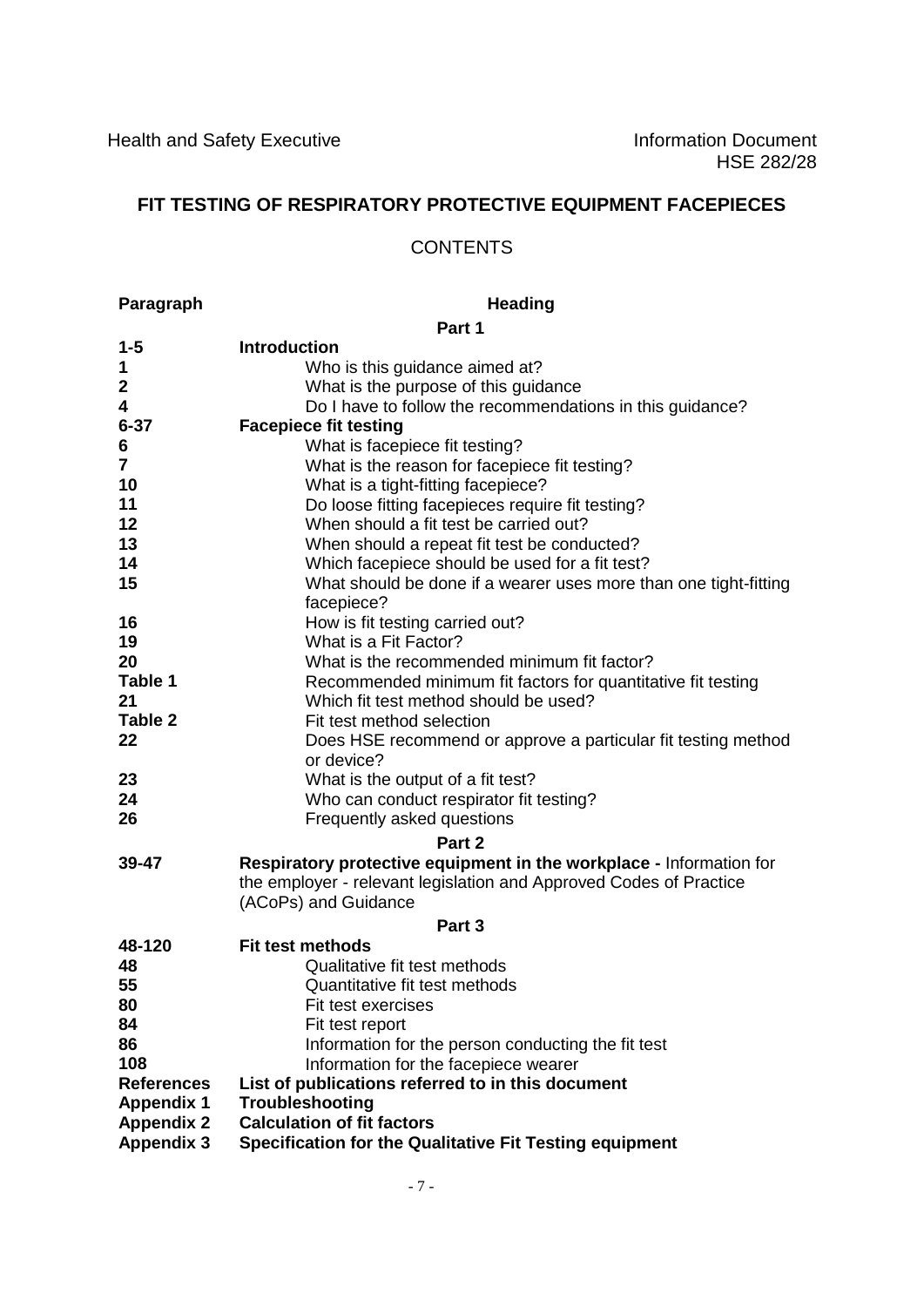# **FIT TESTING OF RESPIRATORY PROTECTIVE EQUIPMENT FACEPIECES**

#### **CONTENTS**

**Paragraph Heading** 

|                         | Part 1                                                                                                                                                            |
|-------------------------|-------------------------------------------------------------------------------------------------------------------------------------------------------------------|
| $1 - 5$                 | <b>Introduction</b>                                                                                                                                               |
| 1                       | Who is this guidance aimed at?                                                                                                                                    |
| $\mathbf{2}$            | What is the purpose of this guidance                                                                                                                              |
| 4                       | Do I have to follow the recommendations in this guidance?                                                                                                         |
| $6 - 37$                | <b>Facepiece fit testing</b>                                                                                                                                      |
| 6                       | What is facepiece fit testing?                                                                                                                                    |
| $\overline{\mathbf{7}}$ | What is the reason for facepiece fit testing?                                                                                                                     |
| 10                      | What is a tight-fitting facepiece?                                                                                                                                |
| 11                      | Do loose fitting facepieces require fit testing?                                                                                                                  |
| 12                      | When should a fit test be carried out?                                                                                                                            |
| 13                      | When should a repeat fit test be conducted?                                                                                                                       |
| 14                      | Which facepiece should be used for a fit test?                                                                                                                    |
| 15                      | What should be done if a wearer uses more than one tight-fitting<br>facepiece?                                                                                    |
| 16                      | How is fit testing carried out?                                                                                                                                   |
| 19                      | What is a Fit Factor?                                                                                                                                             |
| 20                      | What is the recommended minimum fit factor?                                                                                                                       |
| Table 1                 | Recommended minimum fit factors for quantitative fit testing                                                                                                      |
| 21                      | Which fit test method should be used?                                                                                                                             |
| Table 2                 | Fit test method selection                                                                                                                                         |
| 22                      | Does HSE recommend or approve a particular fit testing method<br>or device?                                                                                       |
| 23                      | What is the output of a fit test?                                                                                                                                 |
| 24                      | Who can conduct respirator fit testing?                                                                                                                           |
| 26                      | Frequently asked questions                                                                                                                                        |
|                         | Part 2                                                                                                                                                            |
| 39-47                   | Respiratory protective equipment in the workplace - Information for<br>the employer - relevant legislation and Approved Codes of Practice<br>(ACoPs) and Guidance |
|                         | Part 3                                                                                                                                                            |
| 48-120                  | <b>Fit test methods</b>                                                                                                                                           |
| 48                      | Qualitative fit test methods                                                                                                                                      |
| 55                      | Quantitative fit test methods                                                                                                                                     |
| 80                      | Fit test exercises                                                                                                                                                |
| 84                      | Fit test report                                                                                                                                                   |
| 86                      | Information for the person conducting the fit test                                                                                                                |
| 108                     | Information for the facepiece wearer                                                                                                                              |
| <b>References</b>       | List of publications referred to in this document                                                                                                                 |
| <b>Appendix 1</b>       | Troubleshooting                                                                                                                                                   |
| <b>Appendix 2</b>       | <b>Calculation of fit factors</b>                                                                                                                                 |
| <b>Appendix 3</b>       | Specification for the Qualitative Fit Testing equipment                                                                                                           |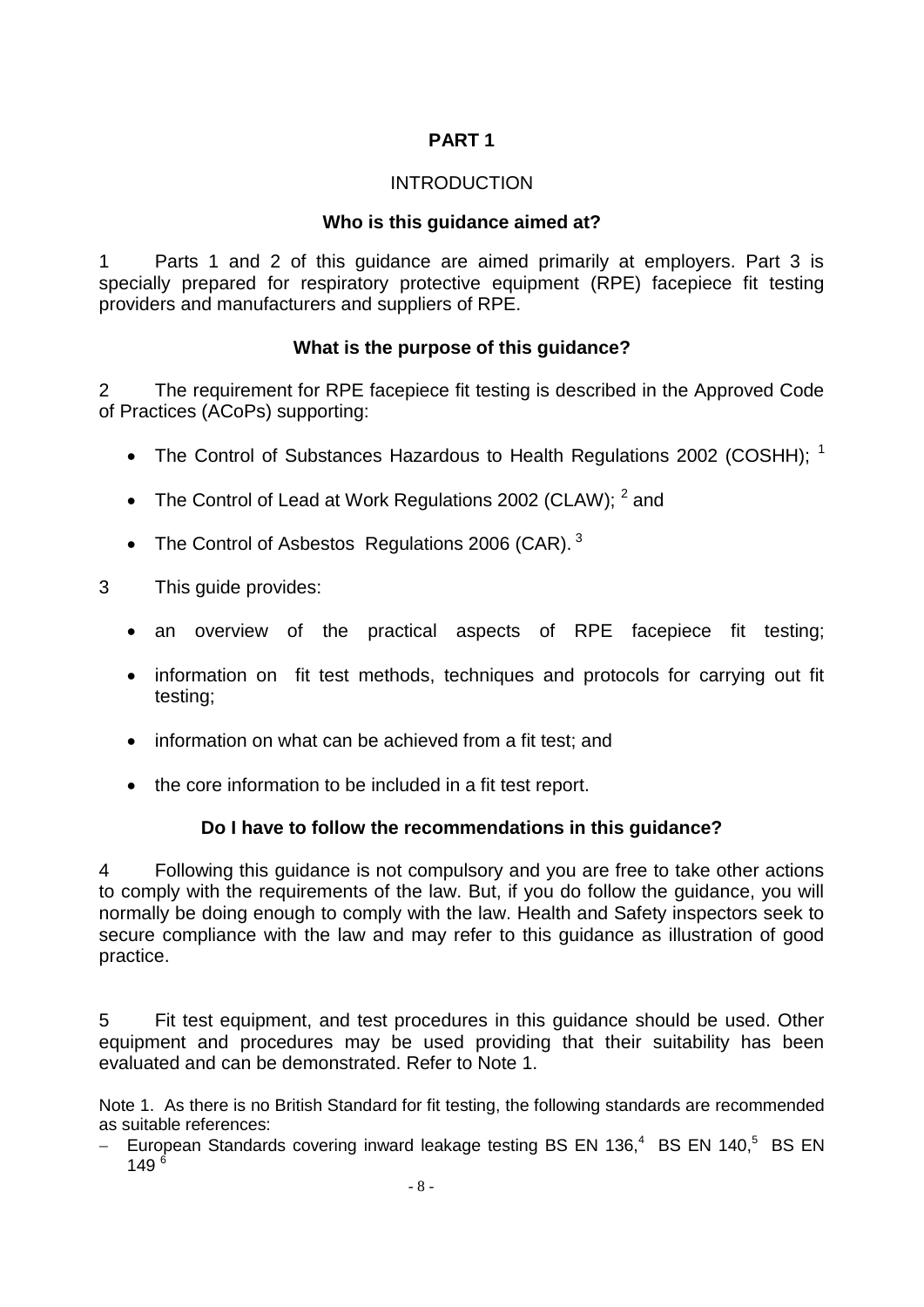### **PART 1**

#### INTRODUCTION

#### **Who is this guidance aimed at?**

1 Parts 1 and 2 of this guidance are aimed primarily at employers. Part 3 is specially prepared for respiratory protective equipment (RPE) facepiece fit testing providers and manufacturers and suppliers of RPE.

### **What is the purpose of this guidance?**

2 The requirement for RPE facepiece fit testing is described in the Approved Code of Practices (ACoPs) supporting:

- The Control of Substances Hazardous to Health Regulations 2002 (COSHH);  $^1$
- The Control of Lead at Work Regulations 2002 (CLAW);  $^2$  and
- The Control of Asbestos Regulations 2006 (CAR).  $3$
- 3 This guide provides:
	- an overview of the practical aspects of RPE facepiece fit testing;
	- information on fit test methods, techniques and protocols for carrying out fit testing;
	- information on what can be achieved from a fit test: and
	- the core information to be included in a fit test report.

### **Do I have to follow the recommendations in this guidance?**

4 Following this guidance is not compulsory and you are free to take other actions to comply with the requirements of the law. But, if you do follow the guidance, you will normally be doing enough to comply with the law. Health and Safety inspectors seek to secure compliance with the law and may refer to this guidance as illustration of good practice.

5 Fit test equipment, and test procedures in this guidance should be used. Other equipment and procedures may be used providing that their suitability has been evaluated and can be demonstrated. Refer to Note 1.

Note 1. As there is no British Standard for fit testing, the following standards are recommended as suitable references:

- European Standards covering inward leakage testing BS EN 136,<sup>4</sup> BS EN 140,<sup>5</sup> BS EN 149 $^{6}$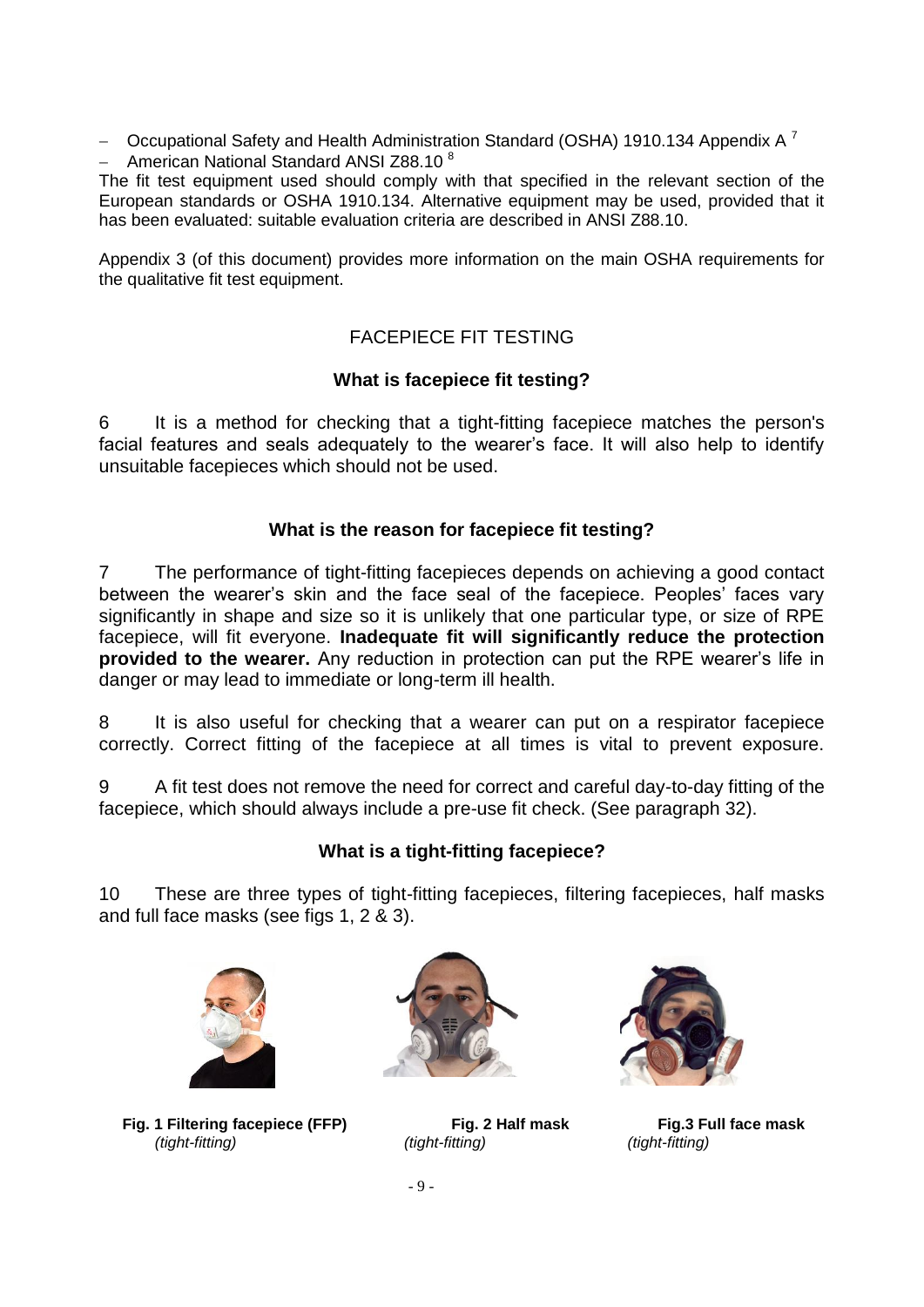- Occupational Safety and Health Administration Standard (OSHA) 1910.134 Appendix A<sup>7</sup> - American National Standard ANSI Z88.10 $8$ 

The fit test equipment used should comply with that specified in the relevant section of the European standards or OSHA 1910.134. Alternative equipment may be used, provided that it has been evaluated: suitable evaluation criteria are described in ANSI Z88.10.

Appendix 3 (of this document) provides more information on the main OSHA requirements for the qualitative fit test equipment.

## FACEPIECE FIT TESTING

### **What is facepiece fit testing?**

6 It is a method for checking that a tight-fitting facepiece matches the person's facial features and seals adequately to the wearer's face. It will also help to identify unsuitable facepieces which should not be used.

### **What is the reason for facepiece fit testing?**

7 The performance of tight-fitting facepieces depends on achieving a good contact between the wearer's skin and the face seal of the facepiece. Peoples' faces vary significantly in shape and size so it is unlikely that one particular type, or size of RPE facepiece, will fit everyone. **Inadequate fit will significantly reduce the protection provided to the wearer.** Any reduction in protection can put the RPE wearer's life in danger or may lead to immediate or long-term ill health.

8 It is also useful for checking that a wearer can put on a respirator facepiece correctly. Correct fitting of the facepiece at all times is vital to prevent exposure.

9 A fit test does not remove the need for correct and careful day-to-day fitting of the facepiece, which should always include a pre-use fit check. (See paragraph 32).

### **What is a tight-fitting facepiece?**

10 These are three types of tight-fitting facepieces, filtering facepieces, half masks and full face masks (see figs 1, 2 & 3).



**Fig. 1 Filtering facepiece (FFP) Fig. 2 Half mask Fig.3 Full face mask** *(tight-fitting) (tight-fitting) (tight-fitting)*



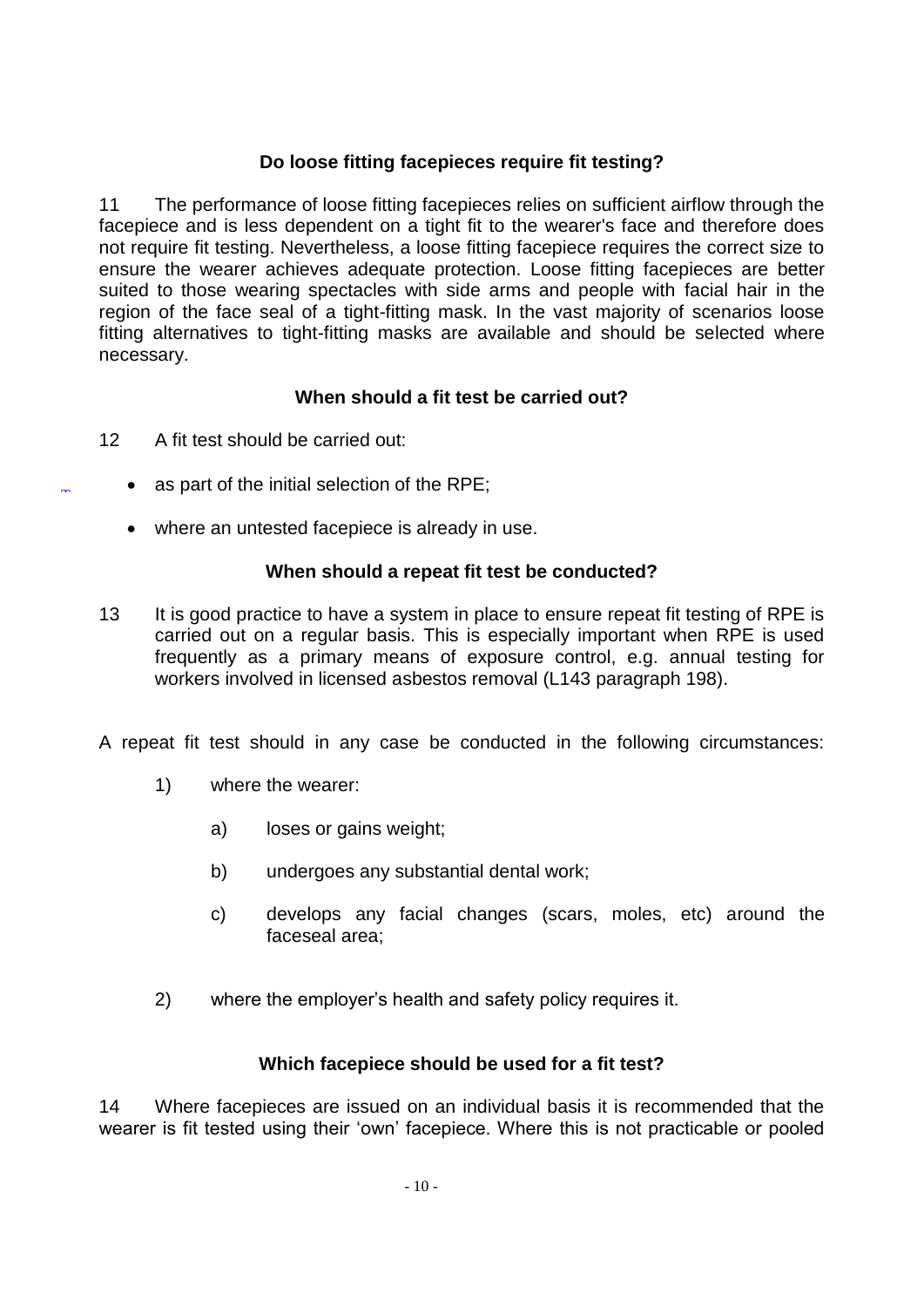### **Do loose fitting facepieces require fit testing?**

11 The performance of loose fitting facepieces relies on sufficient airflow through the facepiece and is less dependent on a tight fit to the wearer's face and therefore does not require fit testing. Nevertheless, a loose fitting facepiece requires the correct size to ensure the wearer achieves adequate protection. Loose fitting facepieces are better suited to those wearing spectacles with side arms and people with facial hair in the region of the face seal of a tight-fitting mask. In the vast majority of scenarios loose fitting alternatives to tight-fitting masks are available and should be selected where necessary.

### **When should a fit test be carried out?**

12 A fit test should be carried out:

[T](#page-0-0)

- as part of the initial selection of the RPE;
- where an untested facepiece is already in use.

#### **When should a repeat fit test be conducted?**

13 It is good practice to have a system in place to ensure repeat fit testing of RPE is carried out on a regular basis. This is especially important when RPE is used frequently as a primary means of exposure control, e.g. annual testing for workers involved in licensed asbestos removal (L143 paragraph 198).

A repeat fit test should in any case be conducted in the following circumstances:

- 1) where the wearer:
	- a) loses or gains weight;
	- b) undergoes any substantial dental work;
	- c) develops any facial changes (scars, moles, etc) around the faceseal area;
- 2) where the employer's health and safety policy requires it.

#### **Which facepiece should be used for a fit test?**

14 Where facepieces are issued on an individual basis it is recommended that the wearer is fit tested using their 'own' facepiece. Where this is not practicable or pooled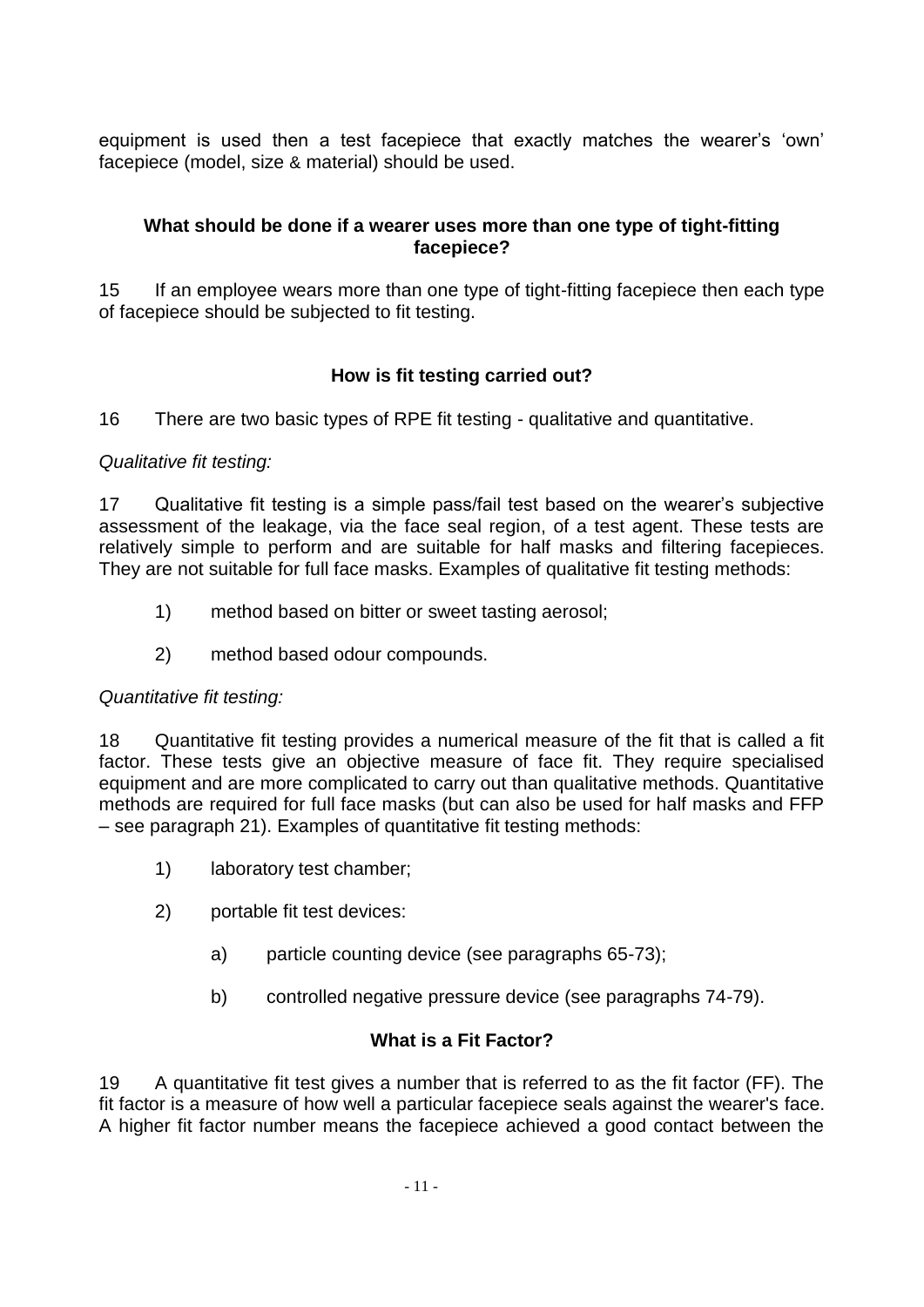equipment is used then a test facepiece that exactly matches the wearer's 'own' facepiece (model, size & material) should be used.

### **What should be done if a wearer uses more than one type of tight-fitting facepiece?**

15 If an employee wears more than one type of tight-fitting facepiece then each type of facepiece should be subjected to fit testing.

# **How is fit testing carried out?**

16 There are two basic types of RPE fit testing - qualitative and quantitative.

### *Qualitative fit testing:*

17 Qualitative fit testing is a simple pass/fail test based on the wearer's subjective assessment of the leakage, via the face seal region, of a test agent. These tests are relatively simple to perform and are suitable for half masks and filtering facepieces. They are not suitable for full face masks. Examples of qualitative fit testing methods:

- 1) method based on bitter or sweet tasting aerosol;
- 2) method based odour compounds.

#### *Quantitative fit testing:*

18 Quantitative fit testing provides a numerical measure of the fit that is called a fit factor. These tests give an objective measure of face fit. They require specialised equipment and are more complicated to carry out than qualitative methods. Quantitative methods are required for full face masks (but can also be used for half masks and FFP – see paragraph 21). Examples of quantitative fit testing methods:

- 1) laboratory test chamber;
- 2) portable fit test devices:
	- a) particle counting device (see paragraphs 65-73);
	- b) controlled negative pressure device (see paragraphs 74-79).

### **What is a Fit Factor?**

19 A quantitative fit test gives a number that is referred to as the fit factor (FF). The fit factor is a measure of how well a particular facepiece seals against the wearer's face. A higher fit factor number means the facepiece achieved a good contact between the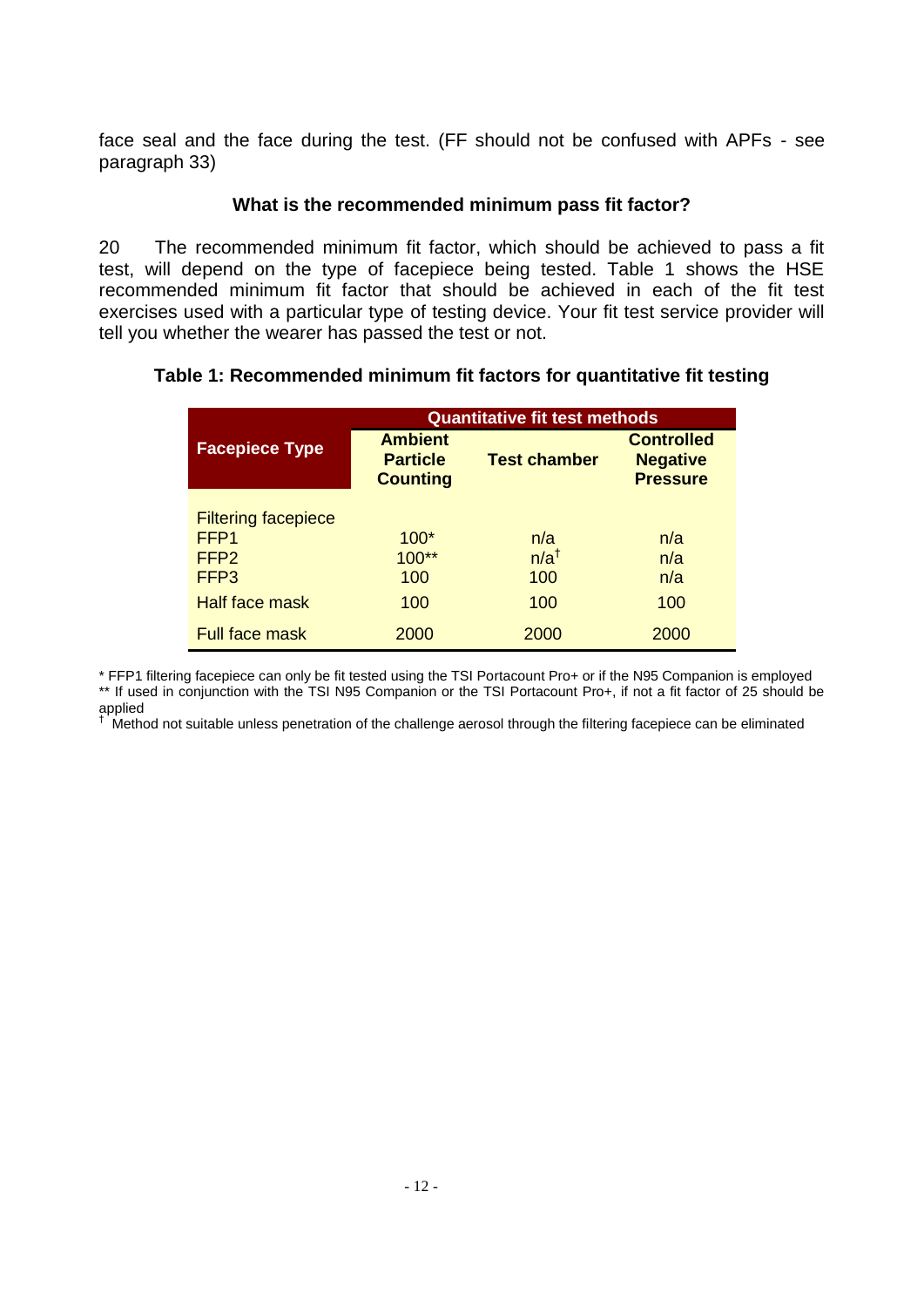face seal and the face during the test. (FF should not be confused with APFs - see paragraph 33)

### **What is the recommended minimum pass fit factor?**

20 The recommended minimum fit factor, which should be achieved to pass a fit test, will depend on the type of facepiece being tested. Table 1 shows the HSE recommended minimum fit factor that should be achieved in each of the fit test exercises used with a particular type of testing device. Your fit test service provider will tell you whether the wearer has passed the test or not.

### **Table 1: Recommended minimum fit factors for quantitative fit testing**

|                                                                | <b>Quantitative fit test methods</b>                                        |                               |                                                         |  |
|----------------------------------------------------------------|-----------------------------------------------------------------------------|-------------------------------|---------------------------------------------------------|--|
| <b>Facepiece Type</b>                                          | <b>Ambient</b><br><b>Test chamber</b><br><b>Particle</b><br><b>Counting</b> |                               | <b>Controlled</b><br><b>Negative</b><br><b>Pressure</b> |  |
| <b>Filtering facepiece</b><br>FFP1<br>FFP <sub>2</sub><br>FFP3 | $100*$<br>$100**$<br>100                                                    | n/a<br>$n/a^{\dagger}$<br>100 | n/a<br>n/a<br>n/a                                       |  |
| <b>Half face mask</b>                                          | 100                                                                         | 100                           | 100                                                     |  |
| <b>Full face mask</b>                                          | 2000                                                                        | 2000                          | 2000                                                    |  |

\* FFP1 filtering facepiece can only be fit tested using the TSI Portacount Pro+ or if the N95 Companion is employed \*\* If used in conjunction with the TSI N95 Companion or the TSI Portacount Pro+, if not a fit factor of 25 should be applied †

Method not suitable unless penetration of the challenge aerosol through the filtering facepiece can be eliminated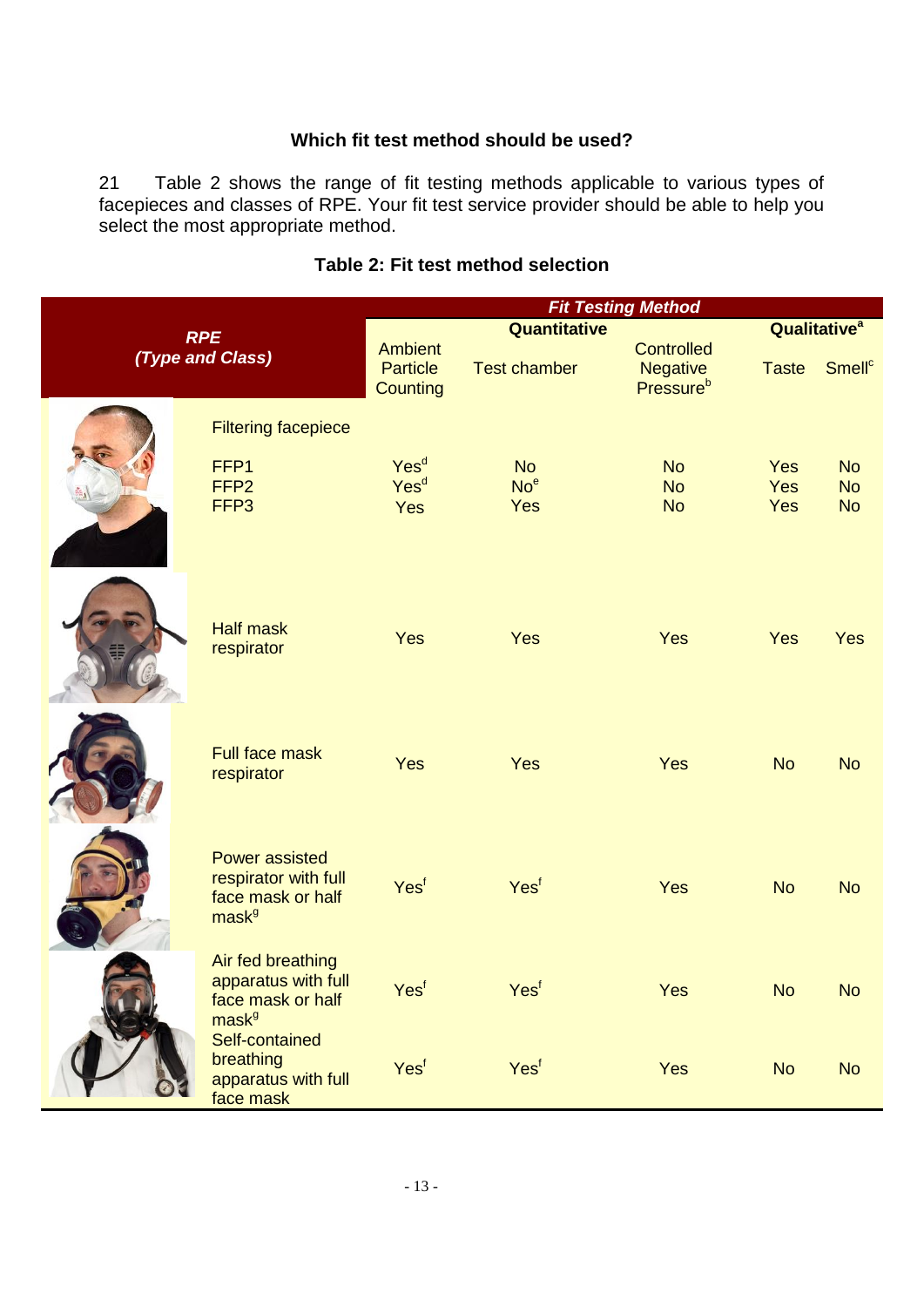#### **Which fit test method should be used?**

21 Table 2 shows the range of fit testing methods applicable to various types of facepieces and classes of RPE. Your fit test service provider should be able to help you select the most appropriate method.

|                                |                                                                                         | <b>Fit Testing Method</b>                            |                     |                                                        |                                 |                          |
|--------------------------------|-----------------------------------------------------------------------------------------|------------------------------------------------------|---------------------|--------------------------------------------------------|---------------------------------|--------------------------|
| <b>RPE</b><br>(Type and Class) |                                                                                         | Quantitative                                         |                     |                                                        | <b>Qualitative</b> <sup>a</sup> |                          |
|                                |                                                                                         | <b>Ambient</b><br><b>Particle</b><br><b>Counting</b> | <b>Test chamber</b> | <b>Controlled</b><br>Negative<br>Pressure <sup>b</sup> | <b>Taste</b>                    | <b>Smell<sup>c</sup></b> |
|                                | <b>Filtering facepiece</b>                                                              |                                                      |                     |                                                        |                                 |                          |
|                                | FFP1                                                                                    | Yes <sup>d</sup>                                     | <b>No</b>           | <b>No</b>                                              | Yes                             | <b>No</b>                |
|                                | FFP <sub>2</sub>                                                                        | Yes <sup>d</sup>                                     | No <sup>e</sup>     | <b>No</b>                                              | <b>Yes</b>                      | <b>No</b>                |
|                                | FFP <sub>3</sub>                                                                        | Yes                                                  | Yes                 | <b>No</b>                                              | Yes                             | <b>No</b>                |
|                                | <b>Half mask</b><br>respirator                                                          | Yes                                                  | Yes                 | Yes                                                    | Yes                             | <b>Yes</b>               |
|                                | <b>Full face mask</b><br>respirator                                                     | Yes                                                  | Yes                 | Yes                                                    | <b>No</b>                       | <b>No</b>                |
|                                | <b>Power assisted</b><br>respirator with full<br>face mask or half<br>mask <sup>g</sup> | Yesf                                                 | Yesf                | Yes                                                    | <b>No</b>                       | <b>No</b>                |
|                                | Air fed breathing<br>apparatus with full<br>face mask or half<br>mask <sup>g</sup>      | Yes <sup>f</sup>                                     | Yes <sup>f</sup>    | Yes                                                    | <b>No</b>                       | <b>No</b>                |
|                                | Self-contained<br>breathing<br>apparatus with full<br>face mask                         | Yesf                                                 | Yest                | Yes                                                    | <b>No</b>                       | <b>No</b>                |

### **Table 2: Fit test method selection**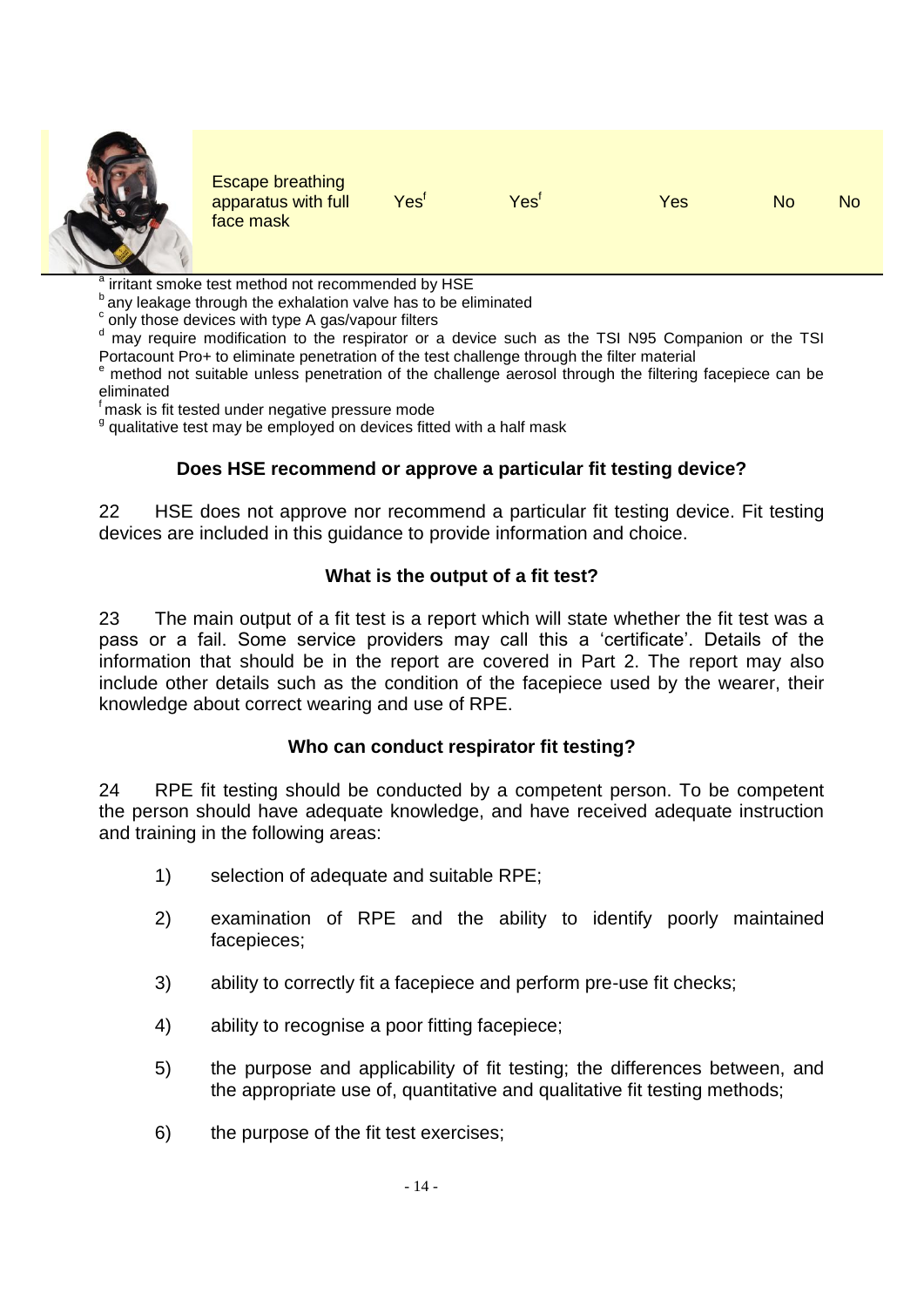

Escape breathing apparatus with full face mask

Yes<sup>f</sup> Yes<sup>f</sup> Yes No No

a irritant smoke test method not recommended by HSE

any leakage through the exhalation valve has to be eliminated

c only those devices with type A gas/vapour filters

<sup>d</sup> may require modification to the respirator or a device such as the TSI N95 Companion or the TSI Portacount Pro+ to eliminate penetration of the test challenge through the filter material

<sup>e</sup> method not suitable unless penetration of the challenge aerosol through the filtering facepiece can be eliminated

mask is fit tested under negative pressure mode

<sup>g</sup> qualitative test may be employed on devices fitted with a half mask

#### **Does HSE recommend or approve a particular fit testing device?**

22 HSE does not approve nor recommend a particular fit testing device. Fit testing devices are included in this guidance to provide information and choice.

#### **What is the output of a fit test?**

23 The main output of a fit test is a report which will state whether the fit test was a pass or a fail. Some service providers may call this a 'certificate'. Details of the information that should be in the report are covered in Part 2. The report may also include other details such as the condition of the facepiece used by the wearer, their knowledge about correct wearing and use of RPE.

#### **Who can conduct respirator fit testing?**

24 RPE fit testing should be conducted by a competent person. To be competent the person should have adequate knowledge, and have received adequate instruction and training in the following areas:

- 1) selection of adequate and suitable RPE;
- 2) examination of RPE and the ability to identify poorly maintained facepieces;
- 3) ability to correctly fit a facepiece and perform pre-use fit checks;
- 4) ability to recognise a poor fitting facepiece;
- 5) the purpose and applicability of fit testing; the differences between, and the appropriate use of, quantitative and qualitative fit testing methods;
- 6) the purpose of the fit test exercises;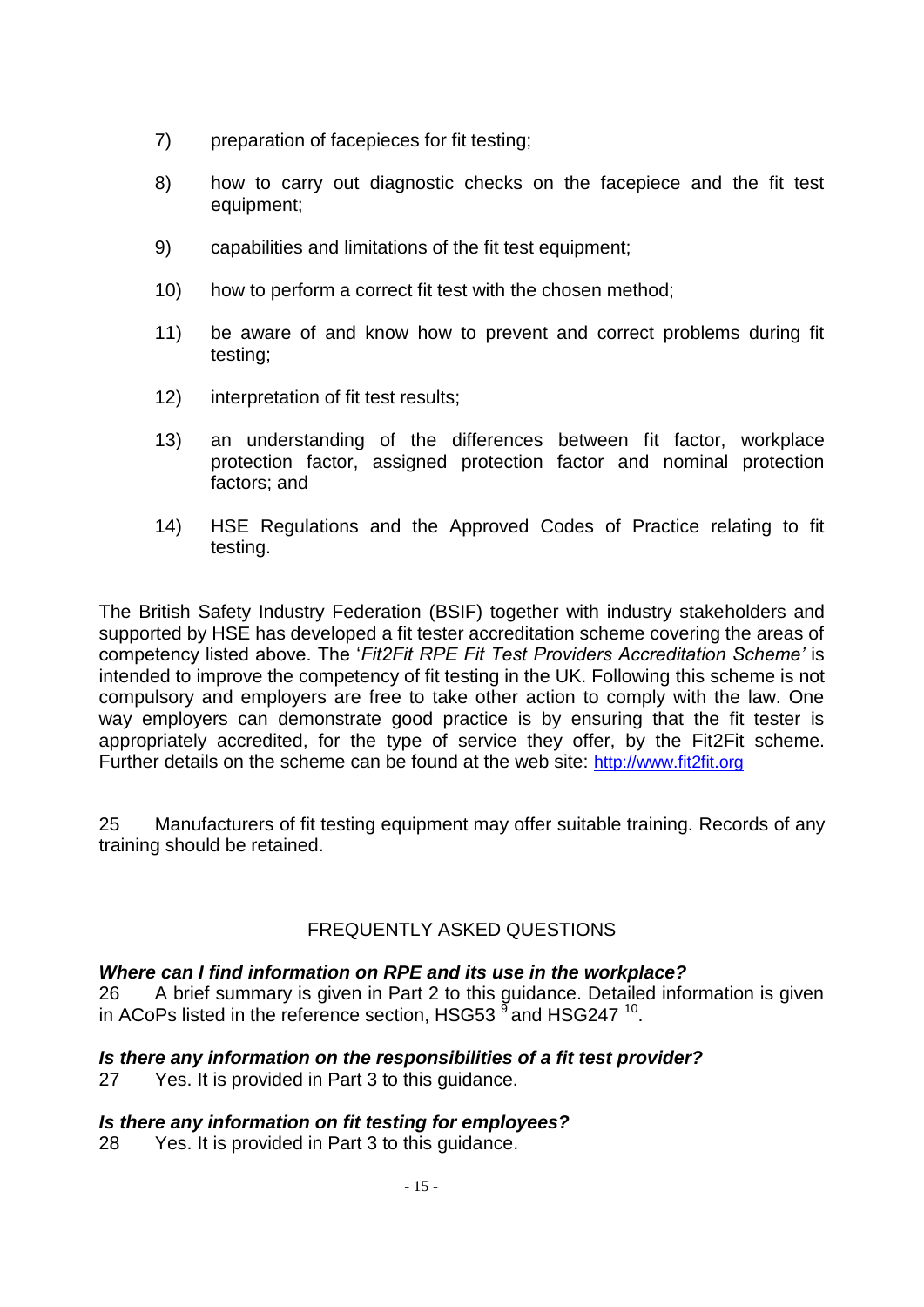- 7) preparation of facepieces for fit testing;
- 8) how to carry out diagnostic checks on the facepiece and the fit test equipment;
- 9) capabilities and limitations of the fit test equipment;
- 10) how to perform a correct fit test with the chosen method;
- 11) be aware of and know how to prevent and correct problems during fit testing;
- 12) interpretation of fit test results;
- 13) an understanding of the differences between fit factor, workplace protection factor, assigned protection factor and nominal protection factors; and
- 14) HSE Regulations and the Approved Codes of Practice relating to fit testing.

The British Safety Industry Federation (BSIF) together with industry stakeholders and supported by HSE has developed a fit tester accreditation scheme covering the areas of competency listed above. The '*Fit2Fit RPE Fit Test Providers Accreditation Scheme'* is intended to improve the competency of fit testing in the UK. Following this scheme is not compulsory and employers are free to take other action to comply with the law. One way employers can demonstrate good practice is by ensuring that the fit tester is appropriately accredited, for the type of service they offer, by the Fit2Fit scheme. Further details on the scheme can be found at the web site: [http://www.fit2fit.org](http://www.fit2fit.org/)

25 Manufacturers of fit testing equipment may offer suitable training. Records of any training should be retained.

### FREQUENTLY ASKED QUESTIONS

#### *Where can I find information on RPE and its use in the workplace?*

26 A brief summary is given in Part 2 to this guidance. Detailed information is given in ACoPs listed in the reference section, HSG53  $^{\circ}$  and HSG247  $^{10}$ .

#### *Is there any information on the responsibilities of a fit test provider?*

27 Yes. It is provided in Part 3 to this guidance.

#### *Is there any information on fit testing for employees?*

28 Yes. It is provided in Part 3 to this guidance.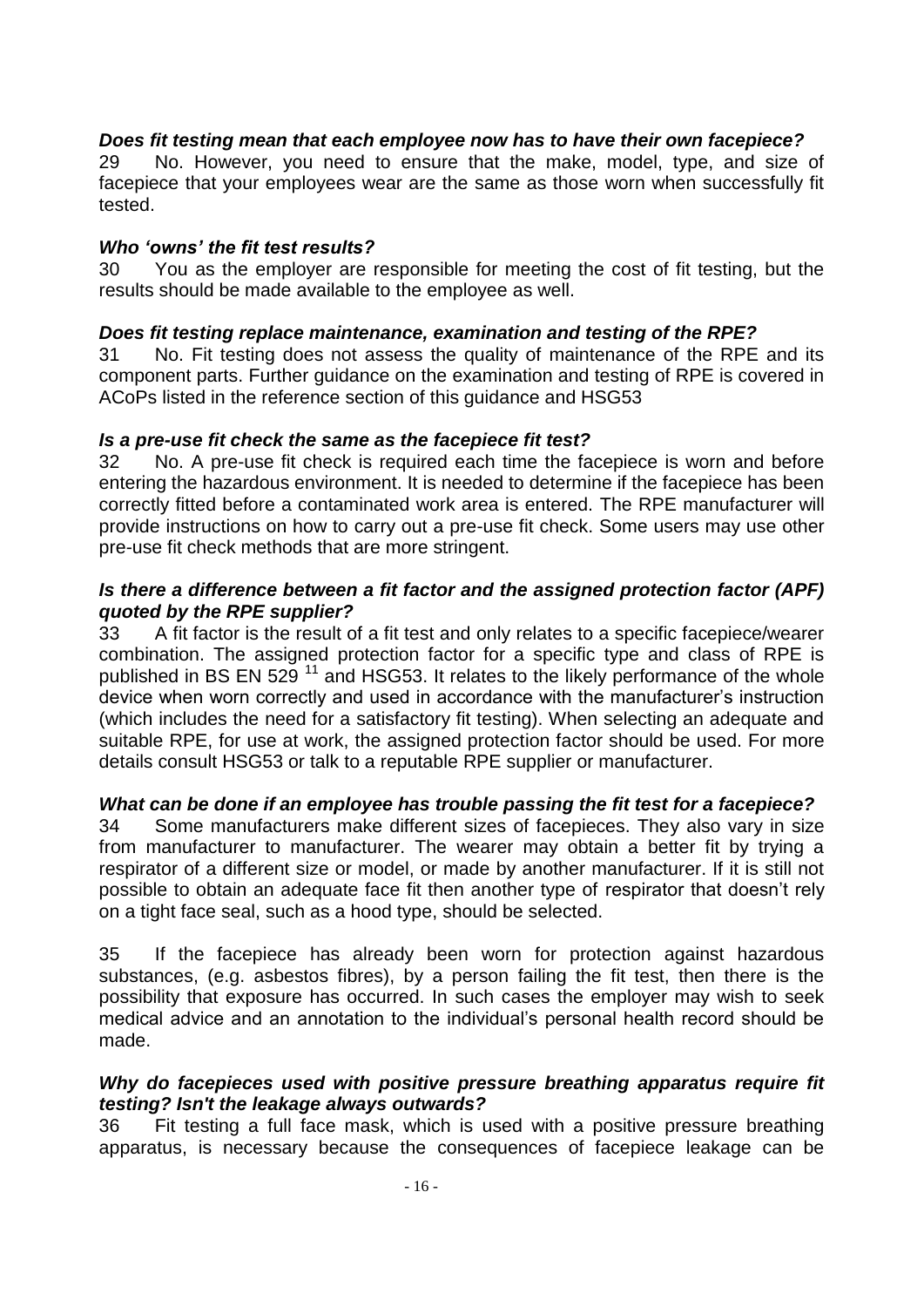### *Does fit testing mean that each employee now has to have their own facepiece?*

29 No. However, you need to ensure that the make, model, type, and size of facepiece that your employees wear are the same as those worn when successfully fit tested.

#### *Who 'owns' the fit test results?*

30 You as the employer are responsible for meeting the cost of fit testing, but the results should be made available to the employee as well.

#### *Does fit testing replace maintenance, examination and testing of the RPE?*

31 No. Fit testing does not assess the quality of maintenance of the RPE and its component parts. Further guidance on the examination and testing of RPE is covered in ACoPs listed in the reference section of this guidance and HSG53

#### *Is a pre-use fit check the same as the facepiece fit test?*

32 No. A pre-use fit check is required each time the facepiece is worn and before entering the hazardous environment. It is needed to determine if the facepiece has been correctly fitted before a contaminated work area is entered. The RPE manufacturer will provide instructions on how to carry out a pre-use fit check. Some users may use other pre-use fit check methods that are more stringent.

#### *Is there a difference between a fit factor and the assigned protection factor (APF) quoted by the RPE supplier?*

33 A fit factor is the result of a fit test and only relates to a specific facepiece/wearer combination. The assigned protection factor for a specific type and class of RPE is published in BS EN  $529^{11}$  and HSG53. It relates to the likely performance of the whole device when worn correctly and used in accordance with the manufacturer's instruction (which includes the need for a satisfactory fit testing). When selecting an adequate and suitable RPE, for use at work, the assigned protection factor should be used. For more details consult HSG53 or talk to a reputable RPE supplier or manufacturer.

#### *What can be done if an employee has trouble passing the fit test for a facepiece?*

34 Some manufacturers make different sizes of facepieces. They also vary in size from manufacturer to manufacturer. The wearer may obtain a better fit by trying a respirator of a different size or model, or made by another manufacturer. If it is still not possible to obtain an adequate face fit then another type of respirator that doesn't rely on a tight face seal, such as a hood type, should be selected.

35 If the facepiece has already been worn for protection against hazardous substances, (e.g. asbestos fibres), by a person failing the fit test, then there is the possibility that exposure has occurred. In such cases the employer may wish to seek medical advice and an annotation to the individual's personal health record should be made.

#### *Why do facepieces used with positive pressure breathing apparatus require fit testing? Isn't the leakage always outwards?*

36 Fit testing a full face mask, which is used with a positive pressure breathing apparatus, is necessary because the consequences of facepiece leakage can be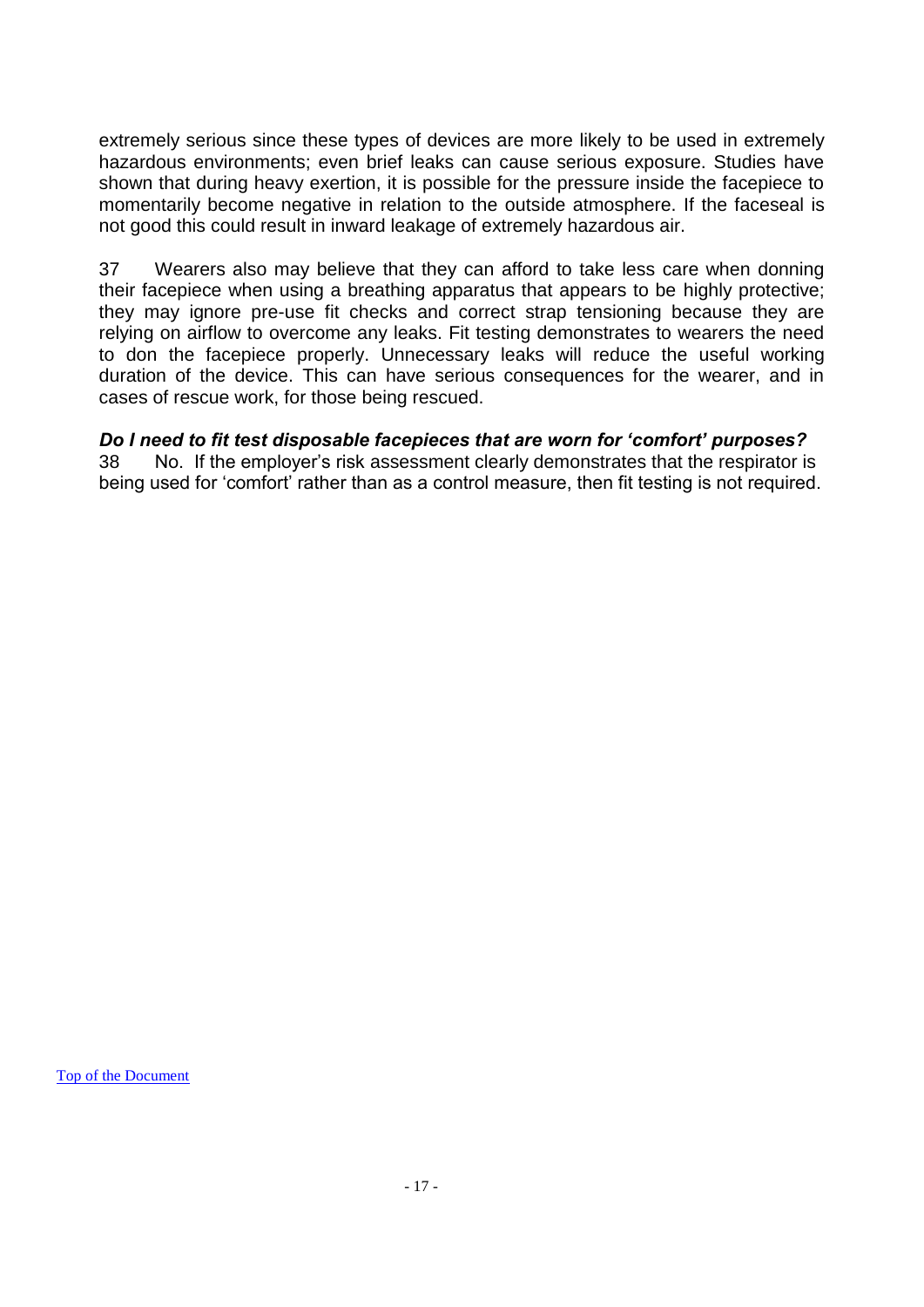extremely serious since these types of devices are more likely to be used in extremely hazardous environments; even brief leaks can cause serious exposure. Studies have shown that during heavy exertion, it is possible for the pressure inside the facepiece to momentarily become negative in relation to the outside atmosphere. If the faceseal is not good this could result in inward leakage of extremely hazardous air.

37 Wearers also may believe that they can afford to take less care when donning their facepiece when using a breathing apparatus that appears to be highly protective; they may ignore pre-use fit checks and correct strap tensioning because they are relying on airflow to overcome any leaks. Fit testing demonstrates to wearers the need to don the facepiece properly. Unnecessary leaks will reduce the useful working duration of the device. This can have serious consequences for the wearer, and in cases of rescue work, for those being rescued.

#### *Do I need to fit test disposable facepieces that are worn for 'comfort' purposes?*

38 No. If the employer's risk assessment clearly demonstrates that the respirator is being used for 'comfort' rather than as a control measure, then fit testing is not required.

[Top of the Document](#page-0-0)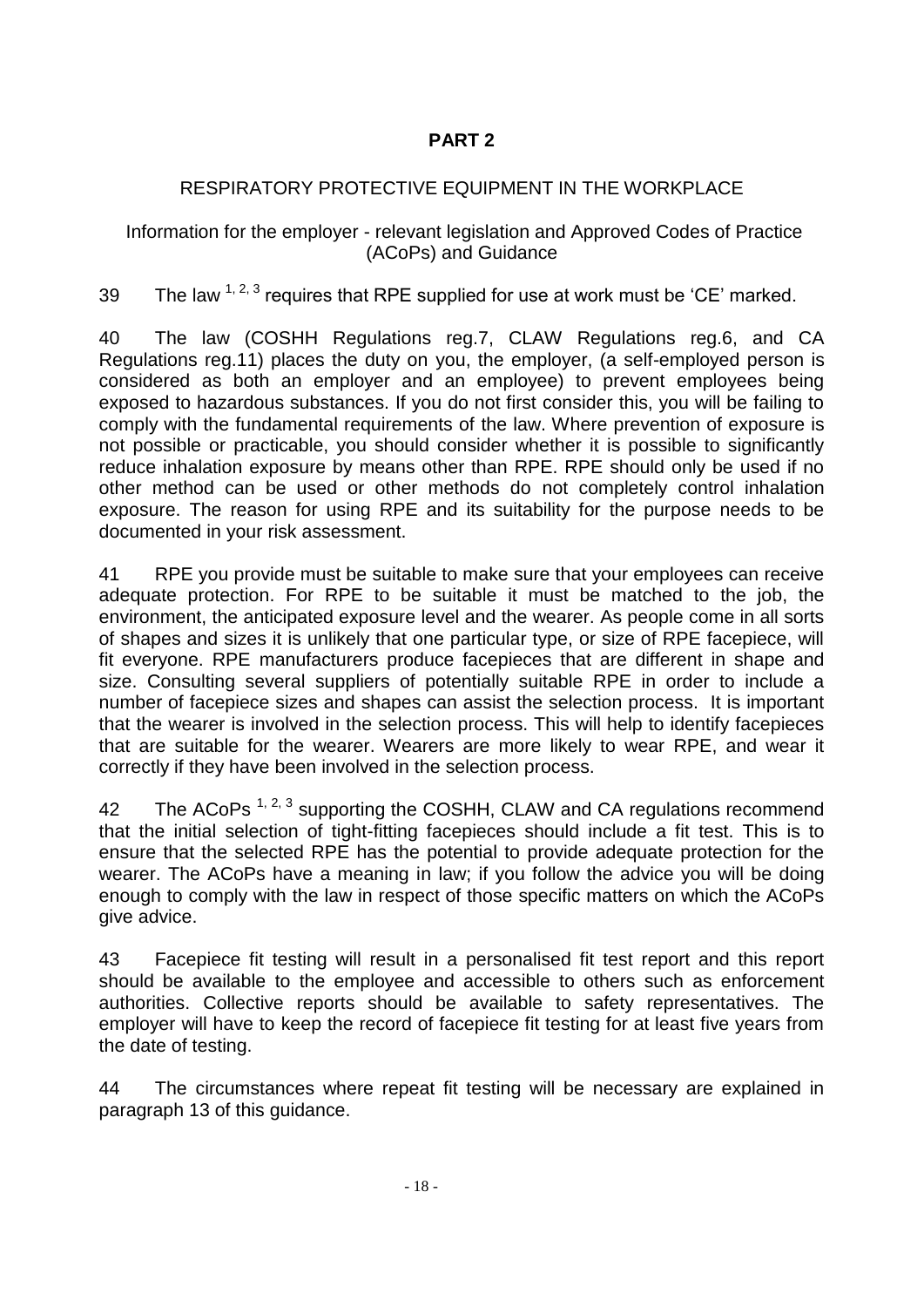# **PART 2**

## RESPIRATORY PROTECTIVE EQUIPMENT IN THE WORKPLACE

Information for the employer - relevant legislation and Approved Codes of Practice (ACoPs) and Guidance

39 The law  $1, 2, 3$  requires that RPE supplied for use at work must be 'CE' marked.

40 The law (COSHH Regulations reg.7, CLAW Regulations reg.6, and CA Regulations reg.11) places the duty on you, the employer, (a self-employed person is considered as both an employer and an employee) to prevent employees being exposed to hazardous substances. If you do not first consider this, you will be failing to comply with the fundamental requirements of the law. Where prevention of exposure is not possible or practicable, you should consider whether it is possible to significantly reduce inhalation exposure by means other than RPE. RPE should only be used if no other method can be used or other methods do not completely control inhalation exposure. The reason for using RPE and its suitability for the purpose needs to be documented in your risk assessment.

41 RPE you provide must be suitable to make sure that your employees can receive adequate protection. For RPE to be suitable it must be matched to the job, the environment, the anticipated exposure level and the wearer. As people come in all sorts of shapes and sizes it is unlikely that one particular type, or size of RPE facepiece, will fit everyone. RPE manufacturers produce facepieces that are different in shape and size. Consulting several suppliers of potentially suitable RPE in order to include a number of facepiece sizes and shapes can assist the selection process. It is important that the wearer is involved in the selection process. This will help to identify facepieces that are suitable for the wearer. Wearers are more likely to wear RPE, and wear it correctly if they have been involved in the selection process.

42 The ACoPs  $^{1, 2, 3}$  supporting the COSHH, CLAW and CA regulations recommend that the initial selection of tight-fitting facepieces should include a fit test. This is to ensure that the selected RPE has the potential to provide adequate protection for the wearer. The ACoPs have a meaning in law; if you follow the advice you will be doing enough to comply with the law in respect of those specific matters on which the ACoPs give advice.

43 Facepiece fit testing will result in a personalised fit test report and this report should be available to the employee and accessible to others such as enforcement authorities. Collective reports should be available to safety representatives. The employer will have to keep the record of facepiece fit testing for at least five years from the date of testing.

44 The circumstances where repeat fit testing will be necessary are explained in paragraph 13 of this guidance.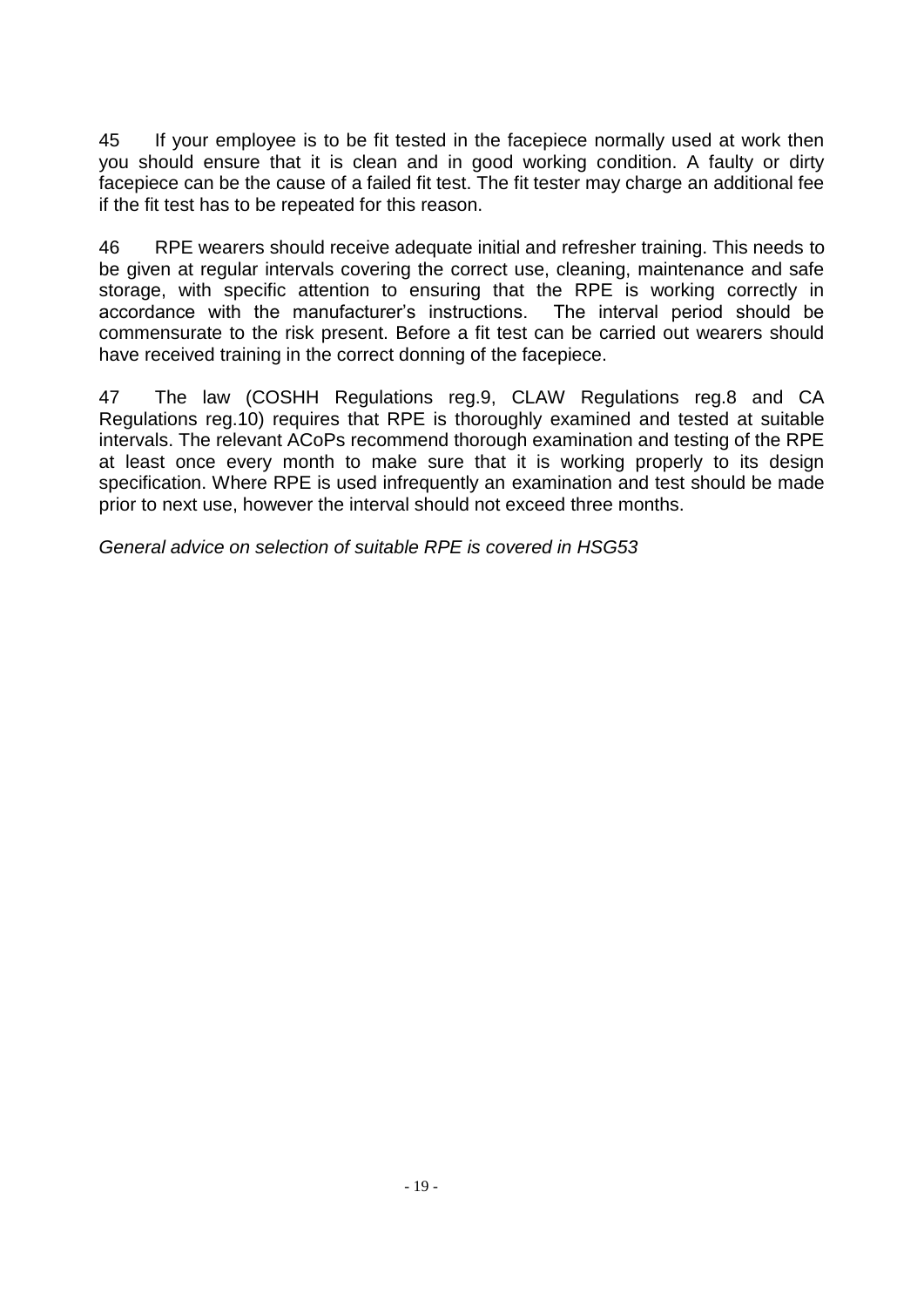45 If your employee is to be fit tested in the facepiece normally used at work then you should ensure that it is clean and in good working condition. A faulty or dirty facepiece can be the cause of a failed fit test. The fit tester may charge an additional fee if the fit test has to be repeated for this reason.

46 RPE wearers should receive adequate initial and refresher training. This needs to be given at regular intervals covering the correct use, cleaning, maintenance and safe storage, with specific attention to ensuring that the RPE is working correctly in accordance with the manufacturer's instructions. The interval period should be commensurate to the risk present. Before a fit test can be carried out wearers should have received training in the correct donning of the facepiece.

47 The law (COSHH Regulations reg.9, CLAW Regulations reg.8 and CA Regulations reg.10) requires that RPE is thoroughly examined and tested at suitable intervals. The relevant ACoPs recommend thorough examination and testing of the RPE at least once every month to make sure that it is working properly to its design specification. Where RPE is used infrequently an examination and test should be made prior to next use, however the interval should not exceed three months.

*General advice on selection of suitable RPE is covered in HSG53*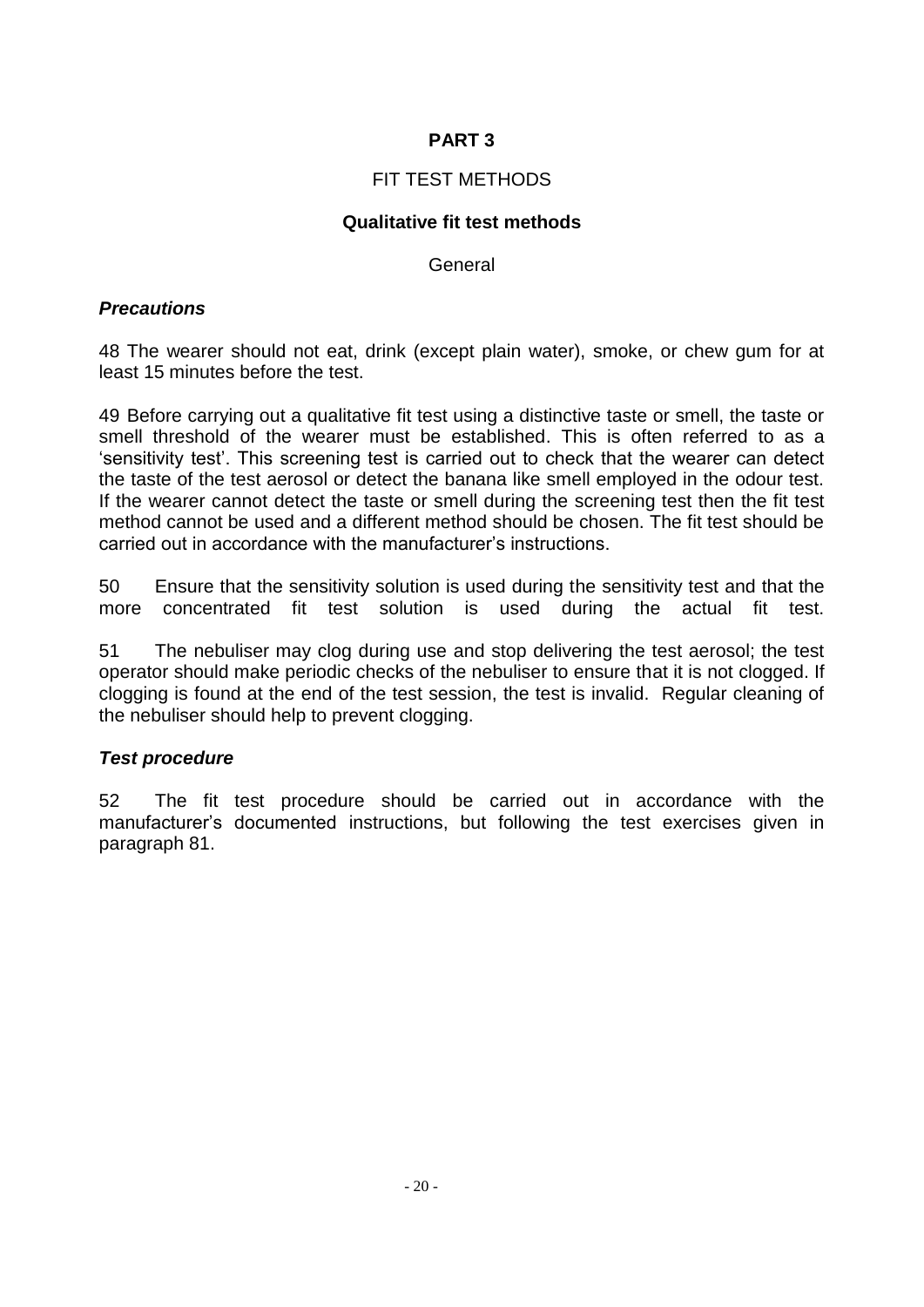## **PART 3**

### FIT TEST METHODS

### **Qualitative fit test methods**

General

#### *Precautions*

48 The wearer should not eat, drink (except plain water), smoke, or chew gum for at least 15 minutes before the test.

49 Before carrying out a qualitative fit test using a distinctive taste or smell, the taste or smell threshold of the wearer must be established. This is often referred to as a 'sensitivity test'. This screening test is carried out to check that the wearer can detect the taste of the test aerosol or detect the banana like smell employed in the odour test. If the wearer cannot detect the taste or smell during the screening test then the fit test method cannot be used and a different method should be chosen. The fit test should be carried out in accordance with the manufacturer's instructions.

50 Ensure that the sensitivity solution is used during the sensitivity test and that the more concentrated fit test solution is used during the actual fit test.

51 The nebuliser may clog during use and stop delivering the test aerosol; the test operator should make periodic checks of the nebuliser to ensure that it is not clogged. If clogging is found at the end of the test session, the test is invalid. Regular cleaning of the nebuliser should help to prevent clogging.

#### *Test procedure*

52 The fit test procedure should be carried out in accordance with the manufacturer's documented instructions, but following the test exercises given in paragraph 81.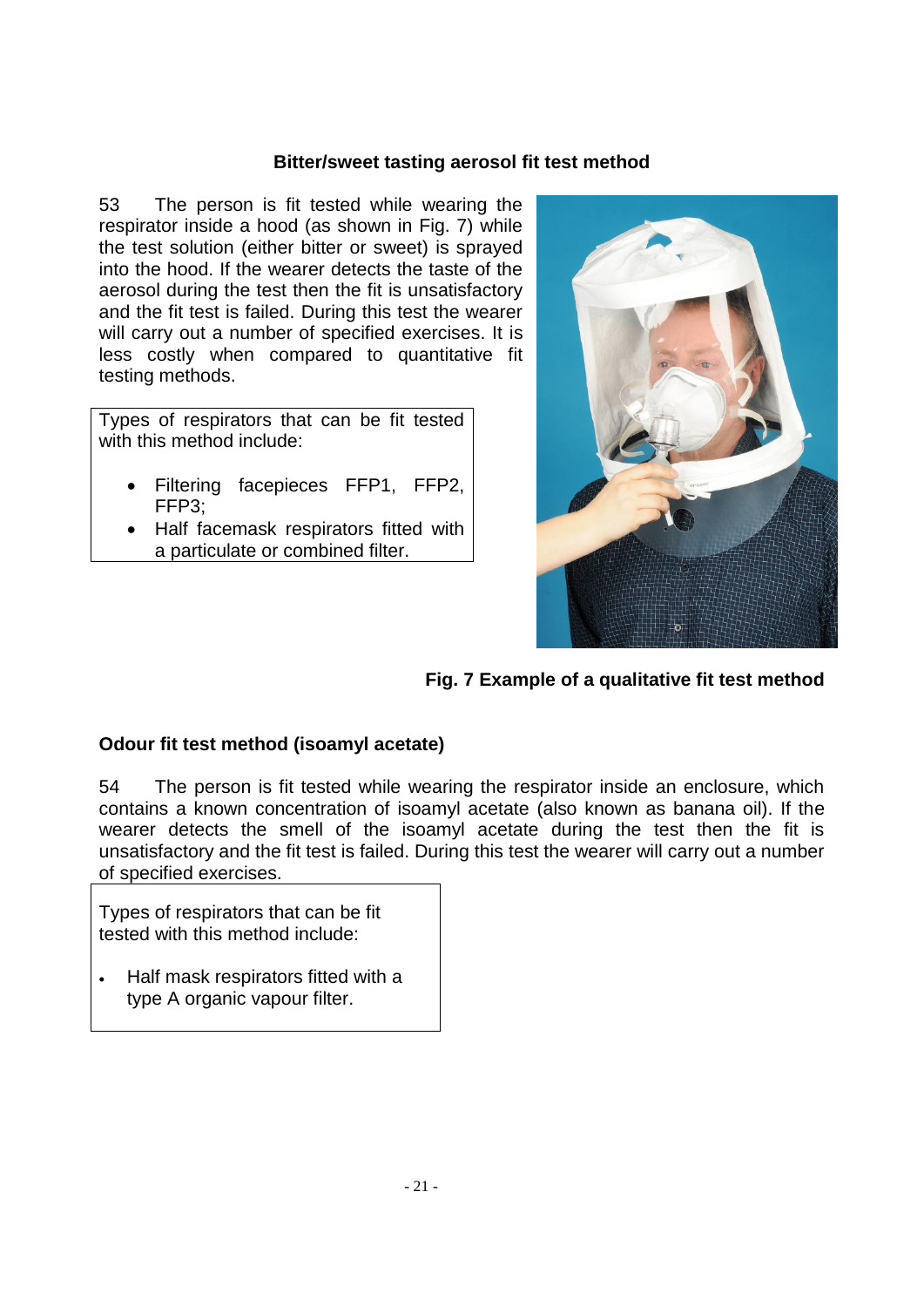#### **Bitter/sweet tasting aerosol fit test method**

53 The person is fit tested while wearing the respirator inside a hood (as shown in Fig. 7) while the test solution (either bitter or sweet) is sprayed into the hood. If the wearer detects the taste of the aerosol during the test then the fit is unsatisfactory and the fit test is failed. During this test the wearer will carry out a number of specified exercises. It is less costly when compared to quantitative fit testing methods.

Types of respirators that can be fit tested with this method include:

- Filtering facepieces FFP1, FFP2, FFP3;
- Half facemask respirators fitted with a particulate or combined filter.



**Fig. 7 Example of a qualitative fit test method**

### **Odour fit test method (isoamyl acetate)**

54 The person is fit tested while wearing the respirator inside an enclosure, which contains a known concentration of isoamyl acetate (also known as banana oil). If the wearer detects the smell of the isoamyl acetate during the test then the fit is unsatisfactory and the fit test is failed. During this test the wearer will carry out a number of specified exercises.

Types of respirators that can be fit tested with this method include:

 Half mask respirators fitted with a type A organic vapour filter.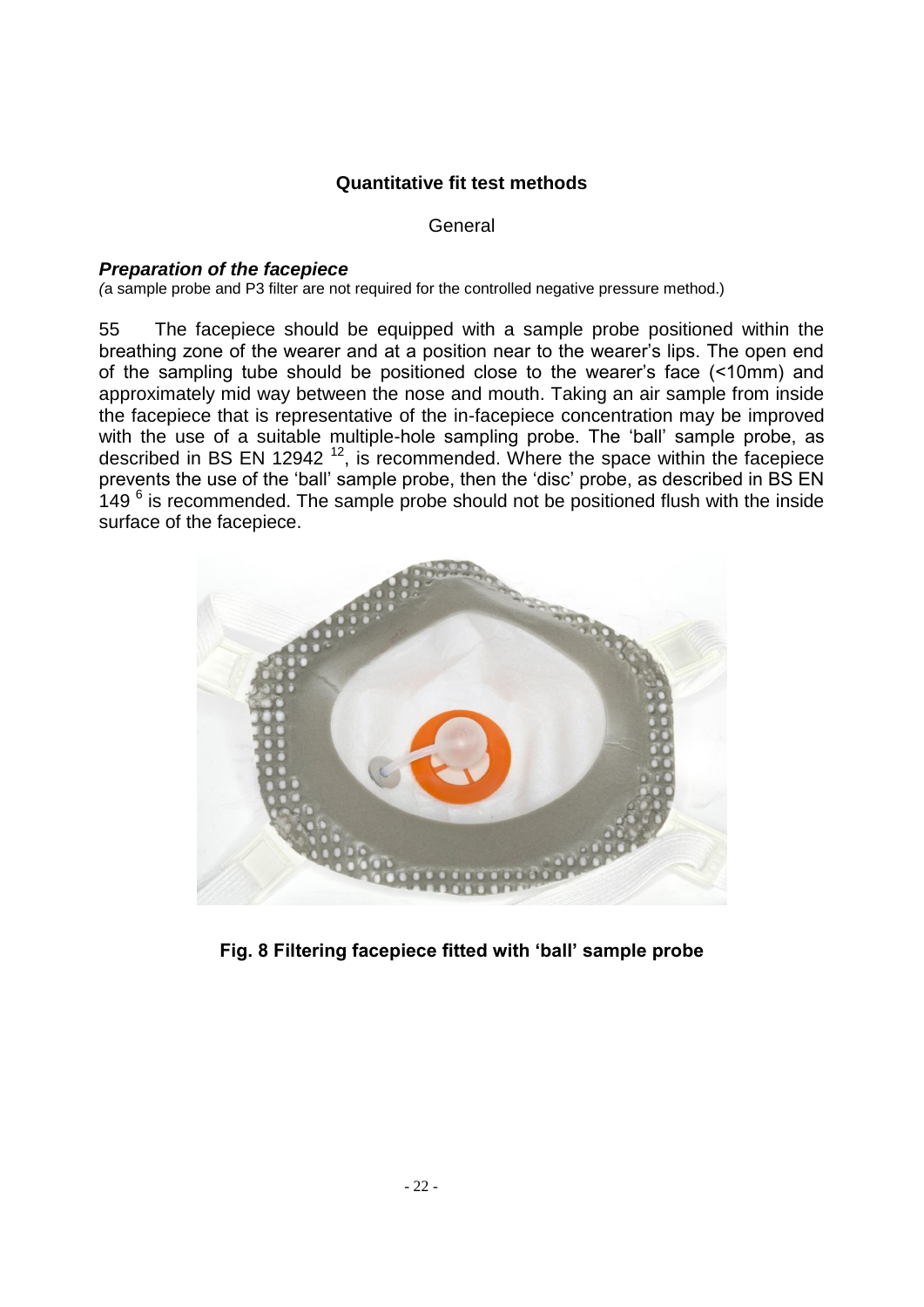### **Quantitative fit test methods**

**General** 

#### *Preparation of the facepiece*

*(*a sample probe and P3 filter are not required for the controlled negative pressure method.)

55 The facepiece should be equipped with a sample probe positioned within the breathing zone of the wearer and at a position near to the wearer's lips. The open end of the sampling tube should be positioned close to the wearer's face (<10mm) and approximately mid way between the nose and mouth. Taking an air sample from inside the facepiece that is representative of the in-facepiece concentration may be improved with the use of a suitable multiple-hole sampling probe. The 'ball' sample probe, as described in BS EN 12942<sup>12</sup>, is recommended. Where the space within the facepiece prevents the use of the 'ball' sample probe, then the 'disc' probe, as described in BS EN  $149<sup>6</sup>$  is recommended. The sample probe should not be positioned flush with the inside surface of the facepiece.



**Fig. 8 Filtering facepiece fitted with 'ball' sample probe**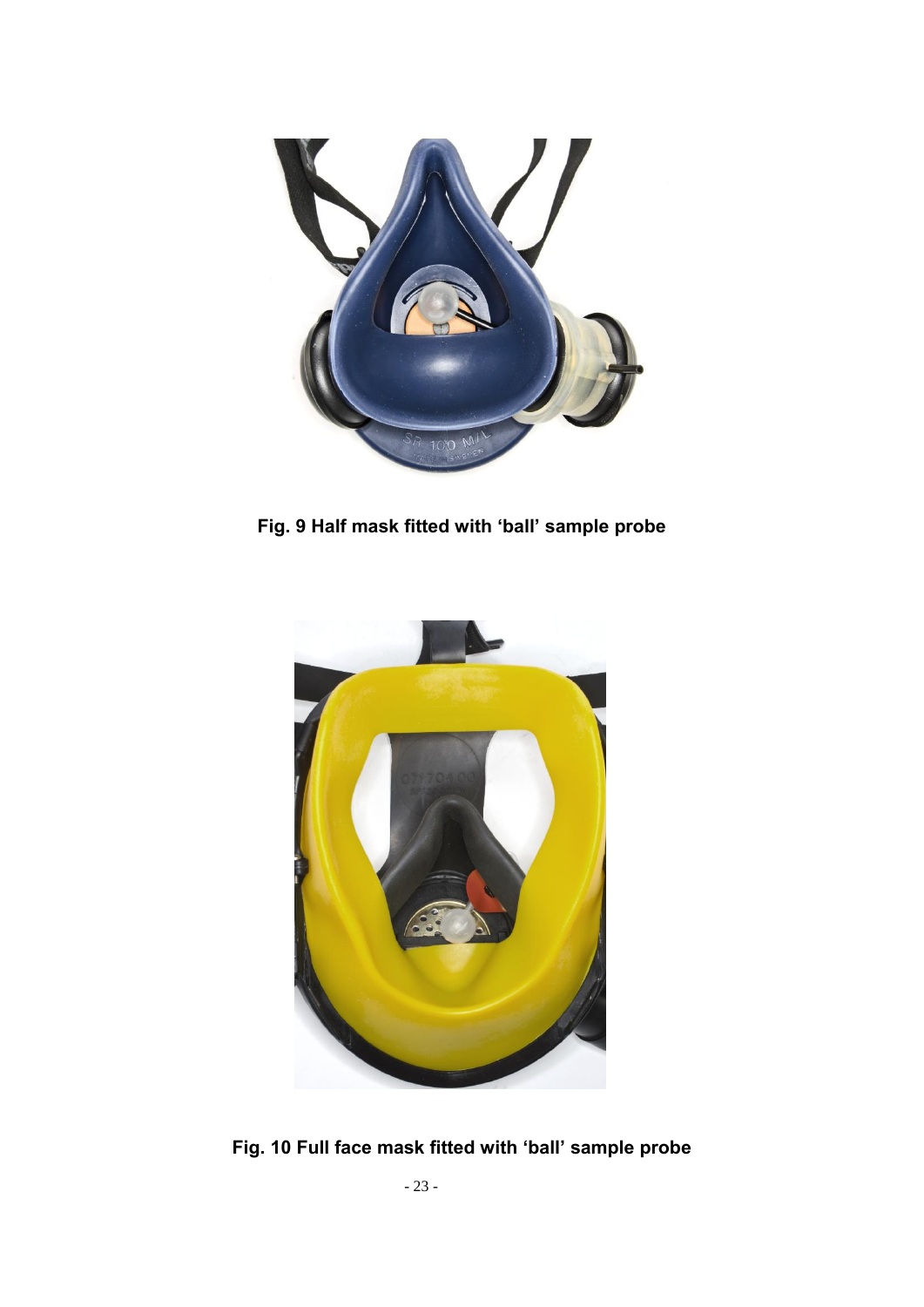

**Fig. 9 Half mask fitted with 'ball' sample probe**



**Fig. 10 Full face mask fitted with 'ball' sample probe**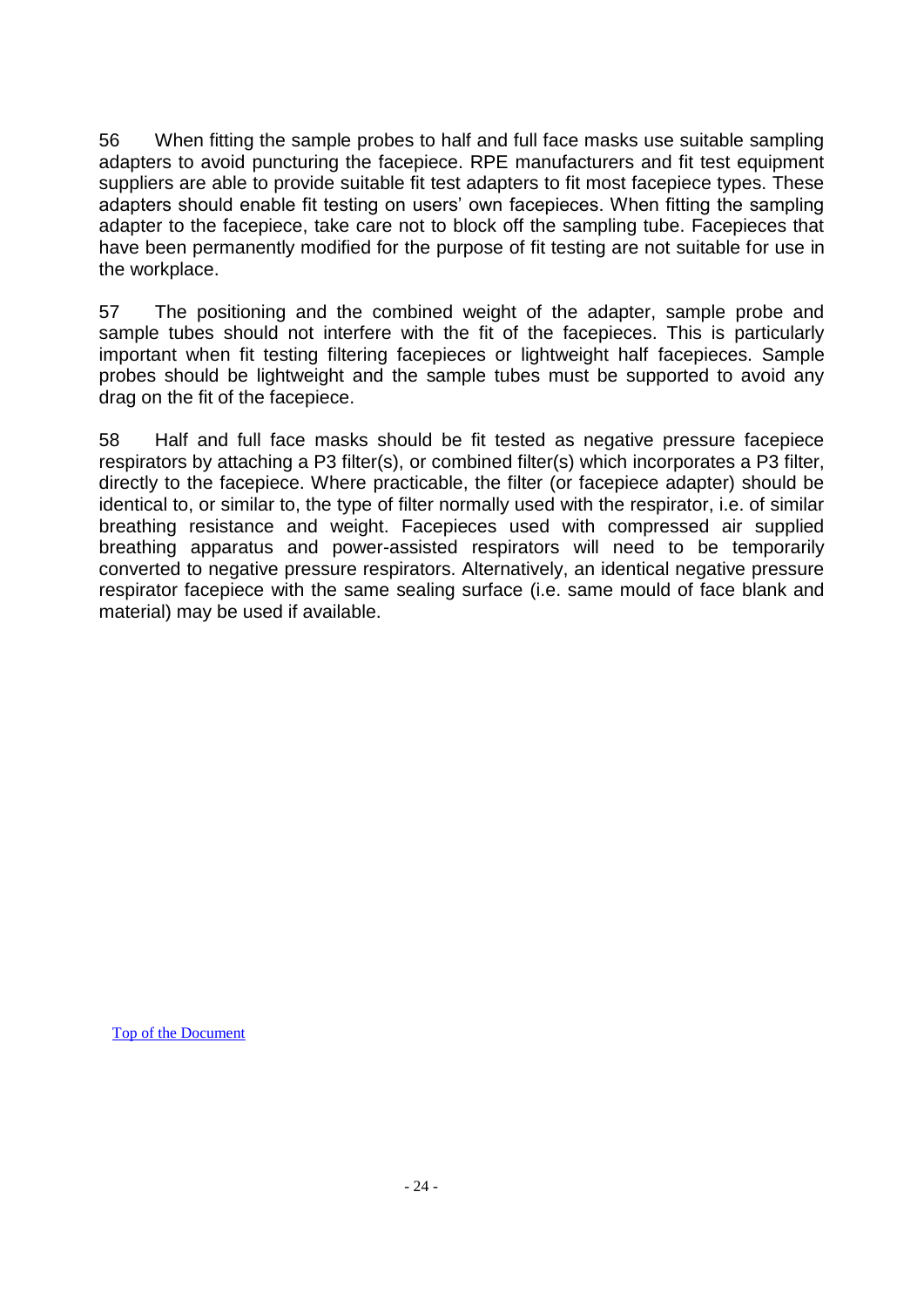56 When fitting the sample probes to half and full face masks use suitable sampling adapters to avoid puncturing the facepiece. RPE manufacturers and fit test equipment suppliers are able to provide suitable fit test adapters to fit most facepiece types. These adapters should enable fit testing on users' own facepieces. When fitting the sampling adapter to the facepiece, take care not to block off the sampling tube. Facepieces that have been permanently modified for the purpose of fit testing are not suitable for use in the workplace.

57 The positioning and the combined weight of the adapter, sample probe and sample tubes should not interfere with the fit of the facepieces. This is particularly important when fit testing filtering facepieces or lightweight half facepieces. Sample probes should be lightweight and the sample tubes must be supported to avoid any drag on the fit of the facepiece.

58 Half and full face masks should be fit tested as negative pressure facepiece respirators by attaching a P3 filter(s), or combined filter(s) which incorporates a P3 filter, directly to the facepiece. Where practicable, the filter (or facepiece adapter) should be identical to, or similar to, the type of filter normally used with the respirator, i.e. of similar breathing resistance and weight. Facepieces used with compressed air supplied breathing apparatus and power-assisted respirators will need to be temporarily converted to negative pressure respirators. Alternatively, an identical negative pressure respirator facepiece with the same sealing surface (i.e. same mould of face blank and material) may be used if available.

[Top of the Document](#page-0-0)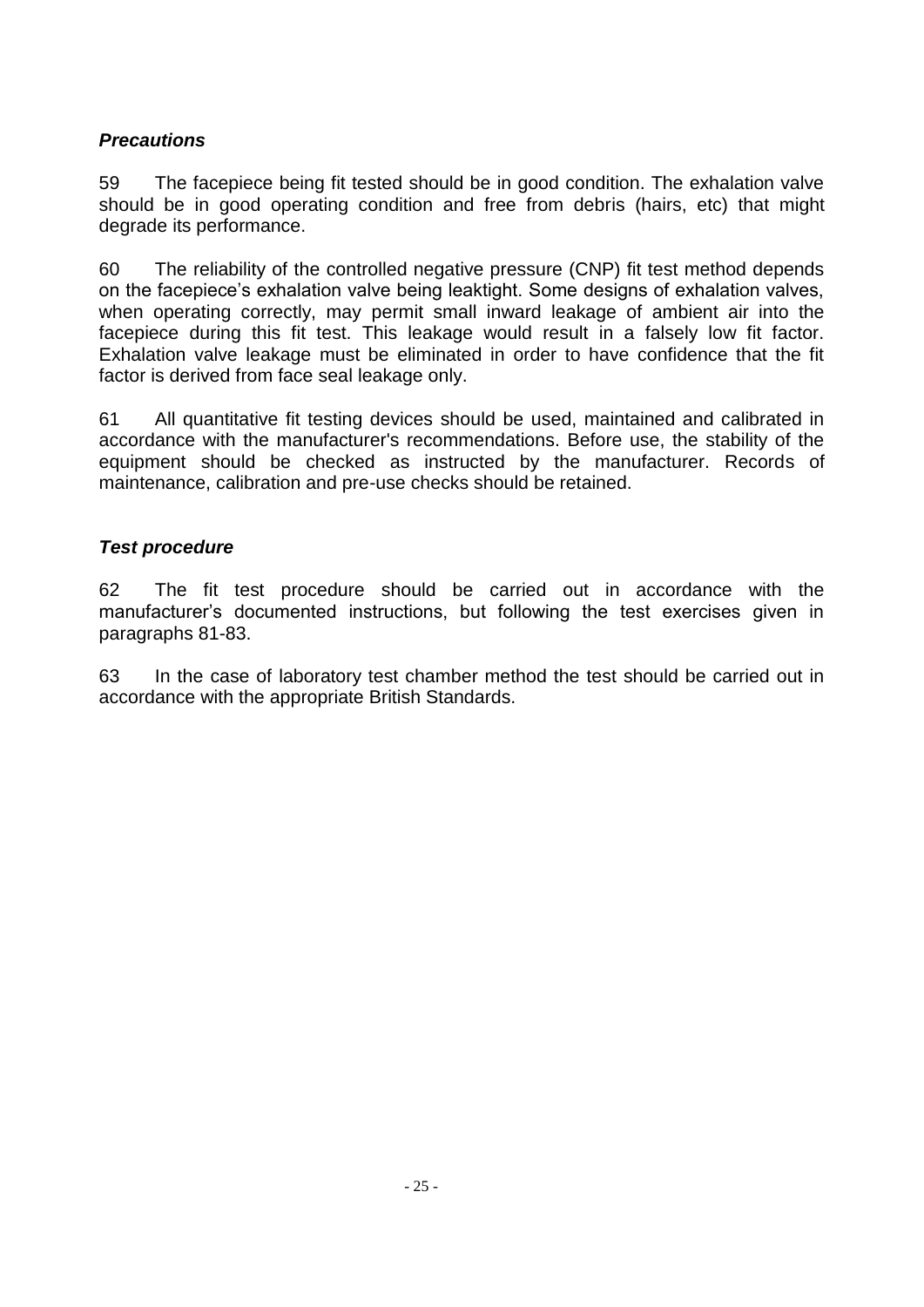## *Precautions*

59 The facepiece being fit tested should be in good condition. The exhalation valve should be in good operating condition and free from debris (hairs, etc) that might degrade its performance.

60 The reliability of the controlled negative pressure (CNP) fit test method depends on the facepiece's exhalation valve being leaktight. Some designs of exhalation valves, when operating correctly, may permit small inward leakage of ambient air into the facepiece during this fit test. This leakage would result in a falsely low fit factor. Exhalation valve leakage must be eliminated in order to have confidence that the fit factor is derived from face seal leakage only.

61 All quantitative fit testing devices should be used, maintained and calibrated in accordance with the manufacturer's recommendations. Before use, the stability of the equipment should be checked as instructed by the manufacturer. Records of maintenance, calibration and pre-use checks should be retained.

### *Test procedure*

62 The fit test procedure should be carried out in accordance with the manufacturer's documented instructions, but following the test exercises given in paragraphs 81-83.

63 In the case of laboratory test chamber method the test should be carried out in accordance with the appropriate British Standards.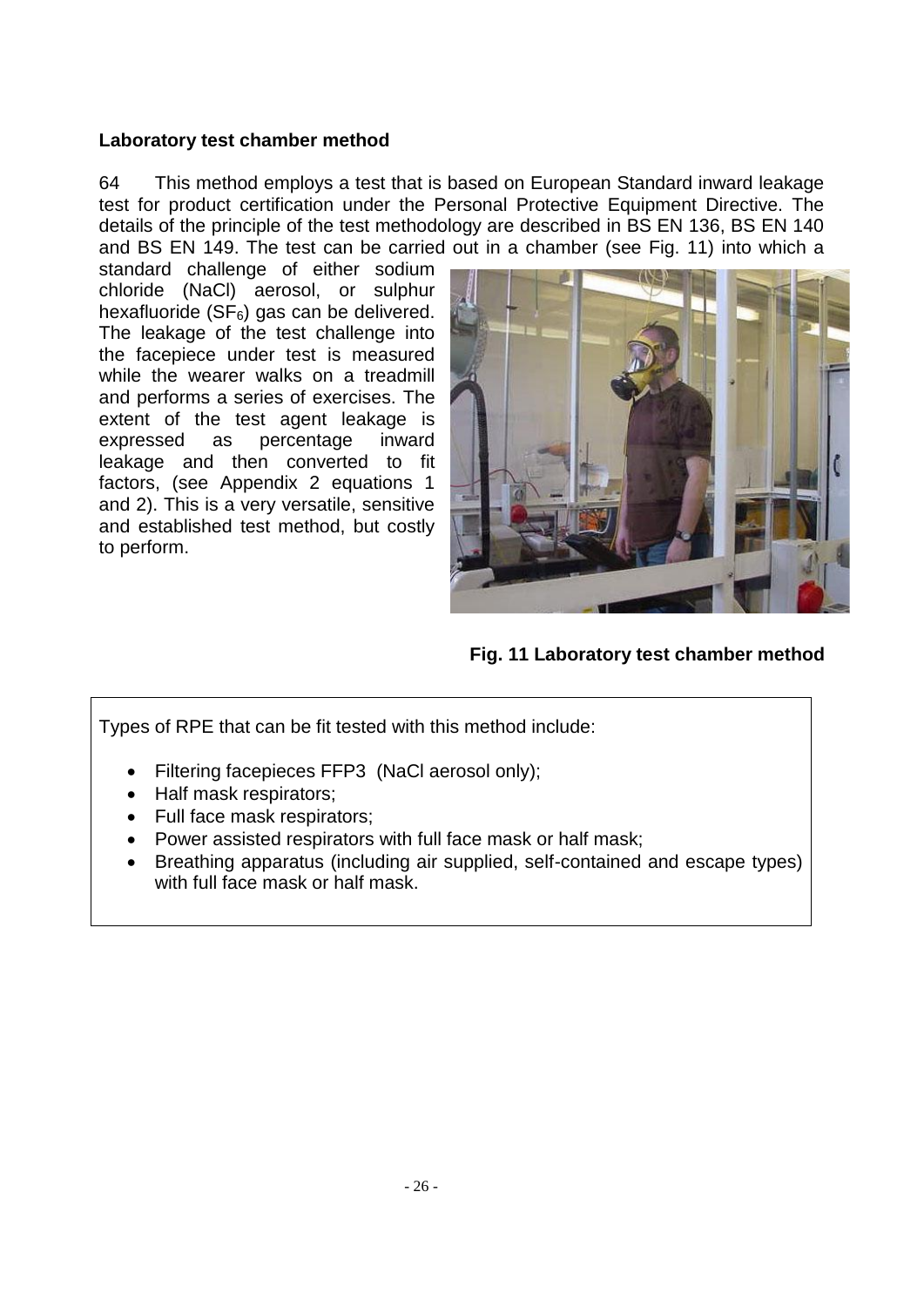### **Laboratory test chamber method**

64 This method employs a test that is based on European Standard inward leakage test for product certification under the Personal Protective Equipment Directive. The details of the principle of the test methodology are described in BS EN 136, BS EN 140 and BS EN 149. The test can be carried out in a chamber (see Fig. 11) into which a

standard challenge of either sodium chloride (NaCl) aerosol, or sulphur hexafluoride ( $SF<sub>6</sub>$ ) gas can be delivered. The leakage of the test challenge into the facepiece under test is measured while the wearer walks on a treadmill and performs a series of exercises. The extent of the test agent leakage is expressed as percentage inward leakage and then converted to fit factors, (see Appendix 2 equations 1 and 2). This is a very versatile, sensitive and established test method, but costly to perform.



**Fig. 11 Laboratory test chamber method**

Types of RPE that can be fit tested with this method include:

- Filtering facepieces FFP3 (NaCl aerosol only);
- Half mask respirators;
- Full face mask respirators;
- Power assisted respirators with full face mask or half mask;
- Breathing apparatus (including air supplied, self-contained and escape types) with full face mask or half mask.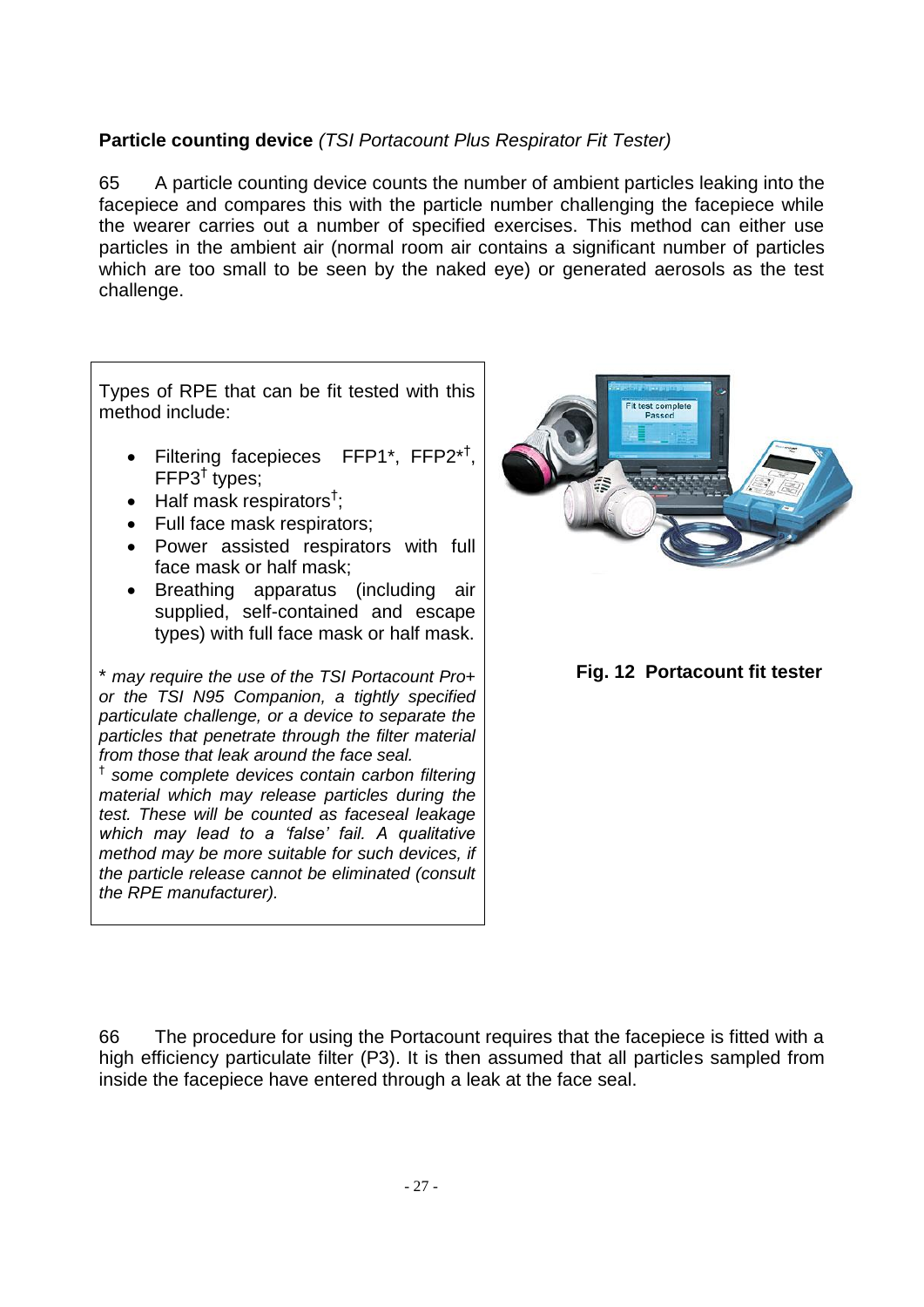# **Particle counting device** *(TSI Portacount Plus Respirator Fit Tester)*

65 A particle counting device counts the number of ambient particles leaking into the facepiece and compares this with the particle number challenging the facepiece while the wearer carries out a number of specified exercises. This method can either use particles in the ambient air (normal room air contains a significant number of particles which are too small to be seen by the naked eye) or generated aerosols as the test challenge.

Types of RPE that can be fit tested with this method include:

- Filtering facepieces FFP1\*, FFP2\*<sup>†</sup>, FFP3† types;
- $\bullet$  Half mask respirators<sup>†</sup>;
- Full face mask respirators;
- Power assisted respirators with full face mask or half mask;
- Breathing apparatus (including air supplied, self-contained and escape types) with full face mask or half mask.

\* *may require the use of the TSI Portacount Pro+ or the TSI N95 Companion, a tightly specified particulate challenge, or a device to separate the particles that penetrate through the filter material from those that leak around the face seal.*

† *some complete devices contain carbon filtering material which may release particles during the test. These will be counted as faceseal leakage which may lead to a 'false' fail. A qualitative method may be more suitable for such devices, if the particle release cannot be eliminated (consult the RPE manufacturer).*



 **Fig. 12 Portacount fit tester**

66 The procedure for using the Portacount requires that the facepiece is fitted with a high efficiency particulate filter (P3). It is then assumed that all particles sampled from inside the facepiece have entered through a leak at the face seal.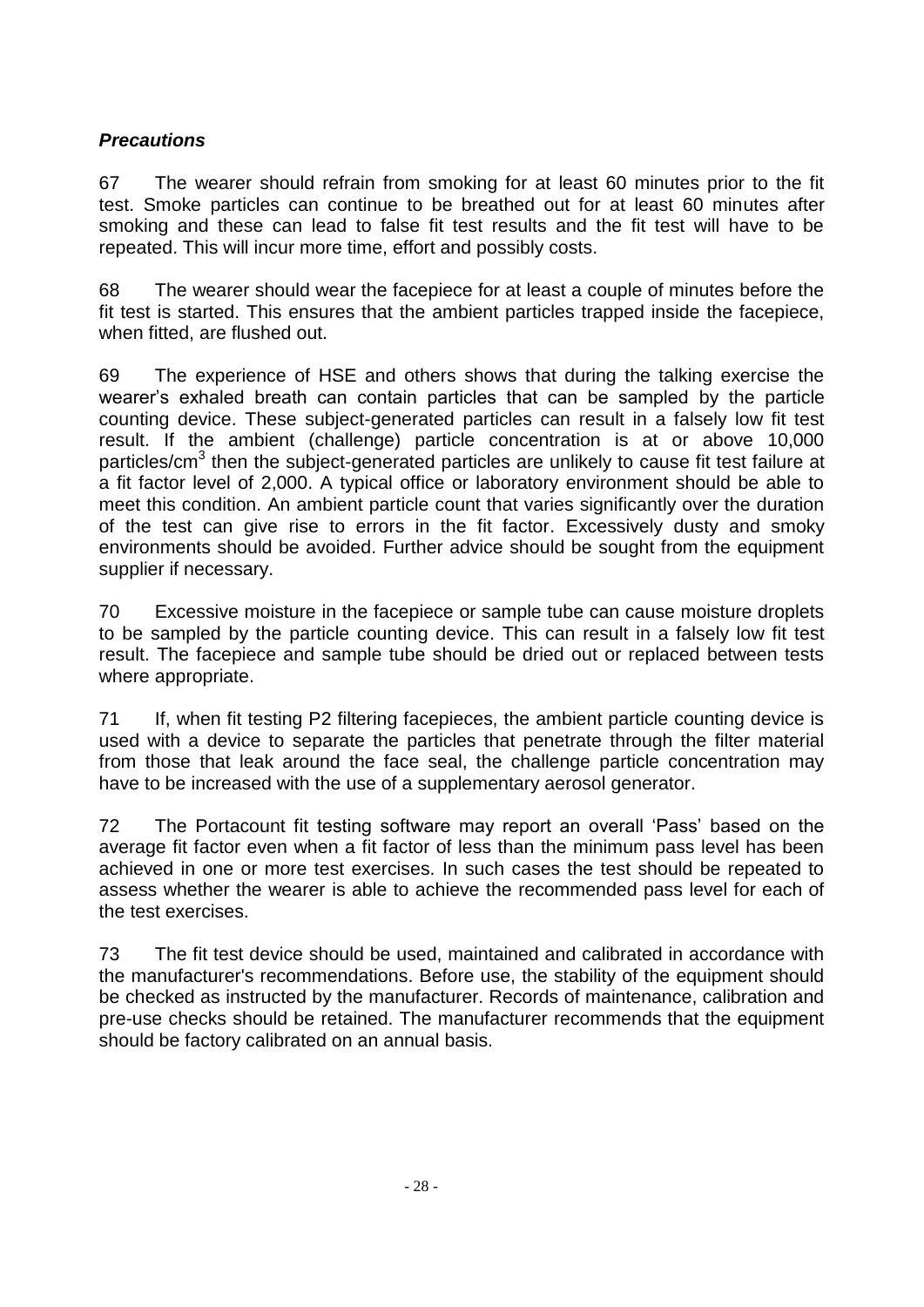# *Precautions*

67 The wearer should refrain from smoking for at least 60 minutes prior to the fit test. Smoke particles can continue to be breathed out for at least 60 minutes after smoking and these can lead to false fit test results and the fit test will have to be repeated. This will incur more time, effort and possibly costs.

68 The wearer should wear the facepiece for at least a couple of minutes before the fit test is started. This ensures that the ambient particles trapped inside the facepiece, when fitted, are flushed out.

69 The experience of HSE and others shows that during the talking exercise the wearer's exhaled breath can contain particles that can be sampled by the particle counting device. These subject-generated particles can result in a falsely low fit test result. If the ambient (challenge) particle concentration is at or above 10,000 particles/cm<sup>3</sup> then the subject-generated particles are unlikely to cause fit test failure at a fit factor level of 2,000. A typical office or laboratory environment should be able to meet this condition. An ambient particle count that varies significantly over the duration of the test can give rise to errors in the fit factor. Excessively dusty and smoky environments should be avoided. Further advice should be sought from the equipment supplier if necessary.

70 Excessive moisture in the facepiece or sample tube can cause moisture droplets to be sampled by the particle counting device. This can result in a falsely low fit test result. The facepiece and sample tube should be dried out or replaced between tests where appropriate.

71 If, when fit testing P2 filtering facepieces, the ambient particle counting device is used with a device to separate the particles that penetrate through the filter material from those that leak around the face seal, the challenge particle concentration may have to be increased with the use of a supplementary aerosol generator.

72 The Portacount fit testing software may report an overall 'Pass' based on the average fit factor even when a fit factor of less than the minimum pass level has been achieved in one or more test exercises. In such cases the test should be repeated to assess whether the wearer is able to achieve the recommended pass level for each of the test exercises.

73 The fit test device should be used, maintained and calibrated in accordance with the manufacturer's recommendations. Before use, the stability of the equipment should be checked as instructed by the manufacturer. Records of maintenance, calibration and pre-use checks should be retained. The manufacturer recommends that the equipment should be factory calibrated on an annual basis.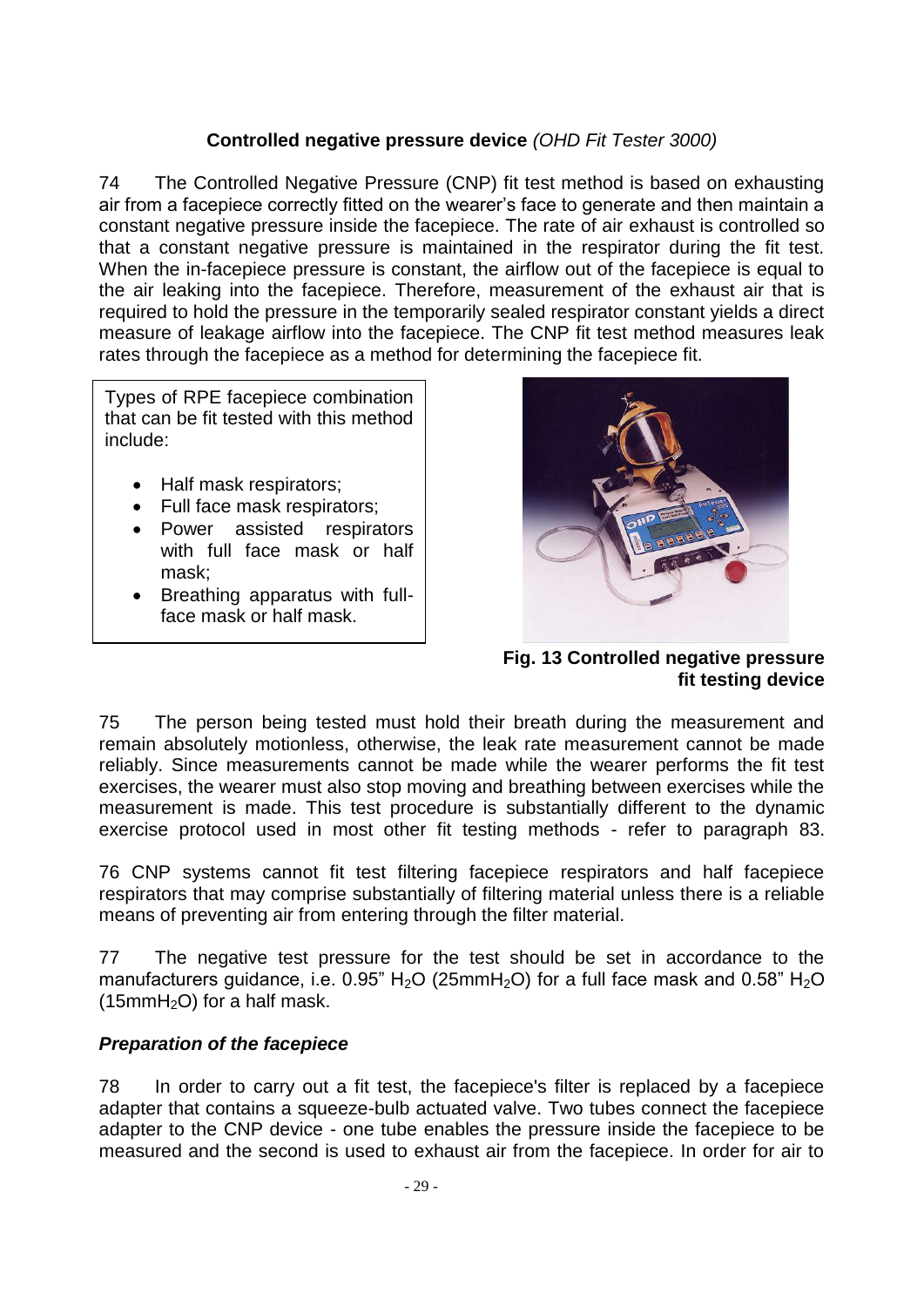### **Controlled negative pressure device** *(OHD Fit Tester 3000)*

74 The Controlled Negative Pressure (CNP) fit test method is based on exhausting air from a facepiece correctly fitted on the wearer's face to generate and then maintain a constant negative pressure inside the facepiece. The rate of air exhaust is controlled so that a constant negative pressure is maintained in the respirator during the fit test. When the in-facepiece pressure is constant, the airflow out of the facepiece is equal to the air leaking into the facepiece. Therefore, measurement of the exhaust air that is required to hold the pressure in the temporarily sealed respirator constant yields a direct measure of leakage airflow into the facepiece. The CNP fit test method measures leak rates through the facepiece as a method for determining the facepiece fit.

Types of RPE facepiece combination that can be fit tested with this method include:

- Half mask respirators;
- Full face mask respirators;
- Power assisted respirators with full face mask or half mask;
- Breathing apparatus with fullface mask or half mask.



 **Fig. 13 Controlled negative pressure fit testing device** 

75 The person being tested must hold their breath during the measurement and remain absolutely motionless, otherwise, the leak rate measurement cannot be made reliably. Since measurements cannot be made while the wearer performs the fit test exercises, the wearer must also stop moving and breathing between exercises while the measurement is made. This test procedure is substantially different to the dynamic exercise protocol used in most other fit testing methods - refer to paragraph 83.

76 CNP systems cannot fit test filtering facepiece respirators and half facepiece respirators that may comprise substantially of filtering material unless there is a reliable means of preventing air from entering through the filter material.

77 The negative test pressure for the test should be set in accordance to the manufacturers quidance, i.e. 0.95" H<sub>2</sub>O (25mmH<sub>2</sub>O) for a full face mask and 0.58" H<sub>2</sub>O  $(15mmH<sub>2</sub>O)$  for a half mask.

### *Preparation of the facepiece*

78 In order to carry out a fit test, the facepiece's filter is replaced by a facepiece adapter that contains a squeeze-bulb actuated valve. Two tubes connect the facepiece adapter to the CNP device - one tube enables the pressure inside the facepiece to be measured and the second is used to exhaust air from the facepiece. In order for air to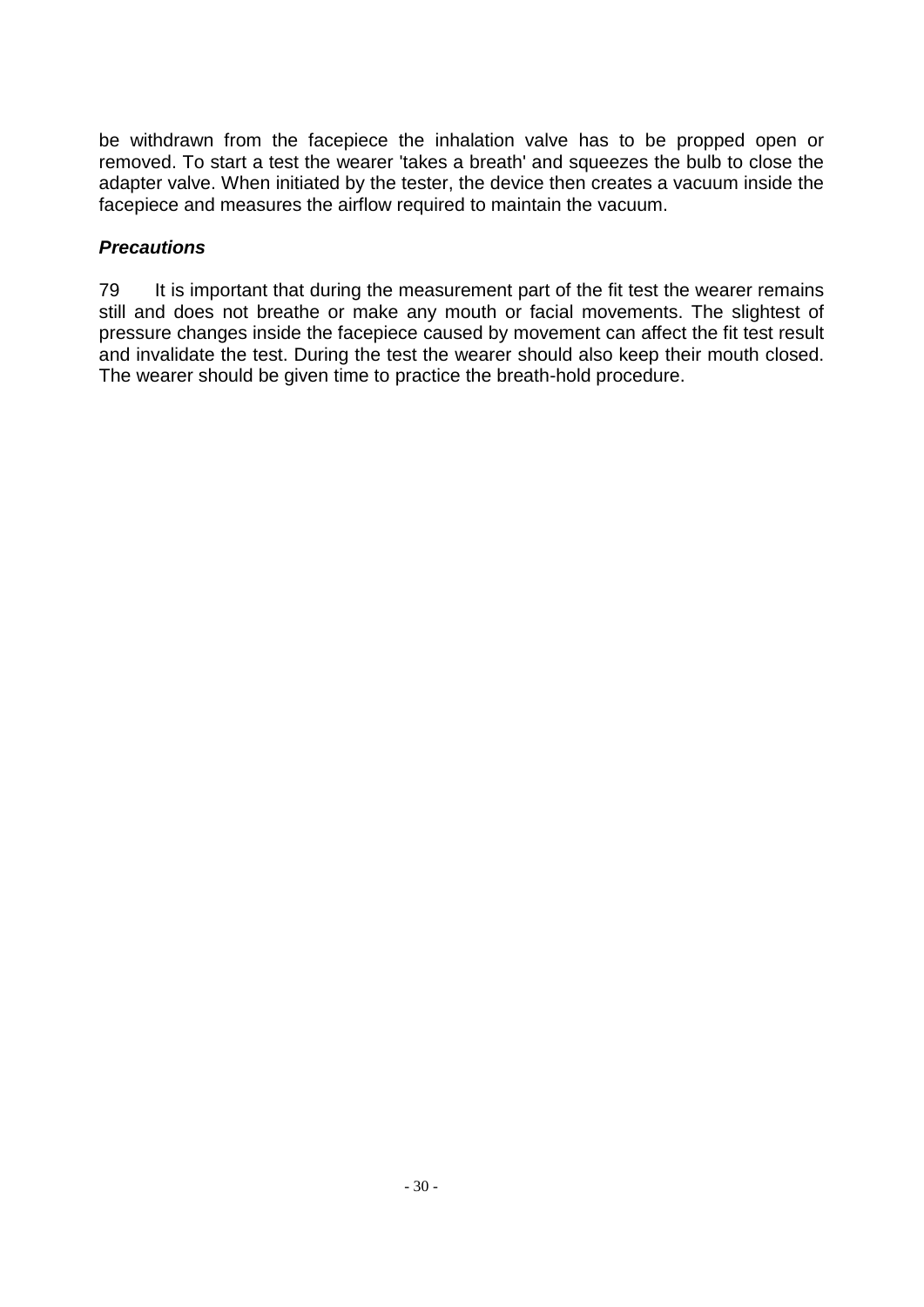be withdrawn from the facepiece the inhalation valve has to be propped open or removed. To start a test the wearer 'takes a breath' and squeezes the bulb to close the adapter valve. When initiated by the tester, the device then creates a vacuum inside the facepiece and measures the airflow required to maintain the vacuum.

### *Precautions*

79 It is important that during the measurement part of the fit test the wearer remains still and does not breathe or make any mouth or facial movements. The slightest of pressure changes inside the facepiece caused by movement can affect the fit test result and invalidate the test. During the test the wearer should also keep their mouth closed. The wearer should be given time to practice the breath-hold procedure.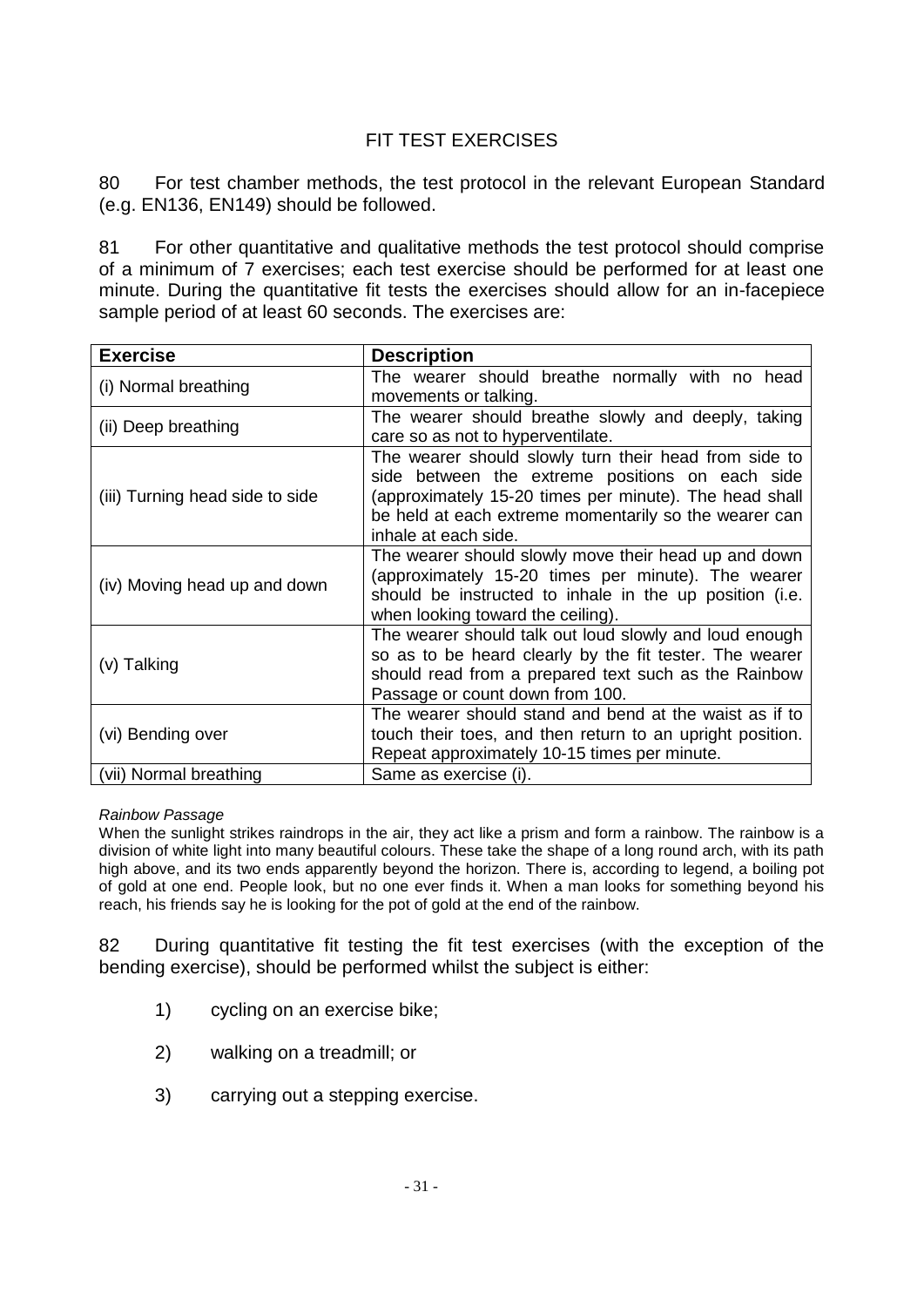## FIT TEST EXERCISES

80 For test chamber methods, the test protocol in the relevant European Standard (e.g. EN136, EN149) should be followed.

81 For other quantitative and qualitative methods the test protocol should comprise of a minimum of 7 exercises; each test exercise should be performed for at least one minute. During the quantitative fit tests the exercises should allow for an in-facepiece sample period of at least 60 seconds. The exercises are:

| <b>Exercise</b>                 | <b>Description</b>                                                                                                                                                                                                                                  |
|---------------------------------|-----------------------------------------------------------------------------------------------------------------------------------------------------------------------------------------------------------------------------------------------------|
| (i) Normal breathing            | The wearer should breathe normally with no head<br>movements or talking.                                                                                                                                                                            |
| (ii) Deep breathing             | The wearer should breathe slowly and deeply, taking<br>care so as not to hyperventilate.                                                                                                                                                            |
| (iii) Turning head side to side | The wearer should slowly turn their head from side to<br>side between the extreme positions on each side<br>(approximately 15-20 times per minute). The head shall<br>be held at each extreme momentarily so the wearer can<br>inhale at each side. |
| (iv) Moving head up and down    | The wearer should slowly move their head up and down<br>(approximately 15-20 times per minute). The wearer<br>should be instructed to inhale in the up position (i.e.<br>when looking toward the ceiling).                                          |
| (v) Talking                     | The wearer should talk out loud slowly and loud enough<br>so as to be heard clearly by the fit tester. The wearer<br>should read from a prepared text such as the Rainbow<br>Passage or count down from 100.                                        |
| (vi) Bending over               | The wearer should stand and bend at the waist as if to<br>touch their toes, and then return to an upright position.<br>Repeat approximately 10-15 times per minute.                                                                                 |
| (vii) Normal breathing          | Same as exercise (i).                                                                                                                                                                                                                               |

*Rainbow Passage*

When the sunlight strikes raindrops in the air, they act like a prism and form a rainbow. The rainbow is a division of white light into many beautiful colours. These take the shape of a long round arch, with its path high above, and its two ends apparently beyond the horizon. There is, according to legend, a boiling pot of gold at one end. People look, but no one ever finds it. When a man looks for something beyond his reach, his friends say he is looking for the pot of gold at the end of the rainbow.

82 During quantitative fit testing the fit test exercises (with the exception of the bending exercise), should be performed whilst the subject is either:

- 1) cycling on an exercise bike;
- 2) walking on a treadmill; or
- 3) carrying out a stepping exercise.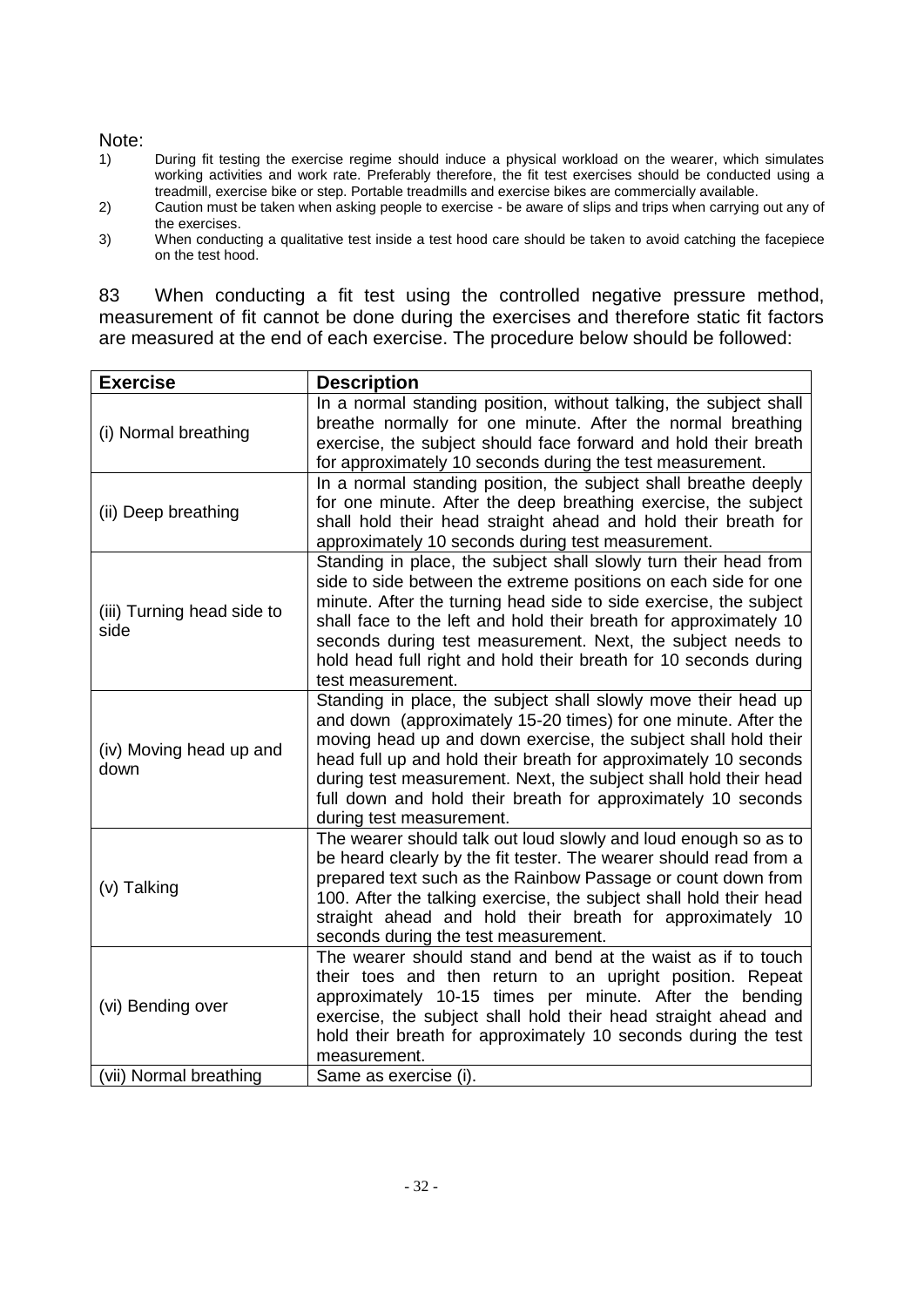#### Note:

- 1) During fit testing the exercise regime should induce a physical workload on the wearer, which simulates working activities and work rate. Preferably therefore, the fit test exercises should be conducted using a treadmill, exercise bike or step. Portable treadmills and exercise bikes are commercially available.
- 2) Caution must be taken when asking people to exercise be aware of slips and trips when carrying out any of the exercises.
- 3) When conducting a qualitative test inside a test hood care should be taken to avoid catching the facepiece on the test hood.

83 When conducting a fit test using the controlled negative pressure method, measurement of fit cannot be done during the exercises and therefore static fit factors are measured at the end of each exercise. The procedure below should be followed:

| In a normal standing position, without talking, the subject shall<br>breathe normally for one minute. After the normal breathing<br>(i) Normal breathing<br>exercise, the subject should face forward and hold their breath<br>for approximately 10 seconds during the test measurement.<br>In a normal standing position, the subject shall breathe deeply<br>for one minute. After the deep breathing exercise, the subject<br>(ii) Deep breathing<br>shall hold their head straight ahead and hold their breath for<br>approximately 10 seconds during test measurement.<br>Standing in place, the subject shall slowly turn their head from<br>side to side between the extreme positions on each side for one |  |
|--------------------------------------------------------------------------------------------------------------------------------------------------------------------------------------------------------------------------------------------------------------------------------------------------------------------------------------------------------------------------------------------------------------------------------------------------------------------------------------------------------------------------------------------------------------------------------------------------------------------------------------------------------------------------------------------------------------------|--|
|                                                                                                                                                                                                                                                                                                                                                                                                                                                                                                                                                                                                                                                                                                                    |  |
|                                                                                                                                                                                                                                                                                                                                                                                                                                                                                                                                                                                                                                                                                                                    |  |
| minute. After the turning head side to side exercise, the subject<br>(iii) Turning head side to<br>shall face to the left and hold their breath for approximately 10<br>side<br>seconds during test measurement. Next, the subject needs to<br>hold head full right and hold their breath for 10 seconds during<br>test measurement.                                                                                                                                                                                                                                                                                                                                                                               |  |
| Standing in place, the subject shall slowly move their head up<br>and down (approximately 15-20 times) for one minute. After the<br>moving head up and down exercise, the subject shall hold their<br>(iv) Moving head up and<br>head full up and hold their breath for approximately 10 seconds<br>down<br>during test measurement. Next, the subject shall hold their head<br>full down and hold their breath for approximately 10 seconds<br>during test measurement.                                                                                                                                                                                                                                           |  |
| The wearer should talk out loud slowly and loud enough so as to<br>be heard clearly by the fit tester. The wearer should read from a<br>prepared text such as the Rainbow Passage or count down from<br>(v) Talking<br>100. After the talking exercise, the subject shall hold their head<br>straight ahead and hold their breath for approximately 10<br>seconds during the test measurement.                                                                                                                                                                                                                                                                                                                     |  |
| The wearer should stand and bend at the waist as if to touch<br>their toes and then return to an upright position. Repeat<br>approximately 10-15 times per minute. After the bending<br>(vi) Bending over<br>exercise, the subject shall hold their head straight ahead and<br>hold their breath for approximately 10 seconds during the test<br>measurement.<br>(vii) Normal breathing<br>Same as exercise (i).                                                                                                                                                                                                                                                                                                   |  |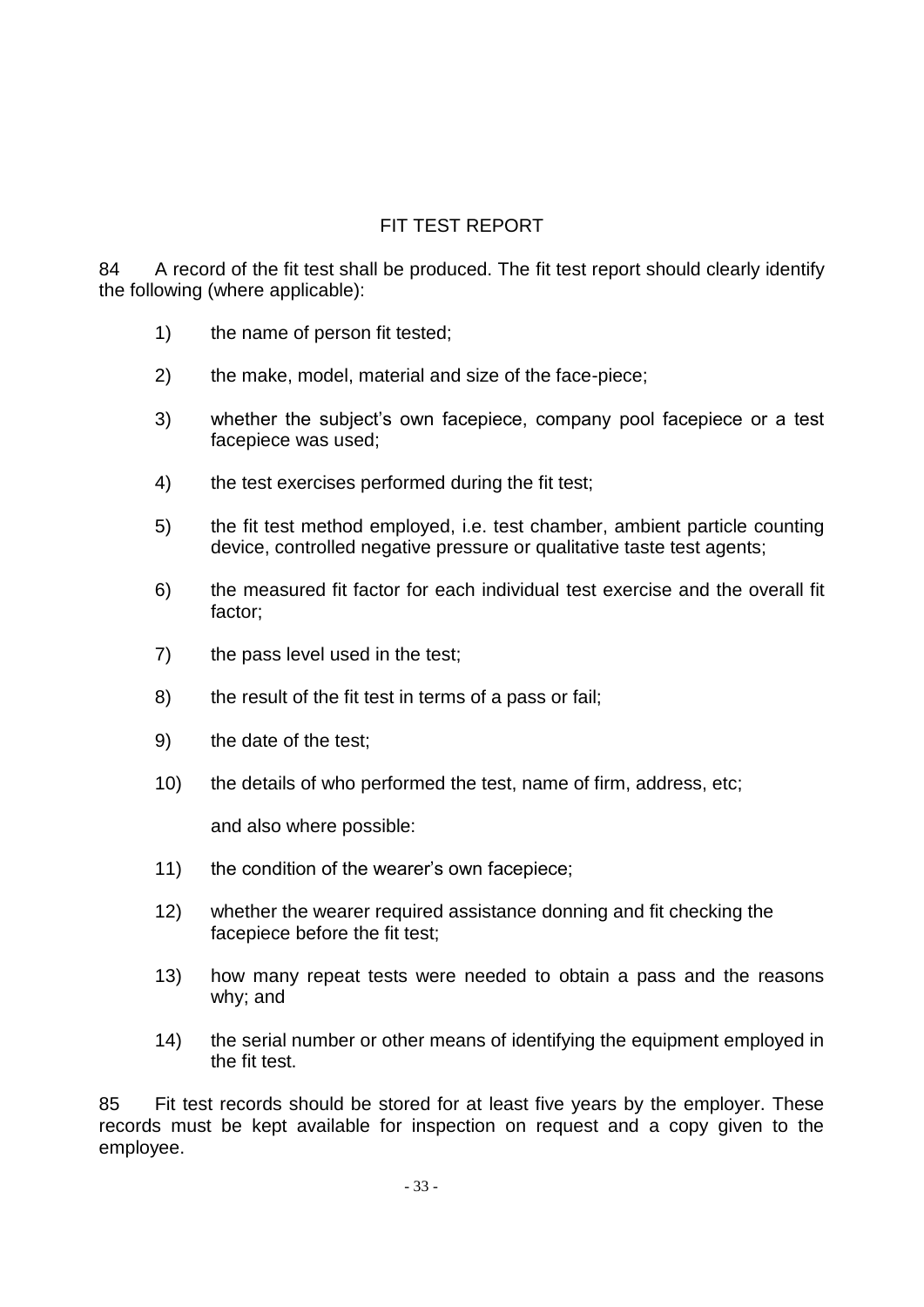## FIT TEST REPORT

84 A record of the fit test shall be produced. The fit test report should clearly identify the following (where applicable):

- 1) the name of person fit tested;
- 2) the make, model, material and size of the face-piece;
- 3) whether the subject's own facepiece, company pool facepiece or a test facepiece was used;
- 4) the test exercises performed during the fit test;
- 5) the fit test method employed, i.e. test chamber, ambient particle counting device, controlled negative pressure or qualitative taste test agents;
- 6) the measured fit factor for each individual test exercise and the overall fit factor;
- 7) the pass level used in the test;
- 8) the result of the fit test in terms of a pass or fail;
- 9) the date of the test;
- 10) the details of who performed the test, name of firm, address, etc;

and also where possible:

- 11) the condition of the wearer's own facepiece;
- 12) whether the wearer required assistance donning and fit checking the facepiece before the fit test;
- 13) how many repeat tests were needed to obtain a pass and the reasons why; and
- 14) the serial number or other means of identifying the equipment employed in the fit test.

85 Fit test records should be stored for at least five years by the employer. These records must be kept available for inspection on request and a copy given to the employee.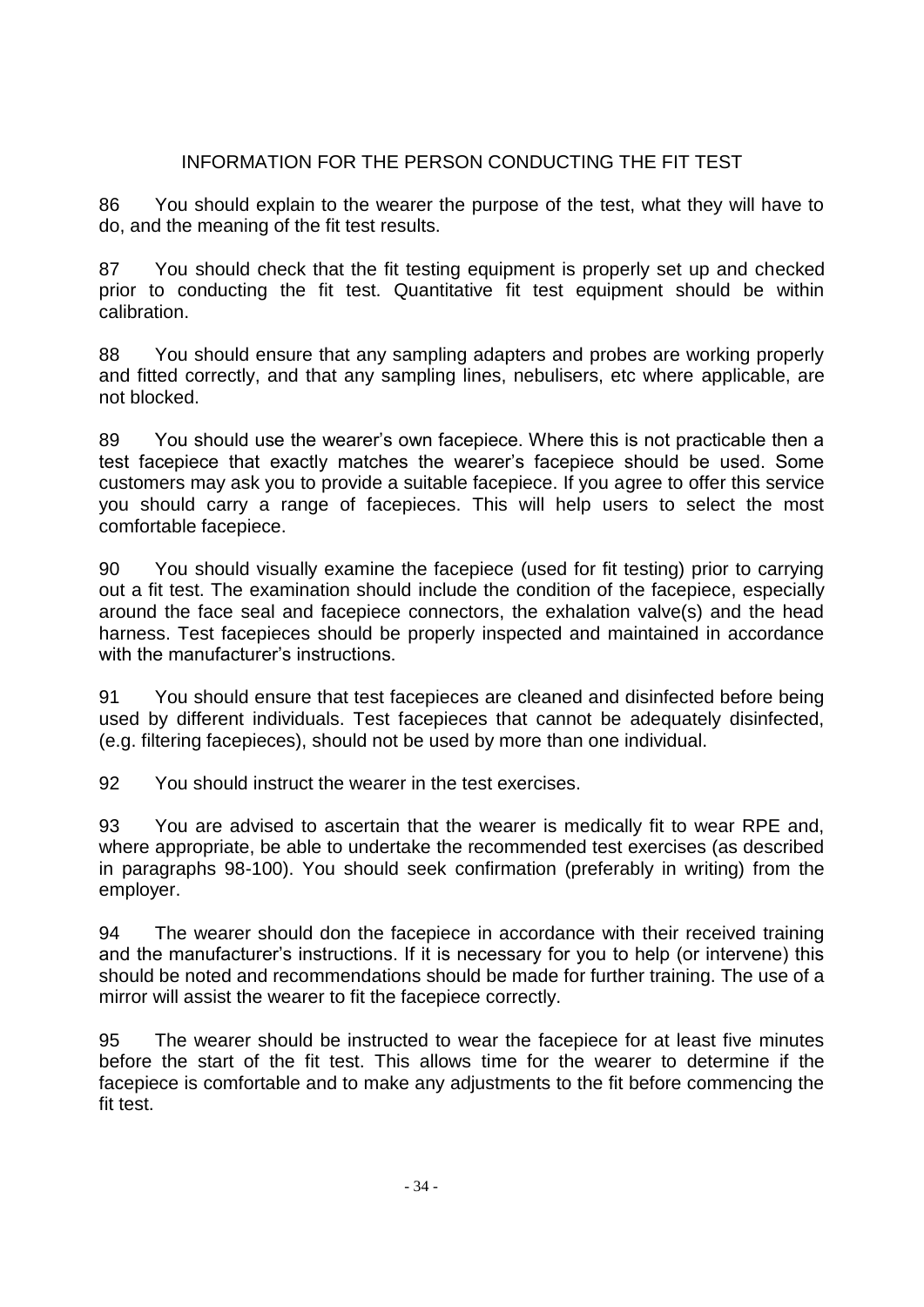### INFORMATION FOR THE PERSON CONDUCTING THE FIT TEST

86 You should explain to the wearer the purpose of the test, what they will have to do, and the meaning of the fit test results.

87 You should check that the fit testing equipment is properly set up and checked prior to conducting the fit test. Quantitative fit test equipment should be within calibration.

88 You should ensure that any sampling adapters and probes are working properly and fitted correctly, and that any sampling lines, nebulisers, etc where applicable, are not blocked.

89 You should use the wearer's own facepiece. Where this is not practicable then a test facepiece that exactly matches the wearer's facepiece should be used. Some customers may ask you to provide a suitable facepiece. If you agree to offer this service you should carry a range of facepieces. This will help users to select the most comfortable facepiece.

90 You should visually examine the facepiece (used for fit testing) prior to carrying out a fit test. The examination should include the condition of the facepiece, especially around the face seal and facepiece connectors, the exhalation valve(s) and the head harness. Test facepieces should be properly inspected and maintained in accordance with the manufacturer's instructions.

91 You should ensure that test facepieces are cleaned and disinfected before being used by different individuals. Test facepieces that cannot be adequately disinfected, (e.g. filtering facepieces), should not be used by more than one individual.

92 You should instruct the wearer in the test exercises.

93 You are advised to ascertain that the wearer is medically fit to wear RPE and, where appropriate, be able to undertake the recommended test exercises (as described in paragraphs 98-100). You should seek confirmation (preferably in writing) from the employer.

94 The wearer should don the facepiece in accordance with their received training and the manufacturer's instructions. If it is necessary for you to help (or intervene) this should be noted and recommendations should be made for further training. The use of a mirror will assist the wearer to fit the facepiece correctly.

95 The wearer should be instructed to wear the facepiece for at least five minutes before the start of the fit test. This allows time for the wearer to determine if the facepiece is comfortable and to make any adjustments to the fit before commencing the fit test.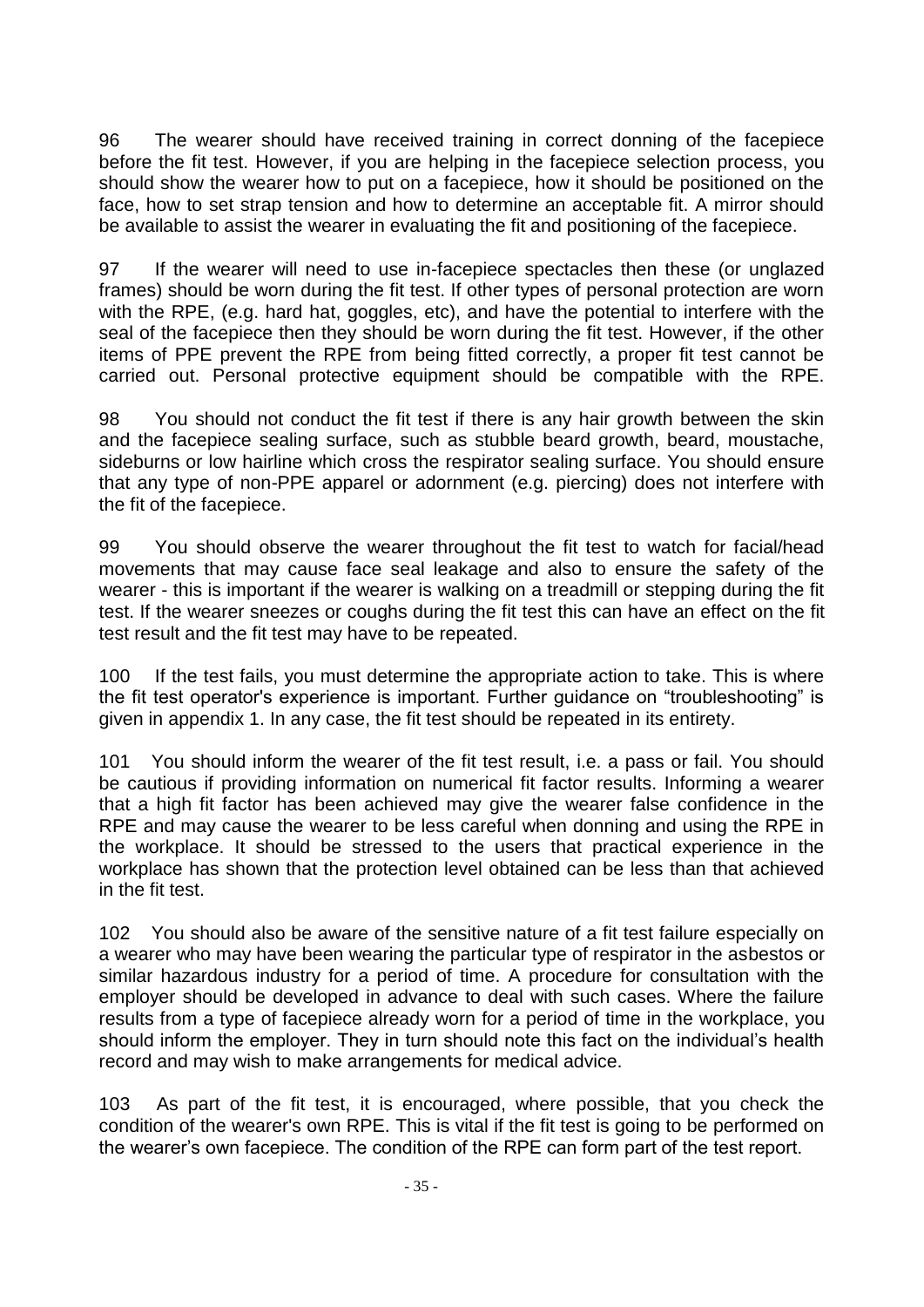96 The wearer should have received training in correct donning of the facepiece before the fit test. However, if you are helping in the facepiece selection process, you should show the wearer how to put on a facepiece, how it should be positioned on the face, how to set strap tension and how to determine an acceptable fit. A mirror should be available to assist the wearer in evaluating the fit and positioning of the facepiece.

97 If the wearer will need to use in-facepiece spectacles then these (or unglazed frames) should be worn during the fit test. If other types of personal protection are worn with the RPE, (e.g. hard hat, goggles, etc), and have the potential to interfere with the seal of the facepiece then they should be worn during the fit test. However, if the other items of PPE prevent the RPE from being fitted correctly, a proper fit test cannot be carried out. Personal protective equipment should be compatible with the RPE.

98 You should not conduct the fit test if there is any hair growth between the skin and the facepiece sealing surface, such as stubble beard growth, beard, moustache, sideburns or low hairline which cross the respirator sealing surface. You should ensure that any type of non-PPE apparel or adornment (e.g. piercing) does not interfere with the fit of the facepiece.

99 You should observe the wearer throughout the fit test to watch for facial/head movements that may cause face seal leakage and also to ensure the safety of the wearer - this is important if the wearer is walking on a treadmill or stepping during the fit test. If the wearer sneezes or coughs during the fit test this can have an effect on the fit test result and the fit test may have to be repeated.

100 If the test fails, you must determine the appropriate action to take. This is where the fit test operator's experience is important. Further guidance on "troubleshooting" is given in appendix 1. In any case, the fit test should be repeated in its entirety.

You should inform the wearer of the fit test result, i.e. a pass or fail. You should be cautious if providing information on numerical fit factor results. Informing a wearer that a high fit factor has been achieved may give the wearer false confidence in the RPE and may cause the wearer to be less careful when donning and using the RPE in the workplace. It should be stressed to the users that practical experience in the workplace has shown that the protection level obtained can be less than that achieved in the fit test.

102 You should also be aware of the sensitive nature of a fit test failure especially on a wearer who may have been wearing the particular type of respirator in the asbestos or similar hazardous industry for a period of time. A procedure for consultation with the employer should be developed in advance to deal with such cases. Where the failure results from a type of facepiece already worn for a period of time in the workplace, you should inform the employer. They in turn should note this fact on the individual's health record and may wish to make arrangements for medical advice.

103 As part of the fit test, it is encouraged, where possible, that you check the condition of the wearer's own RPE. This is vital if the fit test is going to be performed on the wearer's own facepiece. The condition of the RPE can form part of the test report.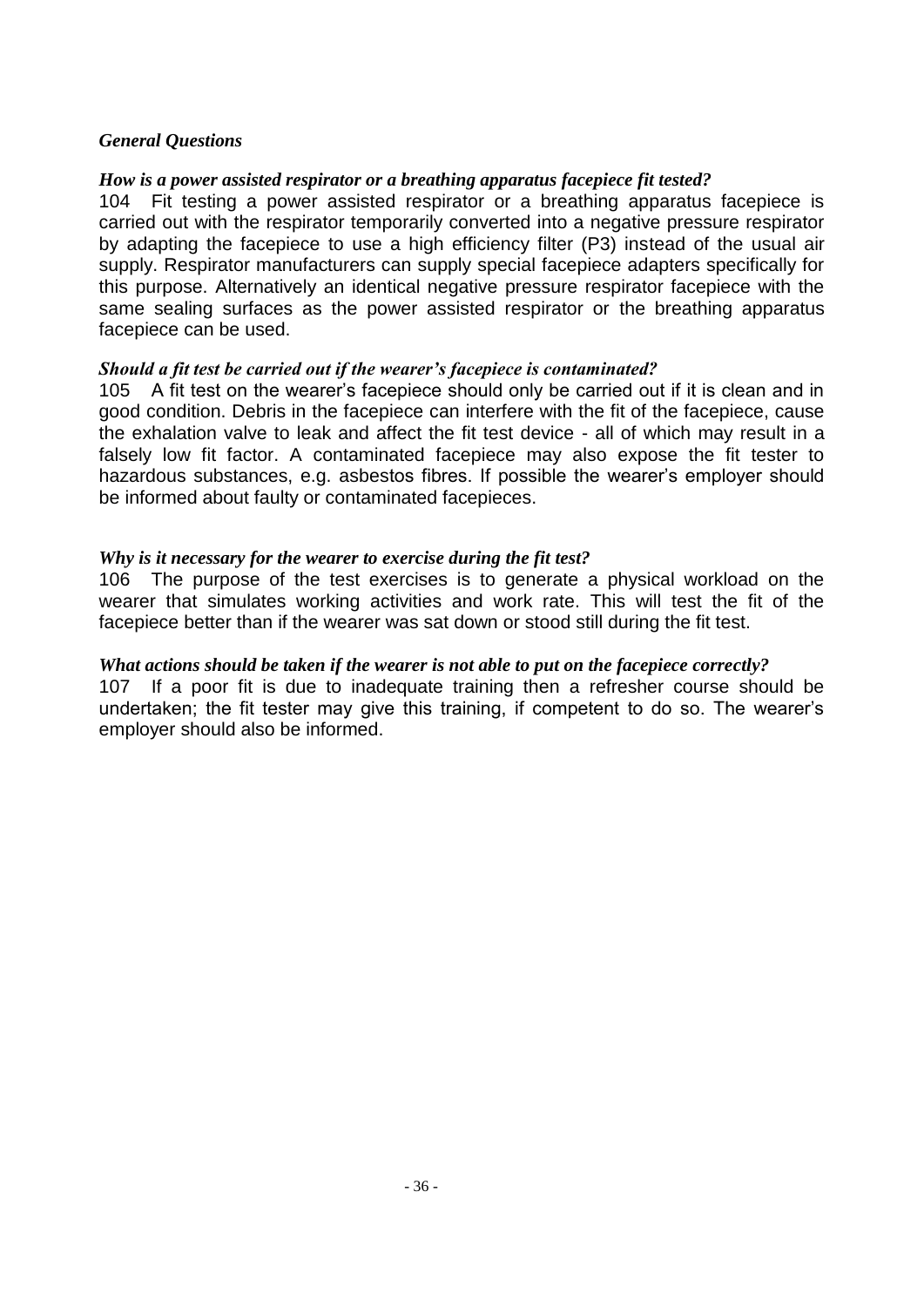#### *General Questions*

#### *How is a power assisted respirator or a breathing apparatus facepiece fit tested?*

104 Fit testing a power assisted respirator or a breathing apparatus facepiece is carried out with the respirator temporarily converted into a negative pressure respirator by adapting the facepiece to use a high efficiency filter (P3) instead of the usual air supply. Respirator manufacturers can supply special facepiece adapters specifically for this purpose. Alternatively an identical negative pressure respirator facepiece with the same sealing surfaces as the power assisted respirator or the breathing apparatus facepiece can be used.

#### *Should a fit test be carried out if the wearer's facepiece is contaminated?*

105 A fit test on the wearer's facepiece should only be carried out if it is clean and in good condition. Debris in the facepiece can interfere with the fit of the facepiece, cause the exhalation valve to leak and affect the fit test device - all of which may result in a falsely low fit factor. A contaminated facepiece may also expose the fit tester to hazardous substances, e.g. asbestos fibres. If possible the wearer's employer should be informed about faulty or contaminated facepieces.

#### *Why is it necessary for the wearer to exercise during the fit test?*

106 The purpose of the test exercises is to generate a physical workload on the wearer that simulates working activities and work rate. This will test the fit of the facepiece better than if the wearer was sat down or stood still during the fit test.

#### *What actions should be taken if the wearer is not able to put on the facepiece correctly?*

107 If a poor fit is due to inadequate training then a refresher course should be undertaken; the fit tester may give this training, if competent to do so. The wearer's employer should also be informed.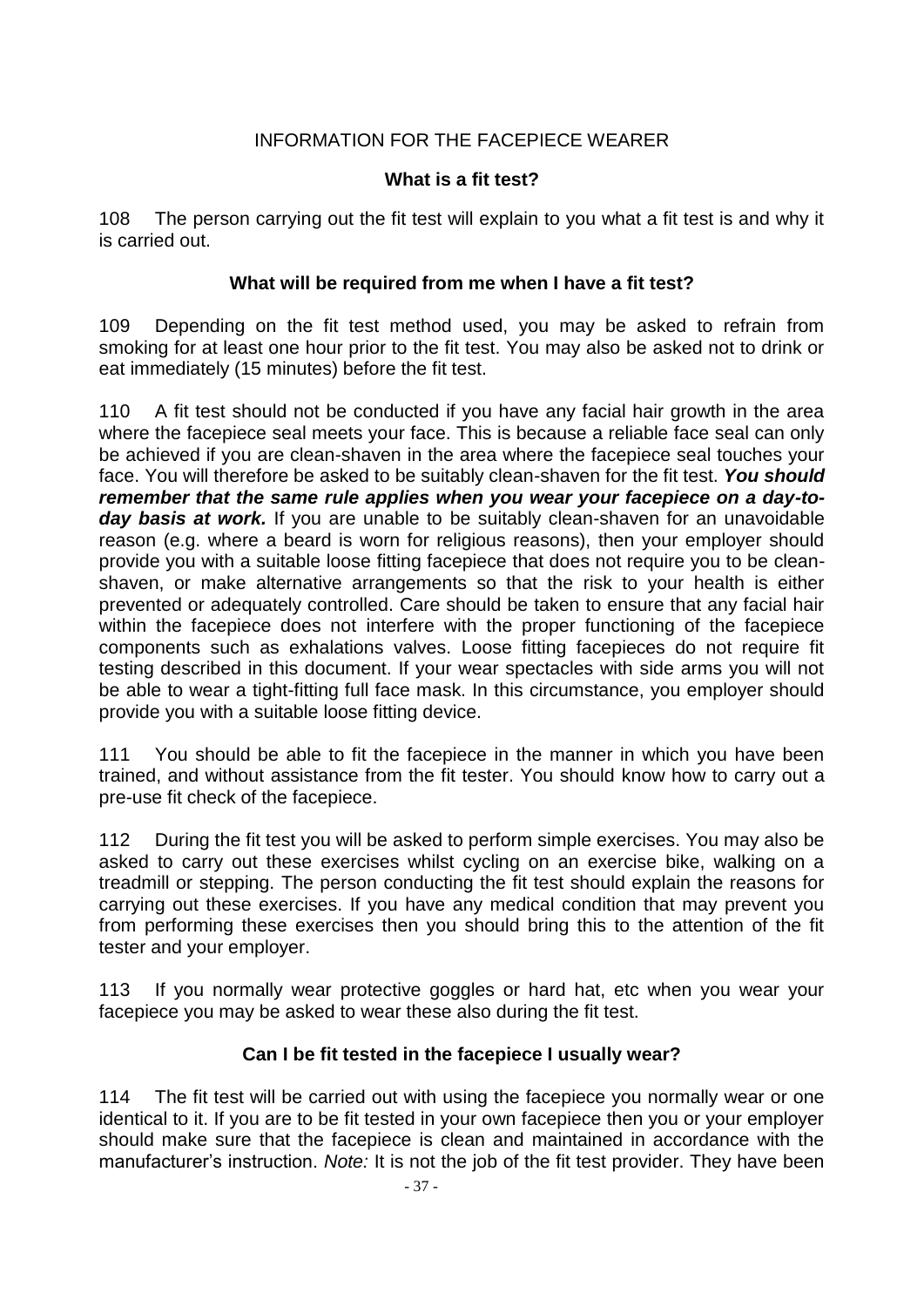## INFORMATION FOR THE FACEPIECE WEARER

#### **What is a fit test?**

108 The person carrying out the fit test will explain to you what a fit test is and why it is carried out.

### **What will be required from me when I have a fit test?**

109 Depending on the fit test method used, you may be asked to refrain from smoking for at least one hour prior to the fit test. You may also be asked not to drink or eat immediately (15 minutes) before the fit test.

110 A fit test should not be conducted if you have any facial hair growth in the area where the facepiece seal meets your face. This is because a reliable face seal can only be achieved if you are clean-shaven in the area where the facepiece seal touches your face. You will therefore be asked to be suitably clean-shaven for the fit test. *You should remember that the same rule applies when you wear your facepiece on a day-today basis at work.* If you are unable to be suitably clean-shaven for an unavoidable reason (e.g. where a beard is worn for religious reasons), then your employer should provide you with a suitable loose fitting facepiece that does not require you to be cleanshaven, or make alternative arrangements so that the risk to your health is either prevented or adequately controlled. Care should be taken to ensure that any facial hair within the facepiece does not interfere with the proper functioning of the facepiece components such as exhalations valves. Loose fitting facepieces do not require fit testing described in this document. If your wear spectacles with side arms you will not be able to wear a tight-fitting full face mask. In this circumstance, you employer should provide you with a suitable loose fitting device.

111 You should be able to fit the facepiece in the manner in which you have been trained, and without assistance from the fit tester. You should know how to carry out a pre-use fit check of the facepiece.

112 During the fit test you will be asked to perform simple exercises. You may also be asked to carry out these exercises whilst cycling on an exercise bike, walking on a treadmill or stepping. The person conducting the fit test should explain the reasons for carrying out these exercises. If you have any medical condition that may prevent you from performing these exercises then you should bring this to the attention of the fit tester and your employer.

113 If you normally wear protective goggles or hard hat, etc when you wear your facepiece you may be asked to wear these also during the fit test.

### **Can I be fit tested in the facepiece I usually wear?**

114 The fit test will be carried out with using the facepiece you normally wear or one identical to it. If you are to be fit tested in your own facepiece then you or your employer should make sure that the facepiece is clean and maintained in accordance with the manufacturer's instruction. *Note:* It is not the job of the fit test provider. They have been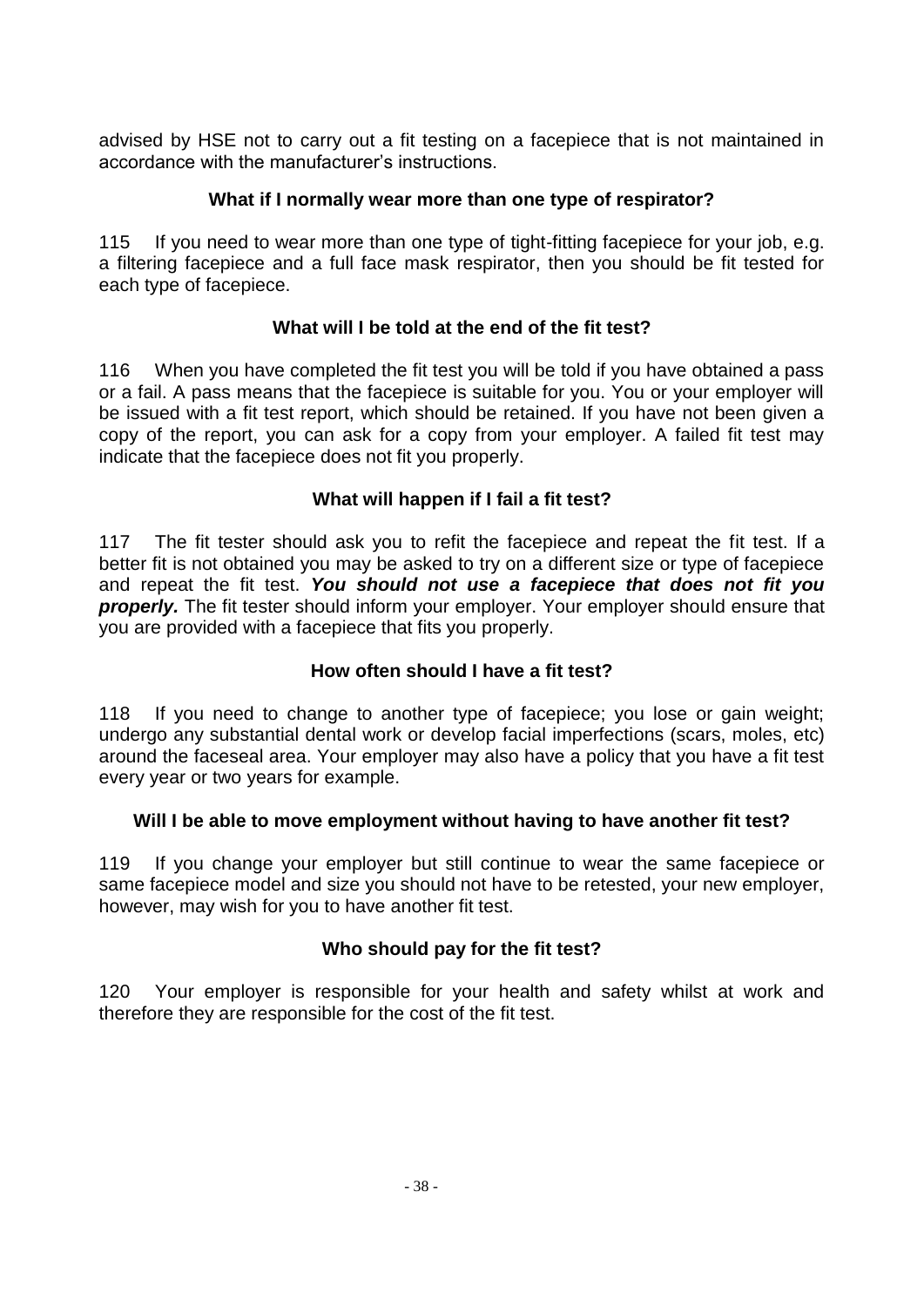advised by HSE not to carry out a fit testing on a facepiece that is not maintained in accordance with the manufacturer's instructions.

### **What if I normally wear more than one type of respirator?**

115 If you need to wear more than one type of tight-fitting facepiece for your job, e.g. a filtering facepiece and a full face mask respirator, then you should be fit tested for each type of facepiece.

### **What will I be told at the end of the fit test?**

116 When you have completed the fit test you will be told if you have obtained a pass or a fail. A pass means that the facepiece is suitable for you. You or your employer will be issued with a fit test report, which should be retained. If you have not been given a copy of the report, you can ask for a copy from your employer. A failed fit test may indicate that the facepiece does not fit you properly.

### **What will happen if I fail a fit test?**

117 The fit tester should ask you to refit the facepiece and repeat the fit test. If a better fit is not obtained you may be asked to try on a different size or type of facepiece and repeat the fit test. *You should not use a facepiece that does not fit you*  **properly.** The fit tester should inform your employer. Your employer should ensure that you are provided with a facepiece that fits you properly.

### **How often should I have a fit test?**

118 If you need to change to another type of facepiece; you lose or gain weight; undergo any substantial dental work or develop facial imperfections (scars, moles, etc) around the faceseal area. Your employer may also have a policy that you have a fit test every year or two years for example.

#### **Will I be able to move employment without having to have another fit test?**

119 If you change your employer but still continue to wear the same facepiece or same facepiece model and size you should not have to be retested, your new employer, however, may wish for you to have another fit test.

### **Who should pay for the fit test?**

120 Your employer is responsible for your health and safety whilst at work and therefore they are responsible for the cost of the fit test.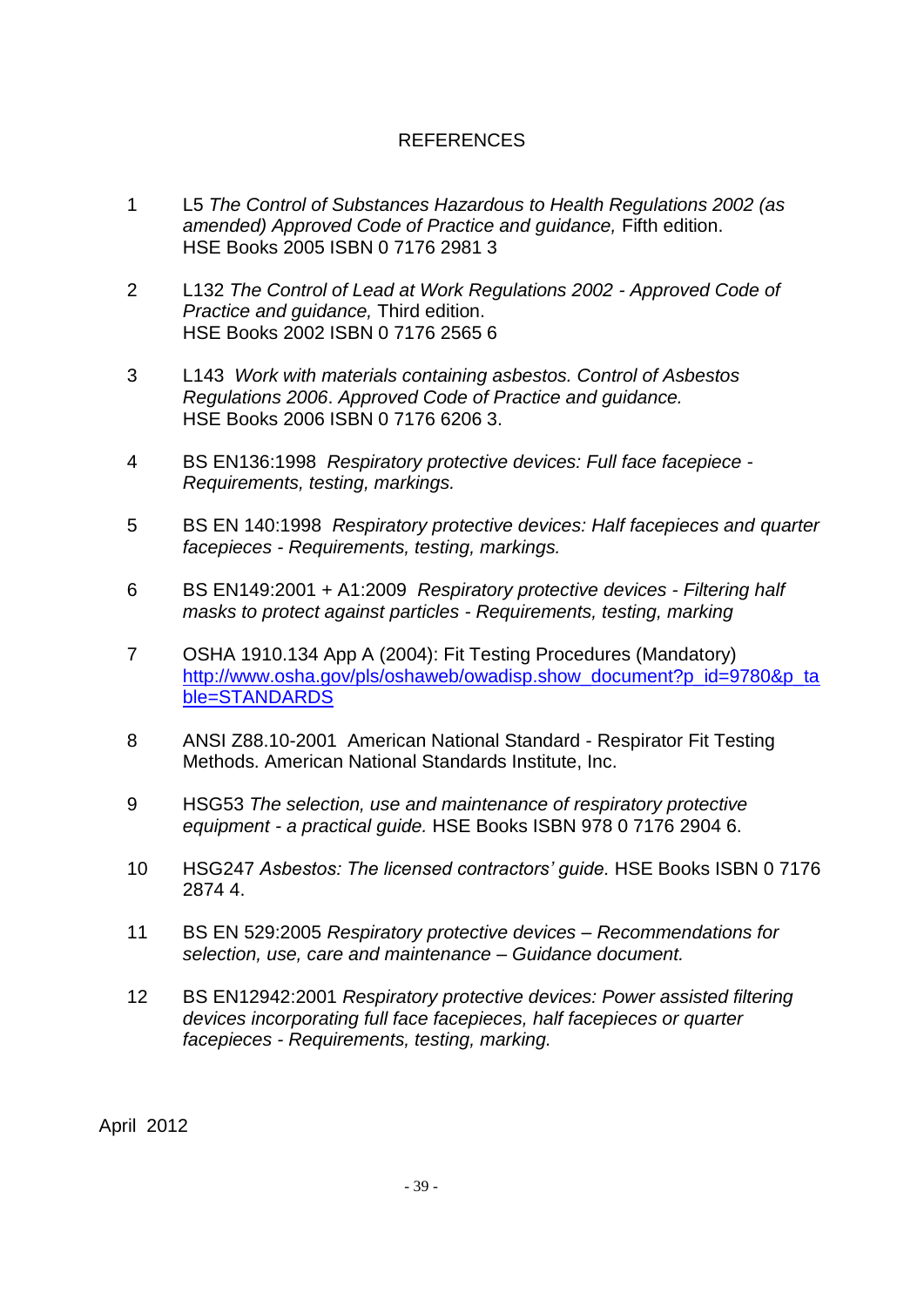### REFERENCES

- 1 L5 *The Control of Substances Hazardous to Health Regulations 2002 (as amended) Approved Code of Practice and guidance,* Fifth edition. HSE Books 2005 ISBN 0 7176 2981 3
- 2 L132 *The Control of Lead at Work Regulations 2002 - Approved Code of Practice and guidance,* Third edition. HSE Books 2002 ISBN 0 7176 2565 6
- 3 L143 *Work with materials containing asbestos. Control of Asbestos Regulations 2006*. *Approved Code of Practice and guidance.* HSE Books 2006 ISBN 0 7176 6206 3.
- 4 BS EN136:1998 *Respiratory protective devices: Full face facepiece - Requirements, testing, markings.*
- 5 BS EN 140:1998 *Respiratory protective devices: Half facepieces and quarter facepieces - Requirements, testing, markings.*
- 6 BS EN149:2001 + A1:2009 *Respiratory protective devices - Filtering half masks to protect against particles - Requirements, testing, marking*
- 7 OSHA 1910.134 App A (2004): Fit Testing Procedures (Mandatory) [http://www.osha.gov/pls/oshaweb/owadisp.show\\_document?p\\_id=9780&p\\_ta](http://www.osha.gov/pls/oshaweb/owadisp.show_document?p_id=9780&p_table=STANDARDS) [ble=STANDARDS](http://www.osha.gov/pls/oshaweb/owadisp.show_document?p_id=9780&p_table=STANDARDS)
- 8 ANSI Z88.10-2001 American National Standard Respirator Fit Testing Methods. American National Standards Institute, Inc.
- 9 HSG53 *The selection, use and maintenance of respiratory protective equipment - a practical guide.* HSE Books ISBN 978 0 7176 2904 6.
- 10 HSG247 *Asbestos: The licensed contractors' guide.* HSE Books ISBN 0 7176 2874 4.
- 11 BS EN 529:2005 *Respiratory protective devices – Recommendations for selection, use, care and maintenance – Guidance document.*
- 12 BS EN12942:2001 *Respiratory protective devices: Power assisted filtering devices incorporating full face facepieces, half facepieces or quarter facepieces - Requirements, testing, marking.*

April 2012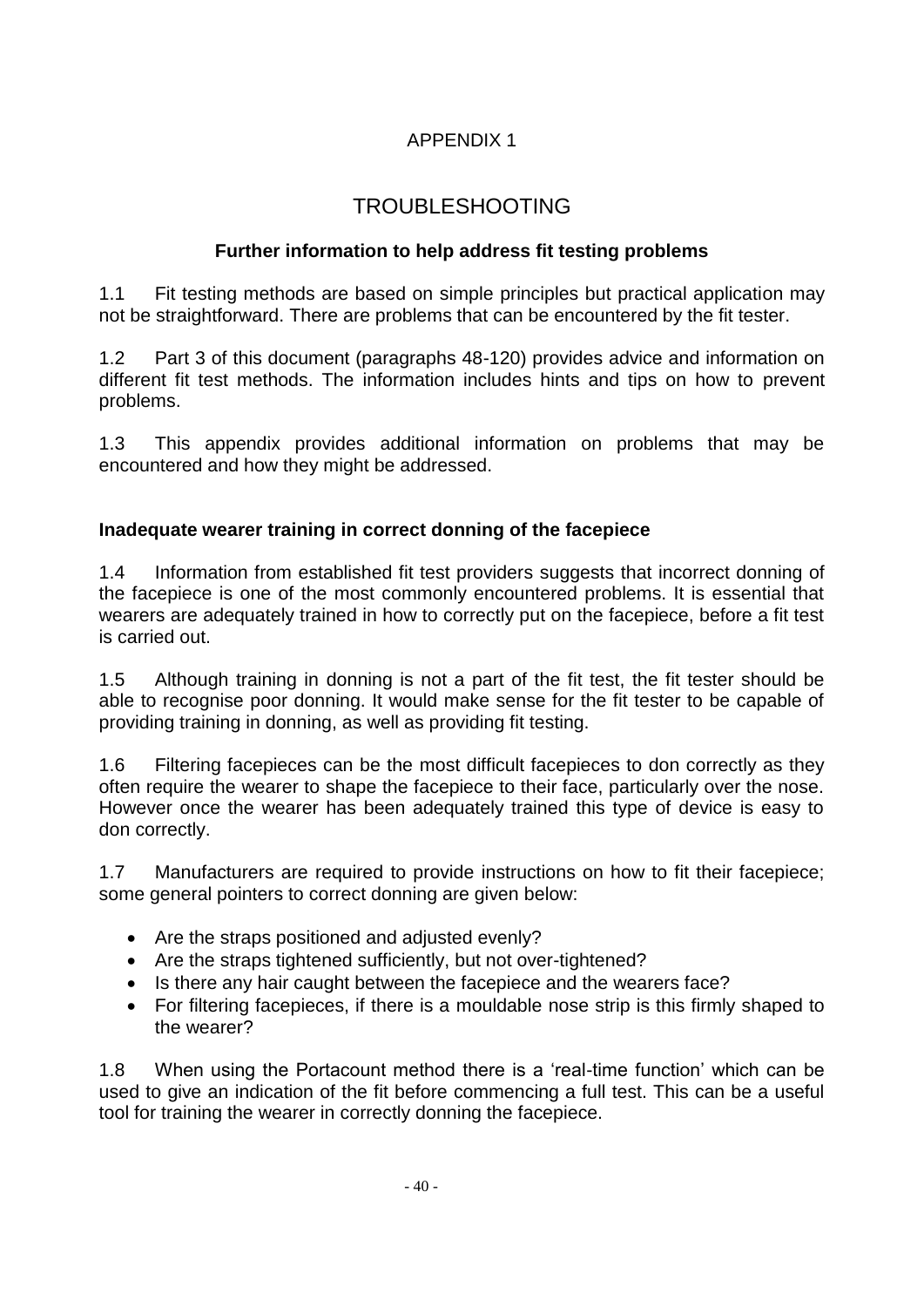# APPENDIX 1

# TROUBLESHOOTING

## **Further information to help address fit testing problems**

1.1 Fit testing methods are based on simple principles but practical application may not be straightforward. There are problems that can be encountered by the fit tester.

1.2 Part 3 of this document (paragraphs 48-120) provides advice and information on different fit test methods. The information includes hints and tips on how to prevent problems.

1.3 This appendix provides additional information on problems that may be encountered and how they might be addressed.

### **Inadequate wearer training in correct donning of the facepiece**

1.4 Information from established fit test providers suggests that incorrect donning of the facepiece is one of the most commonly encountered problems. It is essential that wearers are adequately trained in how to correctly put on the facepiece, before a fit test is carried out.

1.5 Although training in donning is not a part of the fit test, the fit tester should be able to recognise poor donning. It would make sense for the fit tester to be capable of providing training in donning, as well as providing fit testing.

1.6 Filtering facepieces can be the most difficult facepieces to don correctly as they often require the wearer to shape the facepiece to their face, particularly over the nose. However once the wearer has been adequately trained this type of device is easy to don correctly.

1.7 Manufacturers are required to provide instructions on how to fit their facepiece; some general pointers to correct donning are given below:

- Are the straps positioned and adjusted evenly?
- Are the straps tightened sufficiently, but not over-tightened?
- Is there any hair caught between the facepiece and the wearers face?
- For filtering facepieces, if there is a mouldable nose strip is this firmly shaped to the wearer?

1.8 When using the Portacount method there is a 'real-time function' which can be used to give an indication of the fit before commencing a full test. This can be a useful tool for training the wearer in correctly donning the facepiece.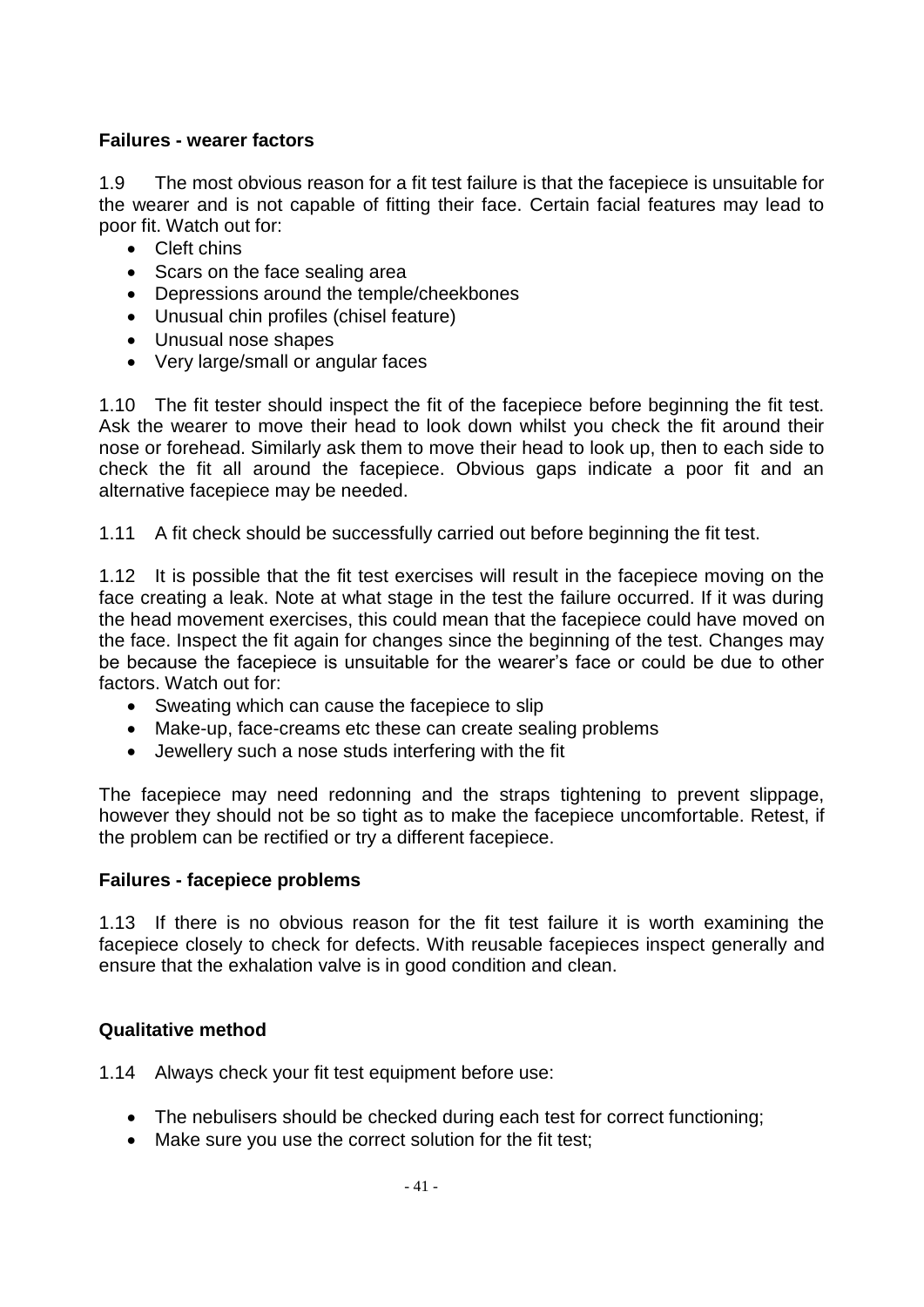## **Failures - wearer factors**

1.9 The most obvious reason for a fit test failure is that the facepiece is unsuitable for the wearer and is not capable of fitting their face. Certain facial features may lead to poor fit. Watch out for:

- Cleft chins
- Scars on the face sealing area
- Depressions around the temple/cheekbones
- Unusual chin profiles (chisel feature)
- Unusual nose shapes
- Very large/small or angular faces

1.10 The fit tester should inspect the fit of the facepiece before beginning the fit test. Ask the wearer to move their head to look down whilst you check the fit around their nose or forehead. Similarly ask them to move their head to look up, then to each side to check the fit all around the facepiece. Obvious gaps indicate a poor fit and an alternative facepiece may be needed.

1.11 A fit check should be successfully carried out before beginning the fit test.

1.12 It is possible that the fit test exercises will result in the facepiece moving on the face creating a leak. Note at what stage in the test the failure occurred. If it was during the head movement exercises, this could mean that the facepiece could have moved on the face. Inspect the fit again for changes since the beginning of the test. Changes may be because the facepiece is unsuitable for the wearer's face or could be due to other factors. Watch out for:

- Sweating which can cause the facepiece to slip
- Make-up, face-creams etc these can create sealing problems
- Jewellery such a nose studs interfering with the fit

The facepiece may need redonning and the straps tightening to prevent slippage, however they should not be so tight as to make the facepiece uncomfortable. Retest, if the problem can be rectified or try a different facepiece.

#### **Failures - facepiece problems**

1.13 If there is no obvious reason for the fit test failure it is worth examining the facepiece closely to check for defects. With reusable facepieces inspect generally and ensure that the exhalation valve is in good condition and clean.

#### **Qualitative method**

1.14 Always check your fit test equipment before use:

- The nebulisers should be checked during each test for correct functioning;
- Make sure you use the correct solution for the fit test;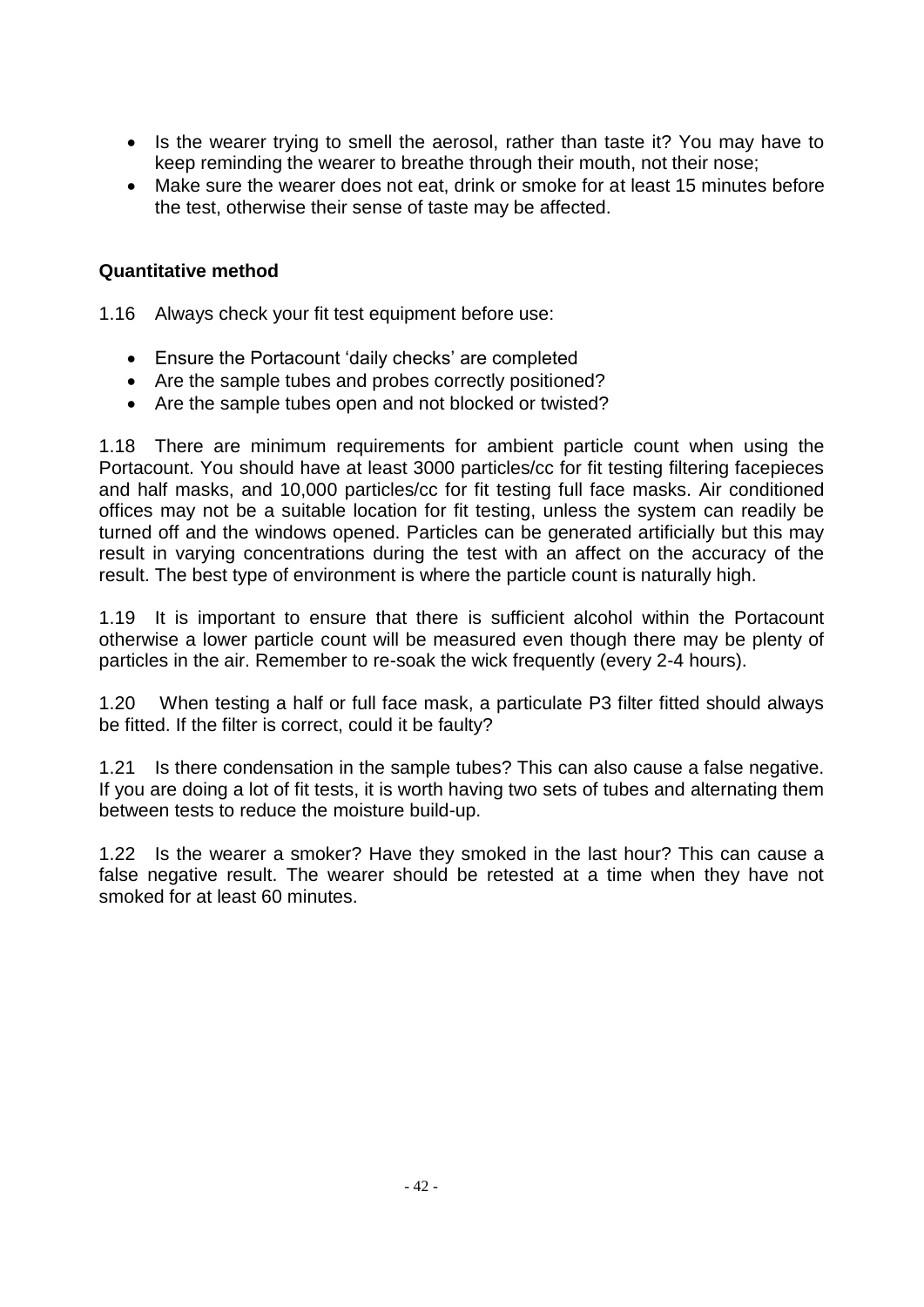- Is the wearer trying to smell the aerosol, rather than taste it? You may have to keep reminding the wearer to breathe through their mouth, not their nose;
- Make sure the wearer does not eat, drink or smoke for at least 15 minutes before the test, otherwise their sense of taste may be affected.

### **Quantitative method**

1.16 Always check your fit test equipment before use:

- Ensure the Portacount 'daily checks' are completed
- Are the sample tubes and probes correctly positioned?
- Are the sample tubes open and not blocked or twisted?

1.18 There are minimum requirements for ambient particle count when using the Portacount. You should have at least 3000 particles/cc for fit testing filtering facepieces and half masks, and 10,000 particles/cc for fit testing full face masks. Air conditioned offices may not be a suitable location for fit testing, unless the system can readily be turned off and the windows opened. Particles can be generated artificially but this may result in varying concentrations during the test with an affect on the accuracy of the result. The best type of environment is where the particle count is naturally high.

1.19 It is important to ensure that there is sufficient alcohol within the Portacount otherwise a lower particle count will be measured even though there may be plenty of particles in the air. Remember to re-soak the wick frequently (every 2-4 hours).

1.20 When testing a half or full face mask, a particulate P3 filter fitted should always be fitted. If the filter is correct, could it be faulty?

1.21 Is there condensation in the sample tubes? This can also cause a false negative. If you are doing a lot of fit tests, it is worth having two sets of tubes and alternating them between tests to reduce the moisture build-up.

1.22 Is the wearer a smoker? Have they smoked in the last hour? This can cause a false negative result. The wearer should be retested at a time when they have not smoked for at least 60 minutes.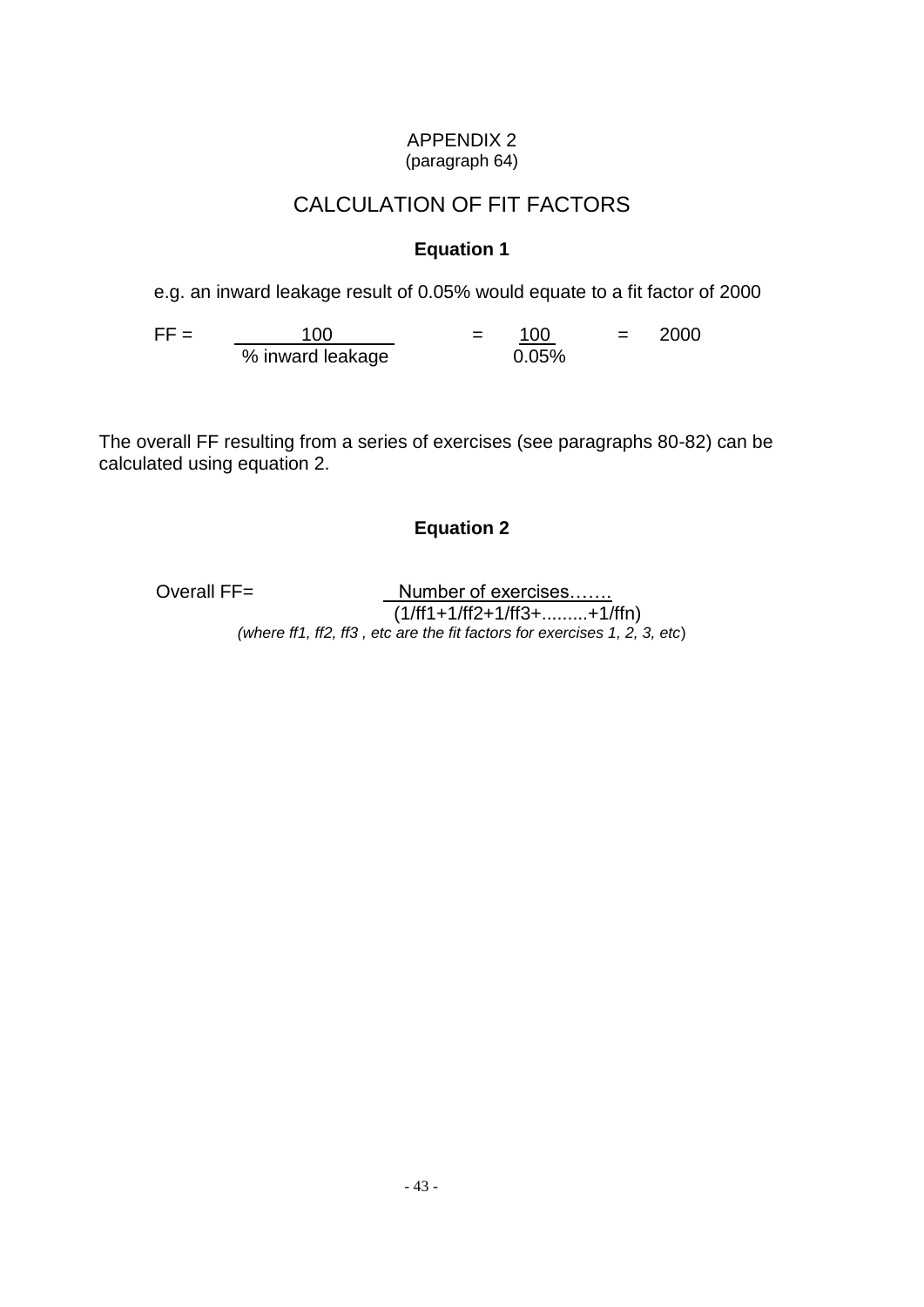#### APPENDIX 2 (paragraph 64)

# CALCULATION OF FIT FACTORS

# **Equation 1**

e.g. an inward leakage result of 0.05% would equate to a fit factor of 2000

 $\mathsf{FF} = \begin{bmatrix} 100 & 100 \\ -100 & 100 \end{bmatrix} = \begin{bmatrix} 100 & 100 \\ 100 & 100 \end{bmatrix} = 2000$ % inward leakage 0.05%

The overall FF resulting from a series of exercises (see paragraphs 80-82) can be calculated using equation 2.

# **Equation 2**

Overall FF= Number of exercises....... (1/ff1+1/ff2+1/ff3+.........+1/ffn) *(where ff1, ff2, ff3 , etc are the fit factors for exercises 1, 2, 3, etc*)